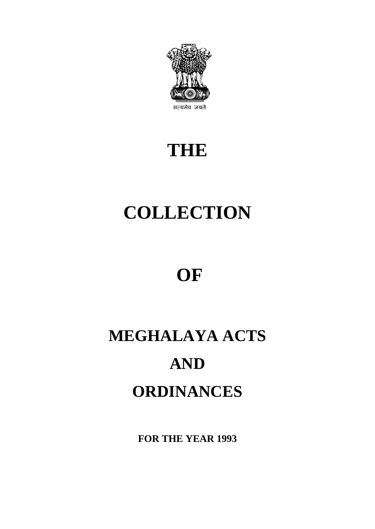

## **THE**

# **COLLECTION**

## **OF**

# **MEGHALAYA ACTS AND ORDINANCES**

**FOR THE YEAR 1993**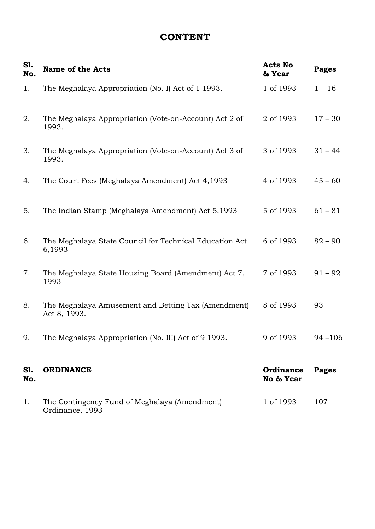## **CONTENT**

| S1.<br>No.        | <b>Name of the Acts</b>                                             | <b>Acts No</b><br>& Year | <b>Pages</b> |
|-------------------|---------------------------------------------------------------------|--------------------------|--------------|
| 1.                | The Meghalaya Appropriation (No. I) Act of 1 1993.                  | 1 of 1993                | $1 - 16$     |
| 2.                | The Meghalaya Appropriation (Vote-on-Account) Act 2 of<br>1993.     | 2 of 1993                | $17 - 30$    |
| 3.                | The Meghalaya Appropriation (Vote-on-Account) Act 3 of<br>1993.     | 3 of 1993                | $31 - 44$    |
| 4.                | The Court Fees (Meghalaya Amendment) Act 4,1993                     | 4 of 1993                | $45 - 60$    |
| 5.                | The Indian Stamp (Meghalaya Amendment) Act 5,1993                   | 5 of 1993                | $61 - 81$    |
| 6.                | The Meghalaya State Council for Technical Education Act<br>6,1993   | 6 of 1993                | $82 - 90$    |
| 7.                | The Meghalaya State Housing Board (Amendment) Act 7,<br>1993        | 7 of 1993                | $91 - 92$    |
| 8.                | The Meghalaya Amusement and Betting Tax (Amendment)<br>Act 8, 1993. | 8 of 1993                | 93           |
| 9.                | The Meghalaya Appropriation (No. III) Act of 9 1993.                | 9 of 1993                | $94 - 106$   |
| <b>S1.</b><br>No. | <b>ORDINANCE</b>                                                    | Ordinance<br>No & Year   | <b>Pages</b> |
| 1.                | The Contingency Fund of Meghalaya (Amendment)<br>Ordinance, 1993    | 1 of 1993                | 107          |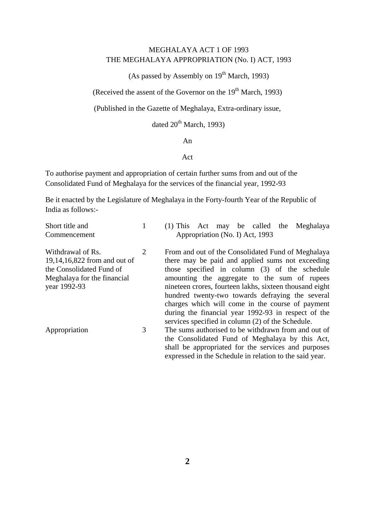#### MEGHALAYA ACT 1 OF 1993 THE MEGHALAYA APPROPRIATION (No. I) ACT, 1993

(As passed by Assembly on  $19<sup>th</sup>$  March, 1993)

(Received the assent of the Governor on the  $19<sup>th</sup>$  March, 1993)

(Published in the Gazette of Meghalaya, Extra-ordinary issue,

dated  $20^{th}$  March, 1993)

#### An

#### Act

To authorise payment and appropriation of certain further sums from and out of the Consolidated Fund of Meghalaya for the services of the financial year, 1992-93

Be it enacted by the Legislature of Meghalaya in the Forty-fourth Year of the Republic of India as follows:-

| Short title and<br>Commencement                                                                              |   | $(1)$ This Act may be called the<br>Meghalaya<br>Appropriation (No. I) Act, 1993                                                                                                                                                                                            |
|--------------------------------------------------------------------------------------------------------------|---|-----------------------------------------------------------------------------------------------------------------------------------------------------------------------------------------------------------------------------------------------------------------------------|
|                                                                                                              |   |                                                                                                                                                                                                                                                                             |
| Withdrawal of Rs.<br>19,14,16,822 from and out of<br>the Consolidated Fund of<br>Meghalaya for the financial | 2 | From and out of the Consolidated Fund of Meghalaya<br>there may be paid and applied sums not exceeding<br>those specified in column (3) of the schedule<br>amounting the aggregate to the sum of rupees                                                                     |
| year 1992-93                                                                                                 |   | nineteen crores, fourteen lakhs, sixteen thousand eight<br>hundred twenty-two towards defraying the several<br>charges which will come in the course of payment<br>during the financial year 1992-93 in respect of the<br>services specified in column (2) of the Schedule. |
| Appropriation                                                                                                | 3 | The sums authorised to be withdrawn from and out of<br>the Consolidated Fund of Meghalaya by this Act,<br>shall be appropriated for the services and purposes<br>expressed in the Schedule in relation to the said year.                                                    |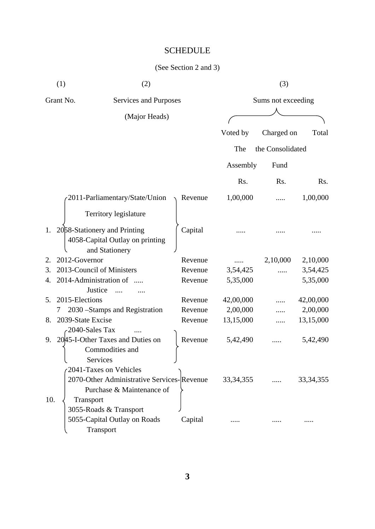## SCHEDULE

|     | (1)<br>(2)                                                                        |         |             | (3)                |                  |
|-----|-----------------------------------------------------------------------------------|---------|-------------|--------------------|------------------|
|     | Grant No.<br>Services and Purposes                                                |         |             | Sums not exceeding |                  |
|     | (Major Heads)                                                                     |         |             |                    |                  |
|     |                                                                                   |         | Voted by    | Charged on         | Total            |
|     |                                                                                   |         | The         | the Consolidated   |                  |
|     |                                                                                   |         | Assembly    | Fund               |                  |
|     |                                                                                   |         | Rs.         | Rs.                | R <sub>s</sub> . |
|     | 2011-Parliamentary/State/Union                                                    | Revenue | 1,00,000    |                    | 1,00,000         |
|     | Territory legislature                                                             |         |             |                    |                  |
|     | 2058-Stationery and Printing<br>4058-Capital Outlay on printing<br>and Stationery | Capital |             |                    |                  |
| 2.  | 2012-Governor                                                                     | Revenue |             | 2,10,000           | 2,10,000         |
| 3.  | 2013-Council of Ministers                                                         | Revenue | 3,54,425    |                    | 3,54,425         |
| 4.  | 2014-Administration of                                                            | Revenue | 5,35,000    |                    | 5,35,000         |
|     | Justice<br>$\overline{\mathbf{z}}$                                                |         |             |                    |                  |
| 5.  | 2015-Elections                                                                    | Revenue | 42,00,000   |                    | 42,00,000        |
|     | 2030 – Stamps and Registration<br>7                                               | Revenue | 2,00,000    |                    | 2,00,000         |
| 8.  | 2039-State Excise                                                                 | Revenue | 13,15,000   |                    | 13,15,000        |
|     | 2040-Sales Tax                                                                    |         |             |                    |                  |
| 9.  | 20 45-I-Other Taxes and Duties on                                                 | Revenue | 5,42,490    |                    | 5,42,490         |
|     | Commodities and                                                                   |         |             |                    |                  |
|     | Services                                                                          |         |             |                    |                  |
|     | 2041-Taxes on Vehicles                                                            |         |             |                    |                  |
|     | 2070-Other Administrative Services-Revenue                                        |         | 33, 34, 355 |                    | 33, 34, 355      |
|     | Purchase & Maintenance of                                                         |         |             |                    |                  |
| 10. | Transport                                                                         |         |             |                    |                  |
|     | 3055-Roads & Transport                                                            |         |             |                    |                  |
|     | 5055-Capital Outlay on Roads                                                      | Capital |             |                    |                  |
|     | Transport                                                                         |         |             |                    |                  |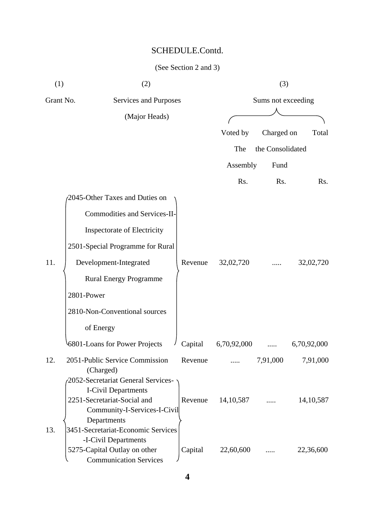| (1)       | (2)                                                           |         |             | (3)                |             |
|-----------|---------------------------------------------------------------|---------|-------------|--------------------|-------------|
| Grant No. | Services and Purposes                                         |         |             | Sums not exceeding |             |
|           | (Major Heads)                                                 |         |             |                    |             |
|           |                                                               |         | Voted by    | Charged on         | Total       |
|           |                                                               |         | The         | the Consolidated   |             |
|           |                                                               |         | Assembly    | Fund               |             |
|           |                                                               |         | Rs.         | Rs.                | Rs.         |
|           | 2045-Other Taxes and Duties on                                |         |             |                    |             |
|           | Commodities and Services-II-                                  |         |             |                    |             |
|           | <b>Inspectorate of Electricity</b>                            |         |             |                    |             |
|           | 2501-Special Programme for Rural                              |         |             |                    |             |
|           |                                                               |         |             |                    |             |
| 11.       | Development-Integrated                                        | Revenue | 32,02,720   |                    | 32,02,720   |
|           | <b>Rural Energy Programme</b>                                 |         |             |                    |             |
|           | 2801-Power                                                    |         |             |                    |             |
|           | 2810-Non-Conventional sources                                 |         |             |                    |             |
|           | of Energy                                                     |         |             |                    |             |
|           | 6801-Loans for Power Projects                                 | Capital | 6,70,92,000 |                    | 6,70,92,000 |
| 12.       | 2051-Public Service Commission<br>(Charged)                   | Revenue |             | 7,91,000           | 7,91,000    |
|           | 2052-Secretariat General Services-                            |         |             |                    |             |
|           | I-Civil Departments                                           |         |             |                    |             |
|           | 2251-Secretariat-Social and<br>Community-I-Services-I-Civil   | Revenue | 14, 10, 587 |                    | 14, 10, 587 |
|           | Departments                                                   |         |             |                    |             |
| 13.       | 3451-Secretariat-Economic Services                            |         |             |                    |             |
|           | -I-Civil Departments                                          |         |             |                    |             |
|           | 5275-Capital Outlay on other<br><b>Communication Services</b> | Capital | 22,60,600   |                    | 22,36,600   |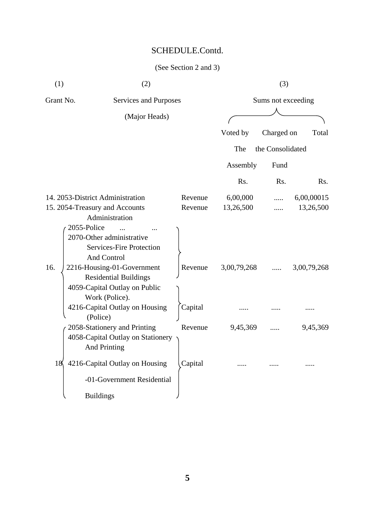| (1)         | (2)                                                                                                           |         |             | (3)                |             |
|-------------|---------------------------------------------------------------------------------------------------------------|---------|-------------|--------------------|-------------|
| Grant No.   | Services and Purposes                                                                                         |         |             | Sums not exceeding |             |
|             | (Major Heads)                                                                                                 |         |             |                    |             |
|             |                                                                                                               |         | Voted by    | Charged on         | Total       |
|             |                                                                                                               |         | The         | the Consolidated   |             |
|             |                                                                                                               |         | Assembly    | Fund               |             |
|             |                                                                                                               |         | Rs.         | Rs.                | Rs.         |
|             | 14. 2053-District Administration                                                                              | Revenue | 6,00,000    |                    | 6,00,00015  |
|             | 15. 2054-Treasury and Accounts                                                                                | Revenue | 13,26,500   | .                  | 13,26,500   |
|             | Administration                                                                                                |         |             |                    |             |
| 2055-Police | 2070-Other administrative<br><b>Services-Fire Protection</b><br>And Control                                   |         |             |                    |             |
| 16.         | 2216-Housing-01-Government<br><b>Residential Buildings</b><br>4059-Capital Outlay on Public<br>Work (Police). | Revenue | 3,00,79,268 |                    | 3,00,79,268 |
|             | 4216-Capital Outlay on Housing<br>(Police)                                                                    | Capital |             |                    |             |
|             | 2058-Stationery and Printing<br>4058-Capital Outlay on Stationery<br><b>And Printing</b>                      | Revenue | 9,45,369    |                    | 9,45,369    |
| 18          | 4216-Capital Outlay on Housing                                                                                | Capital |             |                    |             |
|             | -01-Government Residential                                                                                    |         |             |                    |             |
|             | <b>Buildings</b>                                                                                              |         |             |                    |             |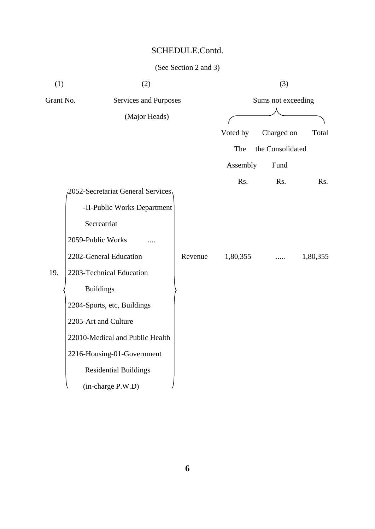| (1)       | (2)                                |         |          | (3)                |          |
|-----------|------------------------------------|---------|----------|--------------------|----------|
| Grant No. | Services and Purposes              |         |          | Sums not exceeding |          |
|           | (Major Heads)                      |         |          |                    |          |
|           |                                    |         | Voted by | Charged on         | Total    |
|           |                                    |         | The      | the Consolidated   |          |
|           |                                    |         | Assembly | Fund               |          |
|           | 2052-Secretariat General Services, |         | Rs.      | Rs.                | Rs.      |
|           | -II-Public Works Department        |         |          |                    |          |
|           | Secreatriat                        |         |          |                    |          |
|           | 2059-Public Works                  |         |          |                    |          |
|           | 2202-General Education             | Revenue | 1,80,355 |                    | 1,80,355 |
| 19.       | 2203-Technical Education           |         |          |                    |          |
|           | <b>Buildings</b>                   |         |          |                    |          |
|           | 2204-Sports, etc, Buildings        |         |          |                    |          |
|           | 2205-Art and Culture               |         |          |                    |          |
|           | 22010-Medical and Public Health    |         |          |                    |          |
|           | 2216-Housing-01-Government         |         |          |                    |          |
|           | <b>Residential Buildings</b>       |         |          |                    |          |
|           | (in-charge P.W.D)                  |         |          |                    |          |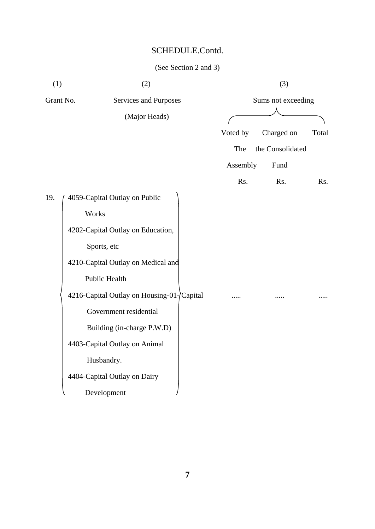| (1)       | (2)                                       |          | (3)                 |
|-----------|-------------------------------------------|----------|---------------------|
| Grant No. | Services and Purposes                     |          | Sums not exceeding  |
|           | (Major Heads)                             |          |                     |
|           |                                           | Voted by | Charged on<br>Total |
|           |                                           | The      | the Consolidated    |
|           |                                           | Assembly | Fund                |
|           |                                           | Rs.      | Rs.<br>Rs.          |
| 19.       | 4059-Capital Outlay on Public             |          |                     |
|           | Works                                     |          |                     |
|           | 4202-Capital Outlay on Education,         |          |                     |
|           | Sports, etc                               |          |                     |
|           | 4210-Capital Outlay on Medical and        |          |                     |
|           | <b>Public Health</b>                      |          |                     |
|           | 4216-Capital Outlay on Housing-01-Capital |          |                     |
|           | Government residential                    |          |                     |
|           | Building (in-charge P.W.D)                |          |                     |
|           | 4403-Capital Outlay on Animal             |          |                     |
|           | Husbandry.                                |          |                     |
|           | 4404-Capital Outlay on Dairy              |          |                     |
|           | Development                               |          |                     |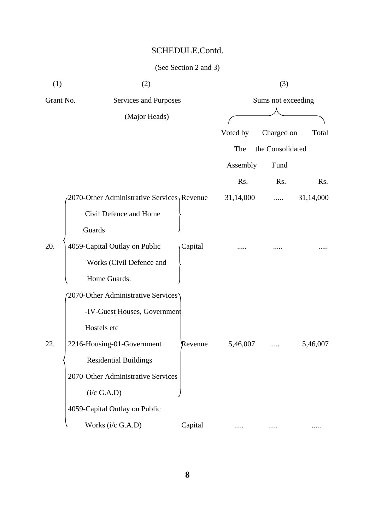| (1)       | (2)                                         |         |           | (3)                |           |
|-----------|---------------------------------------------|---------|-----------|--------------------|-----------|
| Grant No. | Services and Purposes                       |         |           | Sums not exceeding |           |
|           | (Major Heads)                               |         |           |                    |           |
|           |                                             |         | Voted by  | Charged on         | Total     |
|           |                                             |         | The       | the Consolidated   |           |
|           |                                             |         | Assembly  | Fund               |           |
|           |                                             |         | Rs.       | Rs.                | Rs.       |
|           | 2070-Other Administrative Services, Revenue |         | 31,14,000 | .                  | 31,14,000 |
|           | Civil Defence and Home                      |         |           |                    |           |
|           | Guards                                      |         |           |                    |           |
| 20.       | 4059-Capital Outlay on Public               | Capital |           |                    |           |
|           | Works (Civil Defence and                    |         |           |                    |           |
|           | Home Guards.                                |         |           |                    |           |
|           | 2070-Other Administrative Services          |         |           |                    |           |
|           | -IV-Guest Houses, Government                |         |           |                    |           |
|           | Hostels etc                                 |         |           |                    |           |
| 22.       | 2216-Housing-01-Government                  | Revenue | 5,46,007  |                    | 5,46,007  |
|           | <b>Residential Buildings</b>                |         |           |                    |           |
|           | 2070-Other Administrative Services          |         |           |                    |           |
|           | (i/c G.A.D)                                 |         |           |                    |           |
|           | 4059-Capital Outlay on Public               |         |           |                    |           |
|           | Works (i/c G.A.D)                           | Capital |           |                    |           |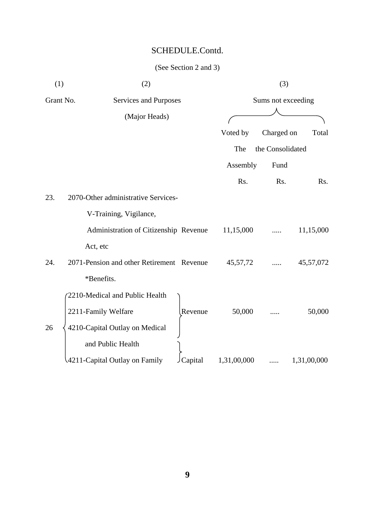| (1)       | (2)                                       | (3)         |                    |             |  |
|-----------|-------------------------------------------|-------------|--------------------|-------------|--|
| Grant No. | Services and Purposes                     |             | Sums not exceeding |             |  |
|           | (Major Heads)                             |             |                    |             |  |
|           |                                           | Voted by    | Charged on         | Total       |  |
|           |                                           | The         | the Consolidated   |             |  |
|           |                                           | Assembly    | Fund               |             |  |
|           |                                           | Rs.         | Rs.                | Rs.         |  |
| 23.       | 2070-Other administrative Services-       |             |                    |             |  |
|           | V-Training, Vigilance,                    |             |                    |             |  |
|           | Administration of Citizenship Revenue     | 11,15,000   |                    | 11,15,000   |  |
|           | Act, etc                                  |             |                    |             |  |
| 24.       | 2071-Pension and other Retirement Revenue | 45, 57, 72  |                    | 45,57,072   |  |
|           | *Benefits.                                |             |                    |             |  |
|           | 2210-Medical and Public Health            |             |                    |             |  |
|           | 2211-Family Welfare<br>Revenue            | 50,000      |                    | 50,000      |  |
| 26        | 4210-Capital Outlay on Medical            |             |                    |             |  |
|           | and Public Health                         |             |                    |             |  |
|           | 4211-Capital Outlay on Family<br>Capital  | 1,31,00,000 |                    | 1,31,00,000 |  |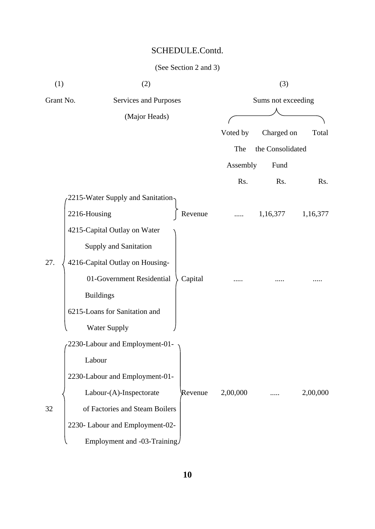| (1)       | (2)                                  |          | (3)                |          |
|-----------|--------------------------------------|----------|--------------------|----------|
| Grant No. | Services and Purposes                |          | Sums not exceeding |          |
|           | (Major Heads)                        |          |                    |          |
|           |                                      | Voted by | Charged on         | Total    |
|           |                                      | The      | the Consolidated   |          |
|           |                                      | Assembly | Fund               |          |
|           |                                      | Rs.      | Rs.                | Rs.      |
|           | 2215-Water Supply and Sanitation-    |          |                    |          |
|           | 2216-Housing<br>Revenue              |          | 1,16,377           | 1,16,377 |
|           | 4215-Capital Outlay on Water         |          |                    |          |
|           | Supply and Sanitation                |          |                    |          |
| 27.       | 4216-Capital Outlay on Housing-      |          |                    |          |
|           | 01-Government Residential<br>Capital |          |                    |          |
|           | <b>Buildings</b>                     |          |                    |          |
|           | 6215-Loans for Sanitation and        |          |                    |          |
|           | <b>Water Supply</b>                  |          |                    |          |
|           | 2230-Labour and Employment-01-       |          |                    |          |
|           | Labour                               |          |                    |          |
|           | 2230-Labour and Employment-01-       |          |                    |          |
|           | Labour-(A)-Inspectorate<br>Revenue   | 2,00,000 |                    | 2,00,000 |
| 32        | of Factories and Steam Boilers       |          |                    |          |
|           | 2230- Labour and Employment-02-      |          |                    |          |
|           | Employment and -03-Training/         |          |                    |          |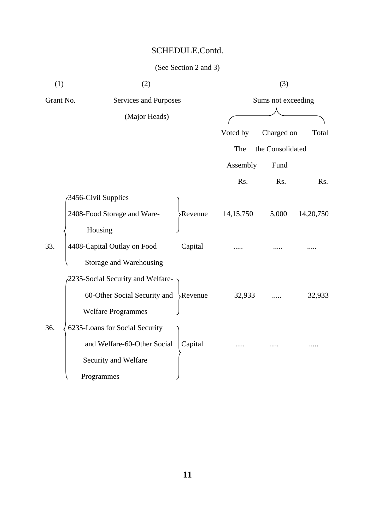| (1)       | (2)                                    |                |                    | (3)              |           |
|-----------|----------------------------------------|----------------|--------------------|------------------|-----------|
| Grant No. | Services and Purposes<br>(Major Heads) |                | Sums not exceeding |                  |           |
|           |                                        |                |                    |                  |           |
|           |                                        |                | Voted by           | Charged on       | Total     |
|           |                                        |                | The                | the Consolidated |           |
|           |                                        |                | Assembly           | Fund             |           |
|           |                                        |                | Rs.                | Rs.              | Rs.       |
|           | 3456-Civil Supplies                    |                |                    |                  |           |
|           | 2408-Food Storage and Ware-            | <b>Revenue</b> | 14, 15, 750        | 5,000            | 14,20,750 |
|           | Housing                                |                |                    |                  |           |
| 33.       | 4408-Capital Outlay on Food            | Capital        |                    |                  |           |
|           | Storage and Warehousing                |                |                    |                  |           |
|           | 2235-Social Security and Welfare-      |                |                    |                  |           |
|           | 60-Other Social Security and Revenue   |                | 32,933             |                  | 32,933    |
|           | <b>Welfare Programmes</b>              |                |                    |                  |           |
| 36.       | 6235-Loans for Social Security         |                |                    |                  |           |
|           | and Welfare-60-Other Social            | Capital        |                    |                  |           |
|           | Security and Welfare                   |                |                    |                  |           |
|           | Programmes                             |                |                    |                  |           |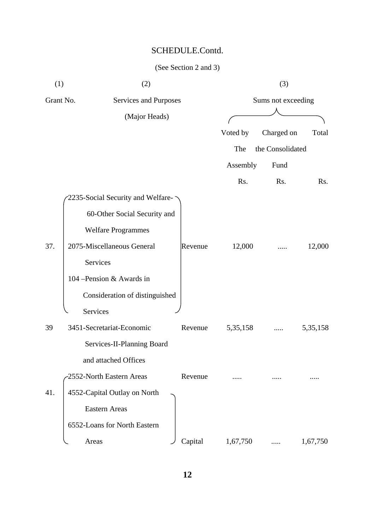| (1)       | (2)                               |  |         |            | (3)                |            |
|-----------|-----------------------------------|--|---------|------------|--------------------|------------|
| Grant No. | Services and Purposes             |  |         |            | Sums not exceeding |            |
|           | (Major Heads)                     |  |         |            |                    |            |
|           |                                   |  |         | Voted by   | Charged on         | Total      |
|           |                                   |  |         | The        | the Consolidated   |            |
|           |                                   |  |         | Assembly   | Fund               |            |
|           |                                   |  |         | Rs.        | Rs.                | Rs.        |
|           | 2235-Social Security and Welfare- |  |         |            |                    |            |
|           | 60-Other Social Security and      |  |         |            |                    |            |
|           | <b>Welfare Programmes</b>         |  |         |            |                    |            |
| 37.       | 2075-Miscellaneous General        |  | Revenue | 12,000     |                    | 12,000     |
|           | Services                          |  |         |            |                    |            |
|           | 104 – Pension & Awards in         |  |         |            |                    |            |
|           | Consideration of distinguished    |  |         |            |                    |            |
|           | Services                          |  |         |            |                    |            |
| 39        | 3451-Secretariat-Economic         |  | Revenue | 5, 35, 158 |                    | 5, 35, 158 |
|           | Services-II-Planning Board        |  |         |            |                    |            |
|           | and attached Offices              |  |         |            |                    |            |
|           | 2552-North Eastern Areas          |  | Revenue |            |                    |            |
| 41.       | 4552-Capital Outlay on North      |  |         |            |                    |            |
|           | <b>Eastern Areas</b>              |  |         |            |                    |            |
|           | 6552-Loans for North Eastern      |  |         |            |                    |            |
|           | Areas                             |  | Capital | 1,67,750   |                    | 1,67,750   |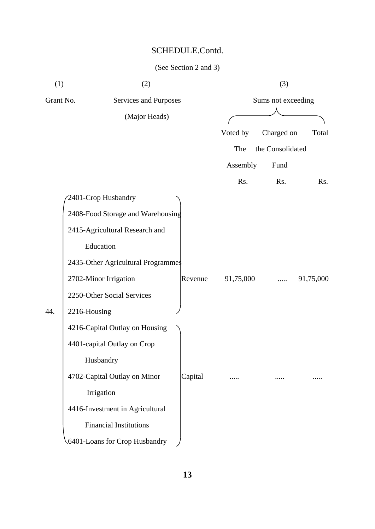| (1)       | (2)                                |         |           | (3)                |           |
|-----------|------------------------------------|---------|-----------|--------------------|-----------|
| Grant No. | Services and Purposes              |         |           | Sums not exceeding |           |
|           | (Major Heads)                      |         |           |                    |           |
|           |                                    |         | Voted by  | Charged on         | Total     |
|           |                                    |         | The       | the Consolidated   |           |
|           |                                    |         | Assembly  | Fund               |           |
|           |                                    |         | Rs.       | Rs.                | Rs.       |
|           | 2401-Crop Husbandry                |         |           |                    |           |
|           | 2408-Food Storage and Warehousing  |         |           |                    |           |
|           | 2415-Agricultural Research and     |         |           |                    |           |
|           | Education                          |         |           |                    |           |
|           | 2435-Other Agricultural Programmes |         |           |                    |           |
|           | 2702-Minor Irrigation              | Revenue | 91,75,000 |                    | 91,75,000 |
|           | 2250-Other Social Services         |         |           |                    |           |
| 44.       | 2216-Housing                       |         |           |                    |           |
|           | 4216-Capital Outlay on Housing     |         |           |                    |           |
|           | 4401-capital Outlay on Crop        |         |           |                    |           |
|           | Husbandry                          |         |           |                    |           |
|           | 4702-Capital Outlay on Minor       | Capital |           |                    |           |
|           | Irrigation                         |         |           |                    |           |
|           | 4416-Investment in Agricultural    |         |           |                    |           |
|           | <b>Financial Institutions</b>      |         |           |                    |           |
|           | 6401-Loans for Crop Husbandry      |         |           |                    |           |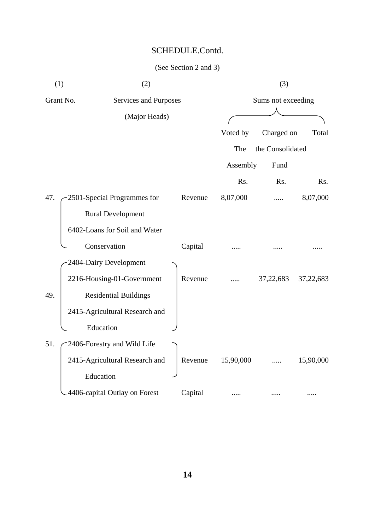| (1) | (2)                                |         |           | (3)                |           |
|-----|------------------------------------|---------|-----------|--------------------|-----------|
|     | Grant No.<br>Services and Purposes |         |           | Sums not exceeding |           |
|     | (Major Heads)                      |         |           |                    |           |
|     |                                    |         | Voted by  | Charged on         | Total     |
|     |                                    |         | The       | the Consolidated   |           |
|     |                                    |         | Assembly  | Fund               |           |
|     |                                    |         | Rs.       | Rs.                | Rs.       |
| 47. | 2501-Special Programmes for        | Revenue | 8,07,000  |                    | 8,07,000  |
|     | <b>Rural Development</b>           |         |           |                    |           |
|     | 6402-Loans for Soil and Water      |         |           |                    |           |
|     | Conservation                       | Capital |           |                    |           |
|     | 2404-Dairy Development             |         |           |                    |           |
|     | 2216-Housing-01-Government         | Revenue |           | 37,22,683          | 37,22,683 |
| 49. | <b>Residential Buildings</b>       |         |           |                    |           |
|     | 2415-Agricultural Research and     |         |           |                    |           |
|     | Education                          |         |           |                    |           |
| 51. | 2406-Forestry and Wild Life        |         |           |                    |           |
|     | 2415-Agricultural Research and     | Revenue | 15,90,000 |                    | 15,90,000 |
|     | Education                          |         |           |                    |           |
|     | 4406-capital Outlay on Forest      | Capital |           |                    |           |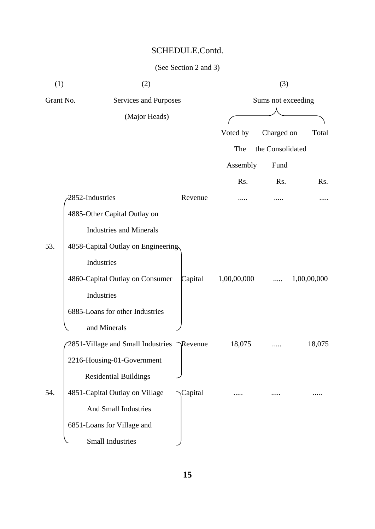| (1)       | (2)                                       |         |             | (3)                |             |
|-----------|-------------------------------------------|---------|-------------|--------------------|-------------|
| Grant No. | Services and Purposes                     |         |             | Sums not exceeding |             |
|           | (Major Heads)                             |         |             |                    |             |
|           |                                           |         | Voted by    | Charged on         | Total       |
|           |                                           |         | The         | the Consolidated   |             |
|           |                                           |         | Assembly    | Fund               |             |
|           |                                           |         | Rs.         | Rs.                | Rs.         |
|           | 2852-Industries                           | Revenue |             |                    |             |
|           | 4885-Other Capital Outlay on              |         |             |                    |             |
|           | <b>Industries and Minerals</b>            |         |             |                    |             |
| 53.       | 4858-Capital Outlay on Engineering        |         |             |                    |             |
|           | Industries                                |         |             |                    |             |
|           | 4860-Capital Outlay on Consumer           | Capital | 1,00,00,000 | .                  | 1,00,00,000 |
|           | Industries                                |         |             |                    |             |
|           | 6885-Loans for other Industries           |         |             |                    |             |
|           | and Minerals                              |         |             |                    |             |
|           | 2851-Village and Small Industries Revenue |         | 18,075      |                    | 18,075      |
|           | 2216-Housing-01-Government                |         |             |                    |             |
|           | <b>Residential Buildings</b>              |         |             |                    |             |
| 54.       | 4851-Capital Outlay on Village            | Capital |             |                    |             |
|           | <b>And Small Industries</b>               |         |             |                    |             |
|           | 6851-Loans for Village and                |         |             |                    |             |
|           | <b>Small Industries</b>                   |         |             |                    |             |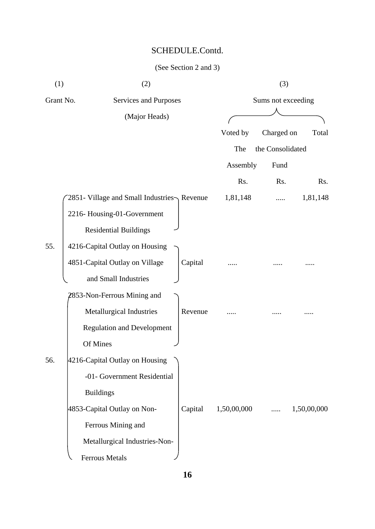| (1)       | (2)                                        |         | (3)         |                    |             |  |  |
|-----------|--------------------------------------------|---------|-------------|--------------------|-------------|--|--|
| Grant No. | Services and Purposes                      |         |             | Sums not exceeding |             |  |  |
|           | (Major Heads)                              |         |             |                    |             |  |  |
|           |                                            |         | Voted by    | Charged on         | Total       |  |  |
|           |                                            |         | The         | the Consolidated   |             |  |  |
|           |                                            |         | Assembly    | Fund               |             |  |  |
|           |                                            |         | Rs.         | Rs.                | Rs.         |  |  |
|           | 2851- Village and Small Industries Revenue |         | 1,81,148    |                    | 1,81,148    |  |  |
|           | 2216-Housing-01-Government                 |         |             |                    |             |  |  |
|           | <b>Residential Buildings</b>               |         |             |                    |             |  |  |
| 55.       | 4216-Capital Outlay on Housing             |         |             |                    |             |  |  |
|           | 4851-Capital Outlay on Village             | Capital |             |                    |             |  |  |
|           | and Small Industries                       |         |             |                    |             |  |  |
|           | 2853-Non-Ferrous Mining and                |         |             |                    |             |  |  |
|           | Metallurgical Industries                   | Revenue |             |                    |             |  |  |
|           | <b>Regulation and Development</b>          |         |             |                    |             |  |  |
|           | Of Mines                                   |         |             |                    |             |  |  |
| 56.       | 4216-Capital Outlay on Housing             |         |             |                    |             |  |  |
|           | -01- Government Residential                |         |             |                    |             |  |  |
|           | <b>Buildings</b>                           |         |             |                    |             |  |  |
|           | 4853-Capital Outlay on Non-                | Capital | 1,50,00,000 | .                  | 1,50,00,000 |  |  |
|           | Ferrous Mining and                         |         |             |                    |             |  |  |
|           | Metallurgical Industries-Non-              |         |             |                    |             |  |  |
|           | <b>Ferrous Metals</b>                      |         |             |                    |             |  |  |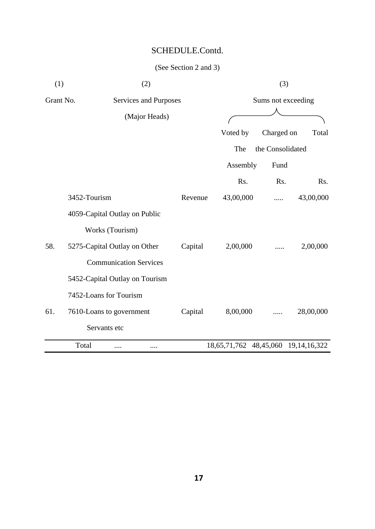| (1)       | (2)                            |         |                                     | (3)                |           |
|-----------|--------------------------------|---------|-------------------------------------|--------------------|-----------|
| Grant No. | Services and Purposes          |         |                                     | Sums not exceeding |           |
|           | (Major Heads)                  |         |                                     |                    |           |
|           |                                |         | Voted by                            | Charged on         | Total     |
|           |                                |         | The                                 | the Consolidated   |           |
|           |                                |         | Assembly                            | Fund               |           |
|           |                                |         | Rs.                                 | Rs.                | Rs.       |
|           | 3452-Tourism                   | Revenue | 43,00,000                           |                    | 43,00,000 |
|           | 4059-Capital Outlay on Public  |         |                                     |                    |           |
|           | Works (Tourism)                |         |                                     |                    |           |
| 58.       | 5275-Capital Outlay on Other   | Capital | 2,00,000                            |                    | 2,00,000  |
|           | <b>Communication Services</b>  |         |                                     |                    |           |
|           | 5452-Capital Outlay on Tourism |         |                                     |                    |           |
|           | 7452-Loans for Tourism         |         |                                     |                    |           |
| 61.       | 7610-Loans to government       | Capital | 8,00,000                            | .                  | 28,00,000 |
|           | Servants etc                   |         |                                     |                    |           |
|           | Total<br><br>                  |         | 18,65,71,762 48,45,060 19,14,16,322 |                    |           |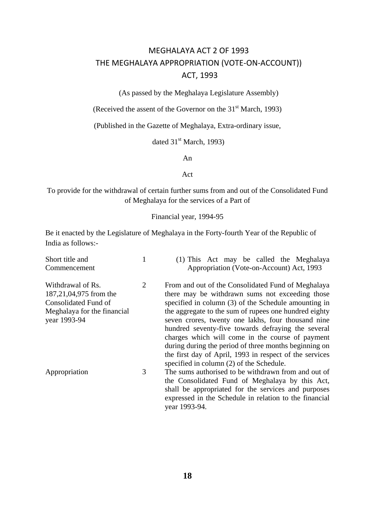## MEGHALAYA ACT 2 OF 1993 THE MEGHALAYA APPROPRIATION (VOTE-ON-ACCOUNT)) ACT, 1993

(As passed by the Meghalaya Legislature Assembly)

(Received the assent of the Governor on the  $31<sup>st</sup>$  March, 1993)

(Published in the Gazette of Meghalaya, Extra-ordinary issue,

dated  $31<sup>st</sup>$  March, 1993)

An

Act

To provide for the withdrawal of certain further sums from and out of the Consolidated Fund of Meghalaya for the services of a Part of

#### Financial year, 1994-95

Be it enacted by the Legislature of Meghalaya in the Forty-fourth Year of the Republic of India as follows:-

| Short title and                                                                                                    |   | (1) This Act may be called the Meghalaya                                                                                                                                                                                                                                     |
|--------------------------------------------------------------------------------------------------------------------|---|------------------------------------------------------------------------------------------------------------------------------------------------------------------------------------------------------------------------------------------------------------------------------|
| Commencement                                                                                                       |   | Appropriation (Vote-on-Account) Act, 1993                                                                                                                                                                                                                                    |
| Withdrawal of Rs.<br>187,21,04,975 from the<br>Consolidated Fund of<br>Meghalaya for the financial<br>year 1993-94 | 2 | From and out of the Consolidated Fund of Meghalaya<br>there may be withdrawn sums not exceeding those<br>specified in column (3) of the Schedule amounting in<br>the aggregate to the sum of rupees one hundred eighty<br>seven crores, twenty one lakhs, four thousand nine |
|                                                                                                                    |   | hundred seventy-five towards defraying the several<br>charges which will come in the course of payment<br>during during the period of three months beginning on<br>the first day of April, 1993 in respect of the services<br>specified in column (2) of the Schedule.       |
| Appropriation                                                                                                      | 3 | The sums authorised to be withdrawn from and out of<br>the Consolidated Fund of Meghalaya by this Act,<br>shall be appropriated for the services and purposes<br>expressed in the Schedule in relation to the financial<br>year 1993-94.                                     |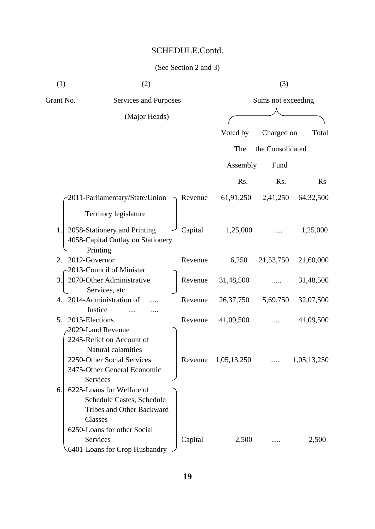| (1)       | (2)                                     |         |             | (3)                |             |
|-----------|-----------------------------------------|---------|-------------|--------------------|-------------|
| Grant No. | Services and Purposes                   |         |             | Sums not exceeding |             |
|           | (Major Heads)                           |         |             |                    |             |
|           |                                         |         | Voted by    | Charged on         | Total       |
|           |                                         |         | The         | the Consolidated   |             |
|           |                                         |         |             |                    |             |
|           |                                         |         | Assembly    | Fund               |             |
|           |                                         |         | Rs.         | Rs.                | Rs          |
|           | 2011-Parliamentary/State/Union -        | Revenue | 61,91,250   | 2,41,250           | 64,32,500   |
|           | Territory legislature                   |         |             |                    |             |
| 1.        | 2058-Stationery and Printing            | Capital | 1,25,000    |                    | 1,25,000    |
|           | 4058-Capital Outlay on Stationery       |         |             |                    |             |
|           | Printing                                |         |             |                    |             |
| 2.        | 2012-Governor                           | Revenue | 6,250       | 21,53,750          | 21,60,000   |
|           | 2013-Council of Minister                |         |             |                    |             |
| 3.        | 2070-Other Administrative               | Revenue | 31,48,500   |                    | 31,48,500   |
| 4.        | Services, etc<br>2014-Administration of | Revenue | 26, 37, 750 | 5,69,750           | 32,07,500   |
|           | Justice                                 |         |             |                    |             |
| 5.        | 2015-Elections                          | Revenue | 41,09,500   |                    | 41,09,500   |
|           | 2029-Land Revenue                       |         |             |                    |             |
|           | 2245-Relief on Account of               |         |             |                    |             |
|           | Natural calamities                      |         |             |                    |             |
|           | 2250-Other Social Services              | Revenue | 1,05,13,250 |                    | 1,05,13,250 |
|           | 3475-Other General Economic             |         |             |                    |             |
|           | Services                                |         |             |                    |             |
| 6.        | 6225-Loans for Welfare of               |         |             |                    |             |
|           | Schedule Castes, Schedule               |         |             |                    |             |
|           | <b>Tribes and Other Backward</b>        |         |             |                    |             |
|           | Classes                                 |         |             |                    |             |
|           | 6250-Loans for other Social             |         |             |                    |             |
|           | Services                                | Capital | 2,500       |                    | 2,500       |
|           | 6401-Loans for Crop Husbandry           |         |             |                    |             |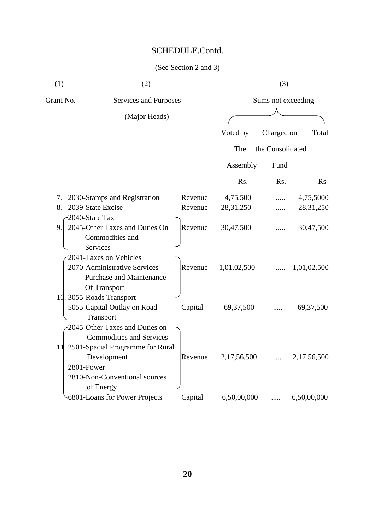| (1) | (2) | (3) |
|-----|-----|-----|

| Grant No.             | <b>Services and Purposes</b>                                                                                                                                           |         |             | Sums not exceeding |             |  |  |
|-----------------------|------------------------------------------------------------------------------------------------------------------------------------------------------------------------|---------|-------------|--------------------|-------------|--|--|
|                       | (Major Heads)                                                                                                                                                          |         |             |                    |             |  |  |
|                       |                                                                                                                                                                        |         | Voted by    | Charged on         | Total       |  |  |
|                       |                                                                                                                                                                        |         | The         | the Consolidated   |             |  |  |
|                       |                                                                                                                                                                        |         | Assembly    | Fund               |             |  |  |
|                       |                                                                                                                                                                        |         | Rs.         | Rs.                | Rs          |  |  |
| 7.                    | 2030-Stamps and Registration                                                                                                                                           | Revenue | 4,75,500    |                    | 4,75,5000   |  |  |
| 8.                    | 2039-State Excise                                                                                                                                                      | Revenue | 28, 31, 250 |                    | 28, 31, 250 |  |  |
| -2040-State Tax<br>9. | 2045-Other Taxes and Duties On<br>Commodities and<br><b>Services</b>                                                                                                   | Revenue | 30,47,500   |                    | 30,47,500   |  |  |
|                       | 2041-Taxes on Vehicles<br>2070-Administrative Services<br><b>Purchase and Maintenance</b><br>Of Transport                                                              | Revenue | 1,01,02,500 |                    | 1,01,02,500 |  |  |
|                       | 10. 3055-Roads Transport<br>5055-Capital Outlay on Road<br>Transport                                                                                                   | Capital | 69, 37, 500 |                    | 69, 37, 500 |  |  |
| 2801-Power            | 2045-Other Taxes and Duties on<br><b>Commodities and Services</b><br>11. 2501-Spacial Programme for Rural<br>Development<br>2810-Non-Conventional sources<br>of Energy | Revenue | 2,17,56,500 |                    | 2,17,56,500 |  |  |
|                       | 6801-Loans for Power Projects                                                                                                                                          | Capital | 6,50,00,000 | .                  | 6,50,00,000 |  |  |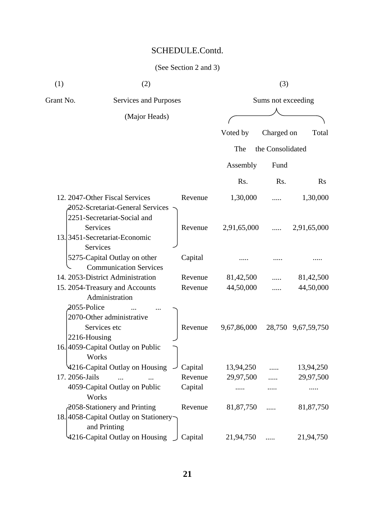| (1)       | (2)                                                                                               |         |             | (3)                |                    |
|-----------|---------------------------------------------------------------------------------------------------|---------|-------------|--------------------|--------------------|
| Grant No. | Services and Purposes                                                                             |         |             | Sums not exceeding |                    |
|           | (Major Heads)                                                                                     |         |             |                    |                    |
|           |                                                                                                   |         | Voted by    | Charged on         | Total              |
|           |                                                                                                   |         | The         | the Consolidated   |                    |
|           |                                                                                                   |         | Assembly    | Fund               |                    |
|           |                                                                                                   |         | Rs.         | Rs.                | Rs                 |
|           | 12. 2047-Other Fiscal Services<br>2052-Scretariat-General Services<br>2251-Secretariat-Social and | Revenue | 1,30,000    |                    | 1,30,000           |
|           | Services<br>13.3451-Secretariat-Economic<br>Services                                              | Revenue | 2,91,65,000 |                    | 2,91,65,000        |
|           | 5275-Capital Outlay on other<br><b>Communication Services</b>                                     | Capital |             |                    |                    |
|           | 14. 2053-District Administration                                                                  | Revenue | 81,42,500   |                    | 81,42,500          |
|           | 15. 2054-Treasury and Accounts<br>Administration<br>2055-Police<br>2070-Other administrative      | Revenue | 44,50,000   |                    | 44,50,000          |
|           | Services etc<br>2216-Housing                                                                      | Revenue | 9,67,86,000 |                    | 28,750 9,67,59,750 |
|           | 16.4059-Capital Outlay on Public<br>Works                                                         |         |             |                    |                    |
|           | 4216-Capital Outlay on Housing                                                                    | Capital | 13,94,250   |                    | 13,94,250          |
|           | 17. 2056-Jails                                                                                    | Revenue | 29,97,500   |                    | 29,97,500          |
|           | 4059-Capital Outlay on Public<br>Works                                                            | Capital |             |                    |                    |
|           | 2058-Stationery and Printing<br>18.4058-Capital Outlay on Stationery-<br>and Printing             | Revenue | 81,87,750   |                    | 81,87,750          |
|           | 4216-Capital Outlay on Housing                                                                    | Capital | 21,94,750   | .                  | 21,94,750          |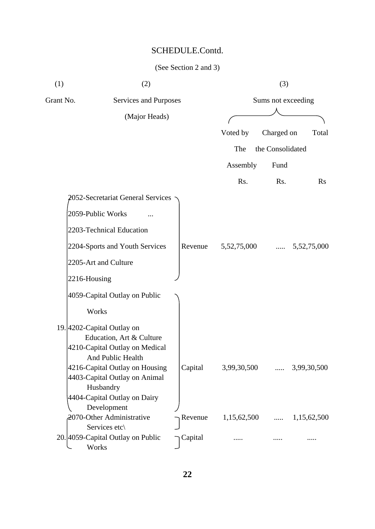| (1)       | (2)                                                 |         |                    | (3)              |                      |
|-----------|-----------------------------------------------------|---------|--------------------|------------------|----------------------|
| Grant No. | Services and Purposes                               |         | Sums not exceeding |                  |                      |
|           | (Major Heads)                                       |         |                    |                  |                      |
|           |                                                     |         | Voted by           | Charged on       | Total                |
|           |                                                     |         | The                | the Consolidated |                      |
|           |                                                     |         | Assembly           | Fund             |                      |
|           |                                                     |         | Rs.                | Rs.              | Rs                   |
|           | 2052-Secretariat General Services                   |         |                    |                  |                      |
|           | 2059-Public Works                                   |         |                    |                  |                      |
|           | 2203-Technical Education                            |         |                    |                  |                      |
|           | 2204-Sports and Youth Services                      | Revenue | 5,52,75,000        | $\cdots$         | 5,52,75,000          |
|           | 2205-Art and Culture                                |         |                    |                  |                      |
|           | 2216-Housing                                        |         |                    |                  |                      |
|           | 4059-Capital Outlay on Public                       |         |                    |                  |                      |
|           | Works                                               |         |                    |                  |                      |
|           | 19. 4202-Capital Outlay on                          |         |                    |                  |                      |
|           | Education, Art & Culture                            |         |                    |                  |                      |
|           | 4210-Capital Outlay on Medical                      |         |                    |                  |                      |
|           | And Public Health<br>4216-Capital Outlay on Housing | Capital | 3,99,30,500        |                  | $\ldots$ 3,99,30,500 |
|           | 4403-Capital Outlay on Animal                       |         |                    |                  |                      |
|           | Husbandry                                           |         |                    |                  |                      |
|           | 4404-Capital Outlay on Dairy                        |         |                    |                  |                      |
|           | Development                                         |         |                    |                  |                      |
|           | 2070-Other Administrative                           | Revenue | 1,15,62,500        |                  | 1,15,62,500          |
|           | Services etc\                                       |         |                    |                  |                      |
|           | 20. 4059-Capital Outlay on Public<br>Works          | Capital |                    |                  |                      |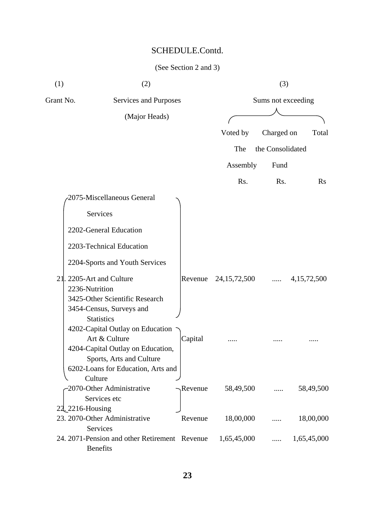| (1)       | (2)                                                                                                                |         |                      | (3)                |             |
|-----------|--------------------------------------------------------------------------------------------------------------------|---------|----------------------|--------------------|-------------|
| Grant No. | Services and Purposes                                                                                              |         |                      | Sums not exceeding |             |
|           | (Major Heads)                                                                                                      |         |                      |                    |             |
|           |                                                                                                                    |         | Voted by             | Charged on         | Total       |
|           |                                                                                                                    |         | The                  | the Consolidated   |             |
|           |                                                                                                                    |         |                      |                    |             |
|           |                                                                                                                    |         | Assembly             | Fund               |             |
|           |                                                                                                                    |         | Rs.                  | Rs.                | $\rm Rs$    |
|           | 2075-Miscellaneous General                                                                                         |         |                      |                    |             |
|           | <b>Services</b>                                                                                                    |         |                      |                    |             |
|           | 2202-General Education                                                                                             |         |                      |                    |             |
|           | 2203-Technical Education                                                                                           |         |                      |                    |             |
|           | 2204-Sports and Youth Services                                                                                     |         |                      |                    |             |
|           | 21. 2205-Art and Culture<br>2236-Nutrition                                                                         |         | Revenue 24,15,72,500 | $\cdots$           | 4,15,72,500 |
|           | 3425-Other Scientific Research<br>3454-Census, Surveys and<br><b>Statistics</b>                                    |         |                      |                    |             |
|           | 4202-Capital Outlay on Education<br>Art & Culture<br>4204-Capital Outlay on Education,<br>Sports, Arts and Culture | Capital |                      |                    |             |
|           | 6202-Loans for Education, Arts and<br>Culture<br>-2070-Other Administrative                                        | Revenue | 58,49,500            |                    | 58,49,500   |
|           | Services etc                                                                                                       |         |                      |                    |             |
|           | 22, 2216-Housing<br>23. 2070-Other Administrative                                                                  | Revenue | 18,00,000            |                    | 18,00,000   |
|           | Services                                                                                                           |         |                      |                    |             |
|           | 24. 2071-Pension and other Retirement Revenue<br>Benefits                                                          |         | 1,65,45,000          |                    | 1,65,45,000 |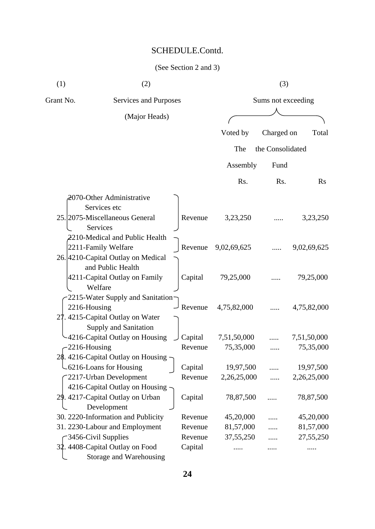| (1)       | (2)                                                                                  |                    |                          | (3)              |                          |  |
|-----------|--------------------------------------------------------------------------------------|--------------------|--------------------------|------------------|--------------------------|--|
| Grant No. | <b>Services and Purposes</b>                                                         |                    | Sums not exceeding       |                  |                          |  |
|           | (Major Heads)                                                                        |                    |                          |                  |                          |  |
|           |                                                                                      |                    | Voted by                 | Charged on       | Total                    |  |
|           |                                                                                      |                    | The                      | the Consolidated |                          |  |
|           |                                                                                      |                    | Assembly                 | Fund             |                          |  |
|           |                                                                                      |                    | Rs.                      | Rs.              | $\rm Rs$                 |  |
|           | 2070-Other Administrative<br>Services etc                                            |                    |                          |                  |                          |  |
|           | 25. 2075-Miscellaneous General<br>Services<br>2210-Medical and Public Health         | Revenue            | 3,23,250                 |                  | 3,23,250                 |  |
|           | 2211-Family Welfare<br>26. 4210-Capital Outlay on Medical<br>and Public Health       | Revenue            | 9,02,69,625              |                  | 9,02,69,625              |  |
|           | 4211-Capital Outlay on Family<br>Welfare<br>-2215-Water Supply and Sanitation-       | Capital            | 79,25,000                |                  | 79,25,000                |  |
|           | 2216-Housing<br>27. 4215-Capital Outlay on Water<br>Supply and Sanitation            | Revenue            | 4,75,82,000              |                  | 4,75,82,000              |  |
|           | -4216-Capital Outlay on Housing                                                      | Capital            | 7,51,50,000              |                  | 7,51,50,000              |  |
|           | 2216-Housing                                                                         | Revenue            | 75,35,000                |                  | 75,35,000                |  |
|           | 4216-Capital Outlay on Housing<br>-6216-Loans for Housing<br>-2217-Urban Development | Capital<br>Revenue | 19,97,500<br>2,26,25,000 |                  | 19,97,500<br>2,26,25,000 |  |
|           | 4216-Capital Outlay on Housing -<br>29. 4217-Capital Outlay on Urban<br>Development  | Capital            | 78,87,500                |                  | 78,87,500                |  |
|           | 30. 2220-Information and Publicity                                                   | Revenue            | 45,20,000                |                  | 45,20,000                |  |
|           | 31. 2230-Labour and Employment                                                       | Revenue            | 81,57,000                | .                | 81,57,000                |  |
|           | -3456-Civil Supplies                                                                 | Revenue            | 37, 55, 250              |                  | 27,55,250                |  |
|           | 32. 4408-Capital Outlay on Food<br>Storage and Warehousing                           | Capital            |                          |                  |                          |  |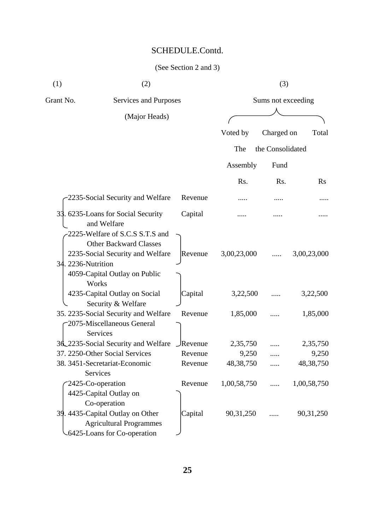| (1) | (2) | (3) |
|-----|-----|-----|
|     |     |     |

| Grant No.          | <b>Services and Purposes</b>                                                                                       |                 | Sums not exceeding |                  |                |  |
|--------------------|--------------------------------------------------------------------------------------------------------------------|-----------------|--------------------|------------------|----------------|--|
|                    | (Major Heads)                                                                                                      |                 |                    |                  |                |  |
|                    |                                                                                                                    |                 | Voted by           | Charged on       | Total          |  |
|                    |                                                                                                                    |                 | The                | the Consolidated |                |  |
|                    |                                                                                                                    |                 | Assembly           | Fund             |                |  |
|                    |                                                                                                                    |                 | Rs.                | Rs.              | $\mathbf{R}$ s |  |
|                    | 2235-Social Security and Welfare                                                                                   | Revenue         |                    |                  |                |  |
|                    | 33. 6235-Loans for Social Security<br>and Welfare                                                                  | Capital         |                    |                  |                |  |
| 34. 2236-Nutrition | 2225-Welfare of S.C.S S.T.S and<br><b>Other Backward Classes</b><br>2235-Social Security and Welfare               | Revenue         | 3,00,23,000        |                  | 3,00,23,000    |  |
| Works              | 4059-Capital Outlay on Public<br>4235-Capital Outlay on Social<br>Security & Welfare                               | Capital         | 3,22,500           |                  | 3,22,500       |  |
|                    | 35. 2235-Social Security and Welfare<br>2075-Miscellaneous General<br>Services                                     | Revenue         | 1,85,000           |                  | 1,85,000       |  |
|                    | 3d_2235-Social Security and Welfare                                                                                | $\iint$ Revenue | 2,35,750           |                  | 2,35,750       |  |
|                    | 37. 2250-Other Social Services                                                                                     | Revenue         | 9,250              |                  | 9,250          |  |
| <b>Services</b>    | 38. 3451-Secretariat-Economic                                                                                      | Revenue         | 48, 38, 750        |                  | 48,38,750      |  |
| 2425-Co-operation  | 4425-Capital Outlay on                                                                                             | Revenue         | 1,00,58,750        | .                | 1,00,58,750    |  |
|                    | Co-operation<br>39. 4435-Capital Outlay on Other<br><b>Agricultural Programmes</b><br>-6425-Loans for Co-operation | Capital         | 90,31,250          |                  | 90,31,250      |  |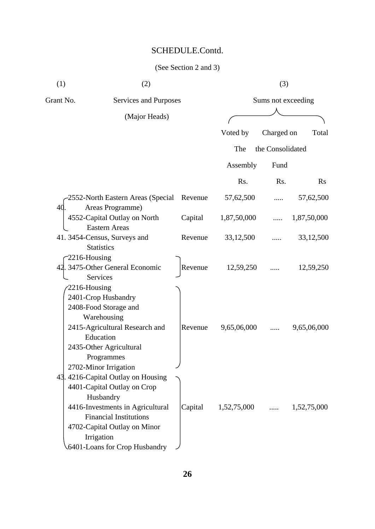| (1)          | (2)                                                                                                                                                                                                                                 |         |               | (3)                |             |
|--------------|-------------------------------------------------------------------------------------------------------------------------------------------------------------------------------------------------------------------------------------|---------|---------------|--------------------|-------------|
| Grant No.    | Services and Purposes                                                                                                                                                                                                               |         |               | Sums not exceeding |             |
|              | (Major Heads)                                                                                                                                                                                                                       |         |               |                    |             |
|              |                                                                                                                                                                                                                                     |         | Voted by      | Charged on         | Total       |
|              |                                                                                                                                                                                                                                     |         | The           | the Consolidated   |             |
|              |                                                                                                                                                                                                                                     |         | Assembly      | Fund               |             |
|              |                                                                                                                                                                                                                                     |         | Rs.           | Rs.                | $\rm Rs$    |
| 40           | 2552-North Eastern Areas (Special<br>Areas Programme)                                                                                                                                                                               | Revenue | 57,62,500     |                    | 57,62,500   |
|              | 4552-Capital Outlay on North                                                                                                                                                                                                        | Capital | 1,87,50,000   |                    | 1,87,50,000 |
|              | <b>Eastern Areas</b><br>41.3454-Census, Surveys and<br><b>Statistics</b>                                                                                                                                                            | Revenue | 33,12,500     |                    | 33,12,500   |
| 2216-Housing | 42. 3475-Other General Economic<br>Services                                                                                                                                                                                         | Revenue | 12,59,250     |                    | 12,59,250   |
| 2216-Housing | 2401-Crop Husbandry<br>2408-Food Storage and<br>Warehousing<br>2415-Agricultural Research and<br>Education<br>2435-Other Agricultural<br>Programmes<br>2702-Minor Irrigation                                                        | Revenue | 9,65,06,000   |                    | 9,65,06,000 |
|              | 43. 4216-Capital Outlay on Housing<br>4401-Capital Outlay on Crop<br>Husbandry<br>4416-Investments in Agricultural<br><b>Financial Institutions</b><br>4702-Capital Outlay on Minor<br>Irrigation<br>.6401-Loans for Crop Husbandry | Capital | $1,52,75,000$ |                    | 1,52,75,000 |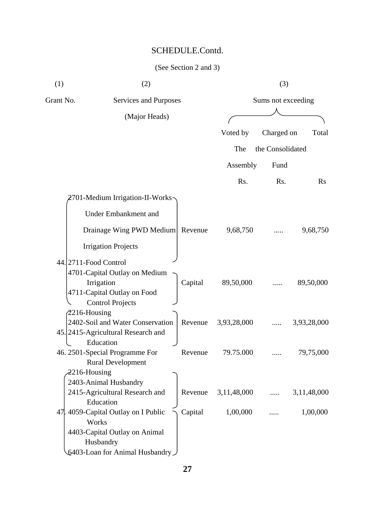| (1) | (2)                                 |         |             | (3)                |             |  |  |
|-----|-------------------------------------|---------|-------------|--------------------|-------------|--|--|
|     | Grant No.<br>Services and Purposes  |         |             | Sums not exceeding |             |  |  |
|     | (Major Heads)                       |         |             |                    |             |  |  |
|     |                                     |         | Voted by    | Charged on         | Total       |  |  |
|     |                                     |         | The         | the Consolidated   |             |  |  |
|     |                                     |         | Assembly    | Fund               |             |  |  |
|     |                                     |         |             |                    |             |  |  |
|     |                                     |         | Rs.         | Rs.                | Rs          |  |  |
|     | 2701-Medium Irrigation-II-Works-    |         |             |                    |             |  |  |
|     | <b>Under Embankment and</b>         |         |             |                    |             |  |  |
|     | Drainage Wing PWD Medium Revenue    |         | 9,68,750    |                    | 9,68,750    |  |  |
|     | <b>Irrigation Projects</b>          |         |             |                    |             |  |  |
|     | 44. 2711-Food Control               |         |             |                    |             |  |  |
|     | 4701-Capital Outlay on Medium       |         |             |                    |             |  |  |
|     | Irrigation                          | Capital | 89,50,000   |                    | 89,50,000   |  |  |
|     | 4711-Capital Outlay on Food         |         |             |                    |             |  |  |
|     | <b>Control Projects</b>             |         |             |                    |             |  |  |
|     | $2216$ -Housing                     |         |             |                    |             |  |  |
|     | 2402-Soil and Water Conservation    | Revenue | 3,93,28,000 |                    | 3,93,28,000 |  |  |
|     | 45. 2415-Agricultural Research and  |         |             |                    |             |  |  |
|     | Education                           |         |             |                    |             |  |  |
|     | 46. 2501-Special Programme For      | Revenue | 79.75.000   |                    | 79,75,000   |  |  |
|     | <b>Rural Development</b>            |         |             |                    |             |  |  |
|     | 2216-Housing                        |         |             |                    |             |  |  |
|     | 2403-Animal Husbandry               |         |             |                    |             |  |  |
|     | 2415-Agricultural Research and      | Revenue | 3,11,48,000 |                    | 3,11,48,000 |  |  |
|     | Education                           |         |             |                    |             |  |  |
|     | 47. 4059-Capital Outlay on I Public | Capital | 1,00,000    |                    | 1,00,000    |  |  |
|     | Works                               |         |             |                    |             |  |  |
|     | 4403-Capital Outlay on Animal       |         |             |                    |             |  |  |
|     | Husbandry                           |         |             |                    |             |  |  |
|     | Let 103-Loan for Animal Husbandry   |         |             |                    |             |  |  |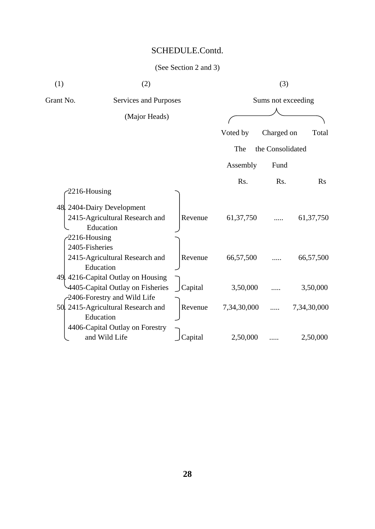| (1)       | (2)                                |                |             | (3)                |             |
|-----------|------------------------------------|----------------|-------------|--------------------|-------------|
| Grant No. | Services and Purposes              |                |             | Sums not exceeding |             |
|           | (Major Heads)                      |                |             |                    |             |
|           |                                    |                | Voted by    | Charged on         | Total       |
|           |                                    |                | The         | the Consolidated   |             |
|           |                                    |                | Assembly    | Fund               |             |
|           |                                    |                | Rs.         | Rs.                | <b>Rs</b>   |
|           | 2216-Housing                       |                |             |                    |             |
|           | 48. 2404-Dairy Development         |                |             |                    |             |
|           | 2415-Agricultural Research and     | Revenue        | 61, 37, 750 |                    | 61, 37, 750 |
|           | Education                          |                |             |                    |             |
|           | $-2216$ -Housing                   |                |             |                    |             |
|           | 2405-Fisheries                     |                |             |                    |             |
|           | 2415-Agricultural Research and     | Revenue        | 66,57,500   |                    | 66,57,500   |
|           | Education                          |                |             |                    |             |
|           | 49. 4216-Capital Outlay on Housing |                |             |                    |             |
|           | 4405-Capital Outlay on Fisheries   | $\int$ Capital | 3,50,000    |                    | 3,50,000    |
|           | -2406-Forestry and Wild Life       |                |             |                    |             |
|           | 50. 2415-Agricultural Research and | Revenue        | 7,34,30,000 |                    | 7,34,30,000 |
|           | Education                          |                |             |                    |             |
|           | 4406-Capital Outlay on Forestry    |                |             |                    |             |
|           | and Wild Life                      | Capital        | 2,50,000    |                    | 2,50,000    |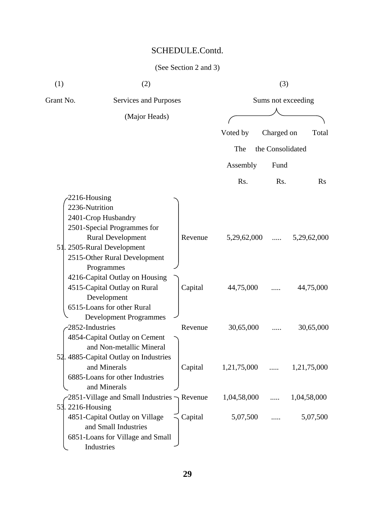| (1)                            | (2)                                                                                                                                                                                                                                                                                                        |                    |                          | (3)              |                          |
|--------------------------------|------------------------------------------------------------------------------------------------------------------------------------------------------------------------------------------------------------------------------------------------------------------------------------------------------------|--------------------|--------------------------|------------------|--------------------------|
| Grant No.                      | Services and Purposes                                                                                                                                                                                                                                                                                      |                    |                          |                  | Sums not exceeding       |
|                                | (Major Heads)                                                                                                                                                                                                                                                                                              |                    |                          |                  |                          |
|                                |                                                                                                                                                                                                                                                                                                            |                    | Voted by                 | Charged on       | Total                    |
|                                |                                                                                                                                                                                                                                                                                                            |                    | The                      | the Consolidated |                          |
|                                |                                                                                                                                                                                                                                                                                                            |                    | Assembly                 | Fund             |                          |
|                                |                                                                                                                                                                                                                                                                                                            |                    | Rs.                      | Rs.              | Rs                       |
| 2216-Housing<br>2236-Nutrition | 2401-Crop Husbandry<br>2501-Special Programmes for<br><b>Rural Development</b><br>51. 2505-Rural Development<br>2515-Other Rural Development<br>Programmes<br>4216-Capital Outlay on Housing<br>4515-Capital Outlay on Rural<br>Development<br>6515-Loans for other Rural<br><b>Development Programmes</b> | Revenue<br>Capital | 5,29,62,000<br>44,75,000 | .                | 5,29,62,000<br>44,75,000 |
| 2852-Industries<br>52          | 4854-Capital Outlay on Cement<br>and Non-metallic Mineral<br>4885-Capital Outlay on Industries                                                                                                                                                                                                             | Revenue            | 30,65,000                |                  | 30,65,000                |
|                                | and Minerals<br>6885-Loans for other Industries<br>and Minerals                                                                                                                                                                                                                                            | Capital            | 1,21,75,000              | $\cdots$         | 1,21,75,000              |
|                                | 2851-Village and Small Industries $\neg$ Revenue                                                                                                                                                                                                                                                           |                    | 1,04,58,000              | $\cdots$         | 1,04,58,000              |
| 53. 2216-Housing               | 4851-Capital Outlay on Village<br>and Small Industries<br>6851-Loans for Village and Small<br>Industries                                                                                                                                                                                                   | Capital            | 5,07,500                 |                  | 5,07,500                 |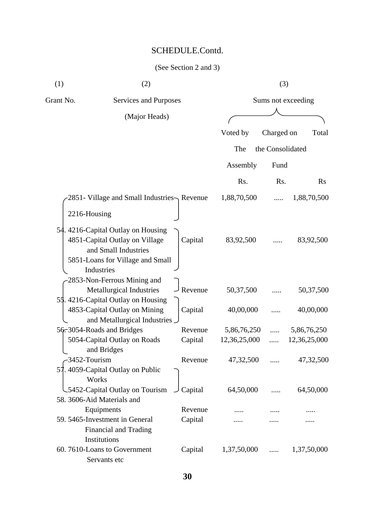| (1)       | (2)                                                                                                                                           |         |              | (3)                |              |  |  |
|-----------|-----------------------------------------------------------------------------------------------------------------------------------------------|---------|--------------|--------------------|--------------|--|--|
| Grant No. | Services and Purposes                                                                                                                         |         |              | Sums not exceeding |              |  |  |
|           | (Major Heads)                                                                                                                                 |         |              |                    |              |  |  |
|           |                                                                                                                                               |         | Voted by     | Charged on         | Total        |  |  |
|           |                                                                                                                                               |         | The          | the Consolidated   |              |  |  |
|           |                                                                                                                                               |         | Assembly     | Fund               |              |  |  |
|           |                                                                                                                                               |         | Rs.          | Rs.                | <b>Rs</b>    |  |  |
|           | 2851 - Village and Small Industries Revenue                                                                                                   |         | 1,88,70,500  |                    | 1,88,70,500  |  |  |
|           | 2216-Housing                                                                                                                                  |         |              |                    |              |  |  |
|           | 54.4216-Capital Outlay on Housing<br>4851-Capital Outlay on Village<br>and Small Industries<br>5851-Loans for Village and Small<br>Industries | Capital | 83,92,500    |                    | 83,92,500    |  |  |
|           | 2853-Non-Ferrous Mining and<br>Metallurgical Industries<br>55.4216-Capital Outlay on Housing                                                  | Revenue | 50,37,500    |                    | 50,37,500    |  |  |
|           | 4853-Capital Outlay on Mining<br>and Metallurgical Industries                                                                                 | Capital | 40,00,000    |                    | 40,00,000    |  |  |
|           | 56.3054-Roads and Bridges                                                                                                                     | Revenue | 5,86,76,250  |                    | 5,86,76,250  |  |  |
|           | 5054-Capital Outlay on Roads<br>and Bridges                                                                                                   | Capital | 12,36,25,000 | .                  | 12,36,25,000 |  |  |
| 57        | 3452-Tourism<br>. 4059-Capital Outlay on Public<br>Works                                                                                      | Revenue | 47,32,500    |                    | 47,32,500    |  |  |
|           | .5452-Capital Outlay on Tourism<br>58. 3606-Aid Materials and                                                                                 | Capital | 64,50,000    |                    | 64,50,000    |  |  |
|           | Equipments                                                                                                                                    | Revenue |              |                    |              |  |  |
|           | 59. 5465-Investment in General<br>Financial and Trading                                                                                       | Capital |              |                    |              |  |  |
|           | Institutions<br>60.7610-Loans to Government<br>Servants etc                                                                                   | Capital | 1,37,50,000  | .                  | 1,37,50,000  |  |  |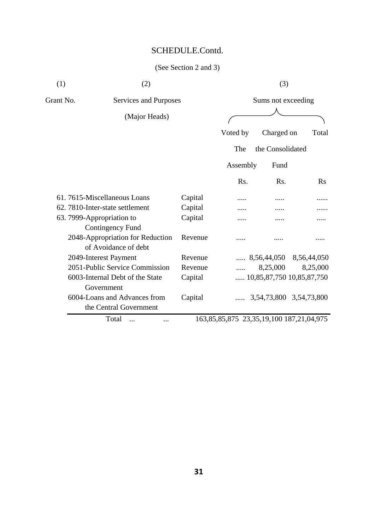## (See Section 2 and 3)

| (1)       | (2)                                                      |         |                                          | (3)                |                                    |  |
|-----------|----------------------------------------------------------|---------|------------------------------------------|--------------------|------------------------------------|--|
| Grant No. | Services and Purposes                                    |         |                                          | Sums not exceeding |                                    |  |
|           | (Major Heads)                                            |         |                                          |                    |                                    |  |
|           |                                                          |         | Voted by                                 | Charged on         | Total                              |  |
|           |                                                          |         | The                                      | the Consolidated   |                                    |  |
|           |                                                          |         | Assembly                                 | Fund               |                                    |  |
|           |                                                          |         | Rs.                                      | Rs.                | <b>Rs</b>                          |  |
|           | 61.7615-Miscellaneous Loans                              | Capital |                                          |                    |                                    |  |
|           | 62.7810-Inter-state settlement                           | Capital |                                          |                    |                                    |  |
|           | 63. 7999-Appropriation to                                | Capital |                                          |                    |                                    |  |
|           | Contingency Fund                                         |         |                                          |                    |                                    |  |
|           | 2048-Appropriation for Reduction<br>of Avoidance of debt | Revenue |                                          |                    |                                    |  |
|           | 2049-Interest Payment                                    | Revenue |                                          |                    | $\ldots$ 8,56,44,050 8,56,44,050   |  |
|           | 2051-Public Service Commission                           | Revenue |                                          | 8,25,000           | 8,25,000                           |  |
|           | 6003-Internal Debt of the State                          | Capital |                                          |                    | $\ldots$ 10,85,87,750 10,85,87,750 |  |
|           | Government                                               |         |                                          |                    |                                    |  |
|           | 6004-Loans and Advances from                             | Capital |                                          |                    | $\ldots$ 3,54,73,800 3,54,73,800   |  |
|           | the Central Government                                   |         |                                          |                    |                                    |  |
|           | $T_{\alpha\uparrow\alpha}1$                              |         | $162.95.95.975.225.10.100.197.21.04.075$ |                    |                                    |  |

Total ... ... 163,85,85,875 23,35,19,100 187,21,04,975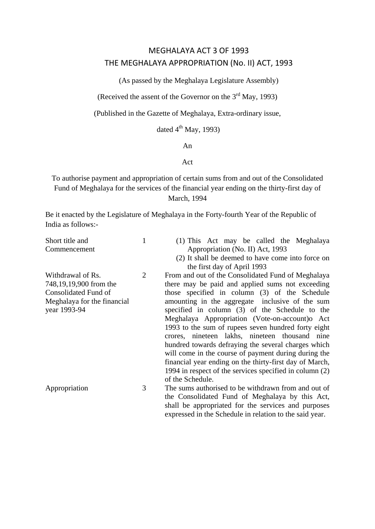## MEGHALAYA ACT 3 OF 1993 THE MEGHALAYA APPROPRIATION (No. II) ACT, 1993

(As passed by the Meghalaya Legislature Assembly)

(Received the assent of the Governor on the 3rd May, 1993)

(Published in the Gazette of Meghalaya, Extra-ordinary issue,

dated  $4^{\text{th}}$  May, 1993)

#### An

#### Act

To authorise payment and appropriation of certain sums from and out of the Consolidated Fund of Meghalaya for the services of the financial year ending on the thirty-first day of March, 1994

Be it enacted by the Legislature of Meghalaya in the Forty-fourth Year of the Republic of India as follows:-

| Short title and             |   | (1) This Act may be called the Meghalaya                |
|-----------------------------|---|---------------------------------------------------------|
| Commencement                |   | Appropriation (No. II) Act, 1993                        |
|                             |   | (2) It shall be deemed to have come into force on       |
|                             |   | the first day of April 1993                             |
| Withdrawal of Rs.           | 2 | From and out of the Consolidated Fund of Meghalaya      |
| 748,19,19,900 from the      |   | there may be paid and applied sums not exceeding        |
| Consolidated Fund of        |   | those specified in column (3) of the Schedule           |
| Meghalaya for the financial |   | amounting in the aggregate inclusive of the sum         |
| year 1993-94                |   | specified in column (3) of the Schedule to the          |
|                             |   | Meghalaya Appropriation (Vote-on-account) oAct          |
|                             |   | 1993 to the sum of rupees seven hundred forty eight     |
|                             |   | crores, nineteen lakhs, nineteen thousand nine          |
|                             |   | hundred towards defraying the several charges which     |
|                             |   | will come in the course of payment during during the    |
|                             |   | financial year ending on the thirty-first day of March, |
|                             |   | 1994 in respect of the services specified in column (2) |
|                             |   | of the Schedule.                                        |
| Appropriation               | 3 | The sums authorised to be withdrawn from and out of     |
|                             |   | the Consolidated Fund of Meghalaya by this Act,         |
|                             |   | shall be appropriated for the services and purposes     |
|                             |   | expressed in the Schedule in relation to the said year. |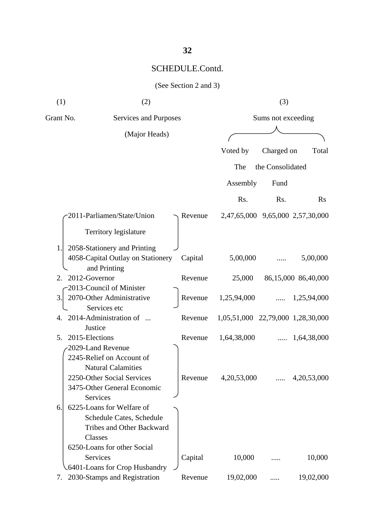| (1)                  | (2)                                               |         | (3)                               |                    |                                  |
|----------------------|---------------------------------------------------|---------|-----------------------------------|--------------------|----------------------------------|
| Grant No.            | Services and Purposes                             |         |                                   | Sums not exceeding |                                  |
|                      | (Major Heads)                                     |         |                                   |                    |                                  |
|                      |                                                   |         | Voted by                          | Charged on         | Total                            |
|                      |                                                   |         | The                               | the Consolidated   |                                  |
|                      |                                                   |         | Assembly                          | Fund               |                                  |
|                      |                                                   |         | Rs.                               | Rs.                | <b>Rs</b>                        |
|                      | 2011-Parliamen/State/Union                        | Revenue |                                   |                    | 2,47,65,000 9,65,000 2,57,30,000 |
|                      | <b>Territory legislature</b>                      |         |                                   |                    |                                  |
| 1.                   | 2058-Stationery and Printing                      |         |                                   |                    |                                  |
|                      | 4058-Capital Outlay on Stationery<br>and Printing | Capital | 5,00,000                          |                    | 5,00,000                         |
| 2012-Governor<br>2.  |                                                   | Revenue | 25,000                            |                    | 86,15,000 86,40,000              |
|                      | 2013-Council of Minister                          |         |                                   |                    |                                  |
| 3.                   | 2070-Other Administrative<br>Services etc         | Revenue | 1,25,94,000                       | $\cdots$           | 1,25,94,000                      |
| 4.                   | 2014-Administration of                            | Revenue | 1,05,51,000 22,79,000 1,28,30,000 |                    |                                  |
|                      | Justice                                           |         |                                   |                    |                                  |
| 2015-Elections<br>5. |                                                   | Revenue | 1,64,38,000                       | $\cdots$           | 1,64,38,000                      |
|                      | 2029-Land Revenue                                 |         |                                   |                    |                                  |
|                      | 2245-Relief on Account of                         |         |                                   |                    |                                  |
|                      | <b>Natural Calamities</b>                         |         |                                   |                    |                                  |
|                      | 2250-Other Social Services                        | Revenue | 4,20,53,000                       |                    | 4,20,53,000                      |
|                      | 3475-Other General Economic<br><b>Services</b>    |         |                                   |                    |                                  |
| 6.                   | 6225-Loans for Welfare of                         |         |                                   |                    |                                  |
|                      | Schedule Cates, Schedule                          |         |                                   |                    |                                  |
|                      | <b>Tribes and Other Backward</b>                  |         |                                   |                    |                                  |
|                      | Classes                                           |         |                                   |                    |                                  |
|                      | 6250-Loans for other Social                       |         |                                   |                    |                                  |
|                      | Services                                          | Capital | 10,000                            |                    | 10,000                           |
|                      | .6401-Loans for Crop Husbandry                    |         |                                   |                    |                                  |
| 7.                   | 2030-Stamps and Registration                      | Revenue | 19,02,000                         |                    | 19,02,000                        |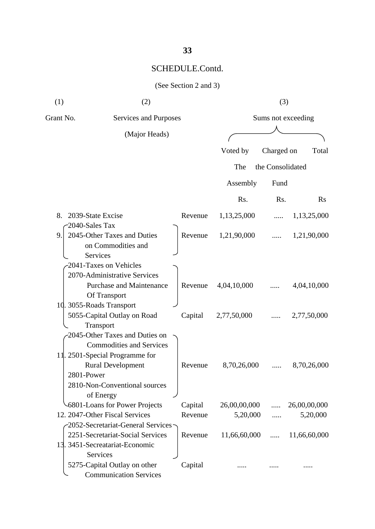| (See Section 2 and 3) |  |  |  |  |
|-----------------------|--|--|--|--|
|-----------------------|--|--|--|--|

| (1)                            | (2)                                                           |                         | (3)                |            |              |  |
|--------------------------------|---------------------------------------------------------------|-------------------------|--------------------|------------|--------------|--|
| Grant No.                      | Services and Purposes                                         |                         | Sums not exceeding |            |              |  |
|                                | (Major Heads)                                                 |                         |                    |            |              |  |
|                                |                                                               |                         | Voted by           | Charged on | Total        |  |
|                                |                                                               |                         |                    |            |              |  |
|                                |                                                               | the Consolidated<br>The |                    |            |              |  |
|                                |                                                               |                         | Assembly           | Fund       |              |  |
|                                |                                                               |                         | Rs.                | Rs.        | <b>Rs</b>    |  |
| 8.                             | 2039-State Excise                                             | Revenue                 | 1,13,25,000        |            | 1,13,25,000  |  |
| 2040-Sales Tax                 |                                                               |                         |                    |            |              |  |
| 9.                             | 2045-Other Taxes and Duties<br>on Commodities and<br>Services | Revenue                 | 1,21,90,000        |            | 1,21,90,000  |  |
|                                | 2041-Taxes on Vehicles                                        |                         |                    |            |              |  |
|                                | 2070-Administrative Services                                  |                         |                    |            |              |  |
|                                | <b>Purchase and Maintenance</b><br>Of Transport               | Revenue                 | 4,04,10,000        |            | 4,04,10,000  |  |
|                                | 10. 3055-Roads Transport                                      |                         |                    |            |              |  |
|                                | 5055-Capital Outlay on Road<br>Transport                      | Capital                 | 2,77,50,000        |            | 2,77,50,000  |  |
|                                | 2045-Other Taxes and Duties on                                |                         |                    |            |              |  |
|                                | <b>Commodities and Services</b>                               |                         |                    |            |              |  |
|                                | 11. 2501-Special Programme for                                |                         |                    |            |              |  |
|                                | <b>Rural Development</b>                                      | Revenue                 | 8,70,26,000        |            | 8,70,26,000  |  |
| 2801-Power                     |                                                               |                         |                    |            |              |  |
|                                | 2810-Non-Conventional sources                                 |                         |                    |            |              |  |
|                                | of Energy                                                     |                         |                    |            |              |  |
|                                | -6801-Loans for Power Projects                                | Capital                 | 26,00,00,000       | .          | 26,00,00,000 |  |
| 12. 2047-Other Fiscal Services |                                                               | Revenue                 | 5,20,000           |            | 5,20,000     |  |
|                                | -2052-Secretariat-General Services-                           |                         |                    |            |              |  |
|                                | 2251-Secretariat-Social Services                              | Revenue                 | 11,66,60,000       | .          | 11,66,60,000 |  |
|                                | 13. 3451-Secreatariat-Economic                                |                         |                    |            |              |  |
|                                | Services                                                      |                         |                    |            |              |  |
|                                | 5275-Capital Outlay on other<br><b>Communication Services</b> | Capital                 |                    |            |              |  |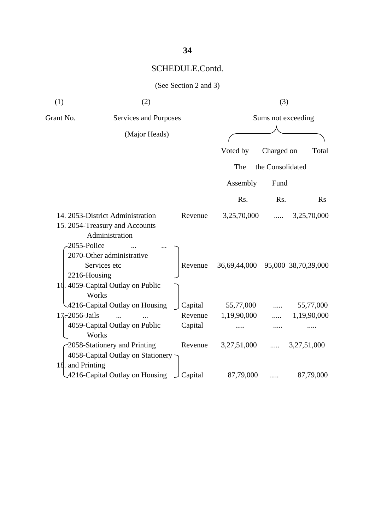| (1)              | (2)                                                                                                                                  |                               | (3)                      |                    |                          |  |
|------------------|--------------------------------------------------------------------------------------------------------------------------------------|-------------------------------|--------------------------|--------------------|--------------------------|--|
| Grant No.        |                                                                                                                                      | Services and Purposes         |                          | Sums not exceeding |                          |  |
|                  | (Major Heads)                                                                                                                        |                               |                          |                    |                          |  |
|                  |                                                                                                                                      |                               | Voted by                 | Charged on         | Total                    |  |
|                  |                                                                                                                                      |                               | the Consolidated<br>The  |                    |                          |  |
|                  |                                                                                                                                      |                               | Assembly                 | Fund               |                          |  |
|                  |                                                                                                                                      |                               | Rs.                      | Rs.                | <b>Rs</b>                |  |
|                  | 14. 2053-District Administration<br>15. 2054-Treasury and Accounts<br>Administration<br>2055-Police                                  | Revenue                       | 3,25,70,000              |                    | 3,25,70,000              |  |
|                  | 2070-Other administrative<br>Services etc<br>2216-Housing                                                                            | Revenue                       | 36,69,44,000             |                    | 95,000 38,70,39,000      |  |
| 17-2056-Jails    | 16. 4059-Capital Outlay on Public<br>Works<br>4216-Capital Outlay on Housing<br>$\dddotsc$<br>4059-Capital Outlay on Public<br>Works | Capital<br>Revenue<br>Capital | 55,77,000<br>1,19,90,000 |                    | 55,77,000<br>1,19,90,000 |  |
| 18. and Printing | 2058-Stationery and Printing<br>4058-Capital Outlay on Stationery ·                                                                  | Revenue                       | 3,27,51,000              |                    | 3,27,51,000              |  |
|                  | 4216-Capital Outlay on Housing                                                                                                       | Capital                       | 87,79,000                |                    | 87,79,000                |  |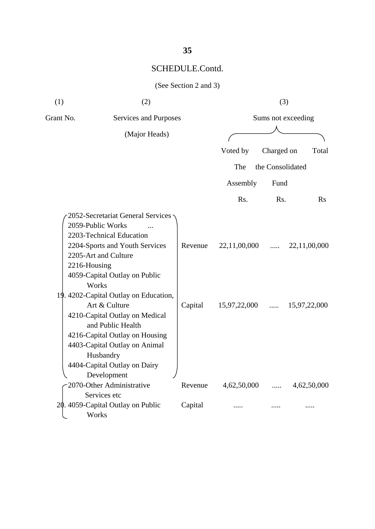(See Section 2 and 3)

| (1)          | (2)                                                                                                                                                                                                                                                                                                                                                                                                                                    |                    |                              | (3)                  |                              |
|--------------|----------------------------------------------------------------------------------------------------------------------------------------------------------------------------------------------------------------------------------------------------------------------------------------------------------------------------------------------------------------------------------------------------------------------------------------|--------------------|------------------------------|----------------------|------------------------------|
| Grant No.    | Services and Purposes                                                                                                                                                                                                                                                                                                                                                                                                                  |                    |                              |                      | Sums not exceeding           |
|              | (Major Heads)                                                                                                                                                                                                                                                                                                                                                                                                                          |                    |                              |                      |                              |
|              |                                                                                                                                                                                                                                                                                                                                                                                                                                        |                    | Voted by                     | Charged on           | Total                        |
|              |                                                                                                                                                                                                                                                                                                                                                                                                                                        |                    | The                          | the Consolidated     |                              |
|              |                                                                                                                                                                                                                                                                                                                                                                                                                                        |                    | Assembly                     | Fund                 |                              |
|              |                                                                                                                                                                                                                                                                                                                                                                                                                                        |                    | Rs.                          | Rs.                  | Rs                           |
| 2216-Housing | 2052-Secretariat General Services<br>2059-Public Works<br>2203-Technical Education<br>2204-Sports and Youth Services<br>2205-Art and Culture<br>4059-Capital Outlay on Public<br>Works<br>19. 4202-Capital Outlay on Education,<br>Art & Culture<br>4210-Capital Outlay on Medical<br>and Public Health<br>4216-Capital Outlay on Housing<br>4403-Capital Outlay on Animal<br>Husbandry<br>4404-Capital Outlay on Dairy<br>Development | Revenue<br>Capital | 22,11,00,000<br>15,97,22,000 | $\cdots$<br>$\cdots$ | 22,11,00,000<br>15,97,22,000 |
|              | 2070-Other Administrative                                                                                                                                                                                                                                                                                                                                                                                                              | Revenue            | 4,62,50,000                  | .                    | 4,62,50,000                  |
|              | Services etc<br>20. 4059-Capital Outlay on Public<br>Works                                                                                                                                                                                                                                                                                                                                                                             | Capital            |                              |                      |                              |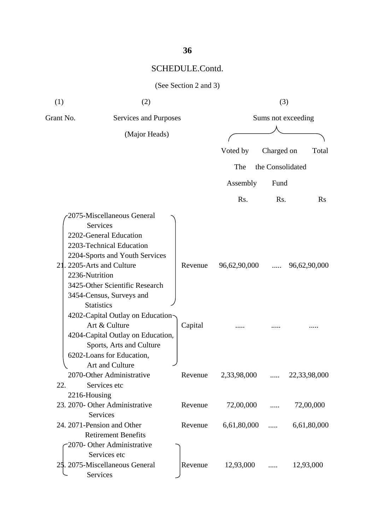### (See Section 2 and 3)

| (1)       | (2)                                                                                                                                                                                                                                                                                                                                                        |                    | (3)                      |                    |                           |
|-----------|------------------------------------------------------------------------------------------------------------------------------------------------------------------------------------------------------------------------------------------------------------------------------------------------------------------------------------------------------------|--------------------|--------------------------|--------------------|---------------------------|
| Grant No. | <b>Services and Purposes</b>                                                                                                                                                                                                                                                                                                                               |                    |                          | Sums not exceeding |                           |
|           | (Major Heads)                                                                                                                                                                                                                                                                                                                                              |                    |                          |                    |                           |
|           |                                                                                                                                                                                                                                                                                                                                                            |                    | Voted by                 | Charged on         | Total                     |
|           |                                                                                                                                                                                                                                                                                                                                                            |                    | The                      | the Consolidated   |                           |
|           |                                                                                                                                                                                                                                                                                                                                                            |                    |                          |                    |                           |
|           |                                                                                                                                                                                                                                                                                                                                                            |                    | Assembly                 | Fund               |                           |
|           |                                                                                                                                                                                                                                                                                                                                                            |                    | Rs.                      | Rs.                | $\rm Rs$                  |
|           | 2075-Miscellaneous General<br>Services<br>2202-General Education<br>2203-Technical Education<br>2204-Sports and Youth Services<br>21. 2205-Arts and Culture<br>2236-Nutrition<br>3425-Other Scientific Research<br>3454-Census, Surveys and<br><b>Statistics</b><br>4202-Capital Outlay on Education<br>Art & Culture<br>4204-Capital Outlay on Education, | Revenue<br>Capital | 96,62,90,000             | .                  | 96,62,90,000              |
| 22.       | Sports, Arts and Culture<br>6202-Loans for Education,<br>Art and Culture<br>2070-Other Administrative<br>Services etc<br>2216-Housing<br>23. 2070- Other Administrative<br>Services                                                                                                                                                                        | Revenue<br>Revenue | 2,33,98,000<br>72,00,000 | .                  | 22,33,98,000<br>72,00,000 |
|           | 24. 2071-Pension and Other<br><b>Retirement Benefits</b><br>2070- Other Administrative<br>Services etc<br>25. 2075-Miscellaneous General                                                                                                                                                                                                                   | Revenue<br>Revenue | 6,61,80,000<br>12,93,000 | .                  | 6,61,80,000<br>12,93,000  |
|           | Services                                                                                                                                                                                                                                                                                                                                                   |                    |                          |                    |                           |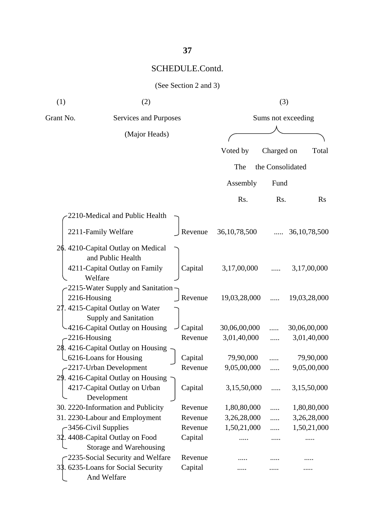|  | (See Section 2 and 3) |  |  |  |
|--|-----------------------|--|--|--|
|--|-----------------------|--|--|--|

| (1)                                | (2)                                                                                          |  |                    | (3)                      |                    |                          |
|------------------------------------|----------------------------------------------------------------------------------------------|--|--------------------|--------------------------|--------------------|--------------------------|
| Grant No.<br>Services and Purposes |                                                                                              |  |                    |                          | Sums not exceeding |                          |
|                                    | (Major Heads)                                                                                |  |                    |                          |                    |                          |
|                                    |                                                                                              |  |                    | Voted by                 | Charged on         | Total                    |
|                                    |                                                                                              |  |                    | The                      | the Consolidated   |                          |
|                                    |                                                                                              |  |                    |                          |                    |                          |
|                                    |                                                                                              |  |                    | Assembly                 | Fund               |                          |
|                                    |                                                                                              |  |                    | Rs.                      | Rs.                | <b>Rs</b>                |
|                                    | 2210-Medical and Public Health                                                               |  |                    |                          |                    |                          |
|                                    | 2211-Family Welfare                                                                          |  | Revenue            | 36, 10, 78, 500          |                    | 36, 10, 78, 500          |
|                                    | 26. 4210-Capital Outlay on Medical<br>and Public Health<br>4211-Capital Outlay on Family     |  | Capital            | 3,17,00,000              |                    | 3,17,00,000              |
| 2216-Housing                       | Welfare<br>2215-Water Supply and Sanitation                                                  |  | Revenue            | 19,03,28,000             |                    | 19,03,28,000             |
|                                    | 27. 4215-Capital Outlay on Water<br>Supply and Sanitation<br>-4216-Capital Outlay on Housing |  | Capital            | 30,06,00,000             |                    | 30,06,00,000             |
| $-2216$ -Housing                   |                                                                                              |  | Revenue            | 3,01,40,000              |                    | 3,01,40,000              |
|                                    | 28. 4216-Capital Outlay on Housing<br>_6216-Loans for Housing<br>-2217-Urban Development     |  | Capital<br>Revenue | 79,90,000<br>9,05,00,000 |                    | 79,90,000<br>9,05,00,000 |
| 29.                                | 4216-Capital Outlay on Housing ~<br>4217-Capital Outlay on Urban<br>Development              |  | Capital            | 3,15,50,000              |                    | 3,15,50,000              |
|                                    | 30. 2220-Information and Publicity                                                           |  | Revenue            | 1,80,80,000              |                    | 1,80,80,000              |
|                                    | 31. 2230-Labour and Employment                                                               |  | Revenue            | 3,26,28,000              |                    | 3,26,28,000              |
|                                    | -3456-Civil Supplies                                                                         |  | Revenue            | 1,50,21,000              |                    | 1,50,21,000              |
|                                    | 32. 4408-Capital Outlay on Food<br>Storage and Warehousing                                   |  | Capital            |                          |                    |                          |
|                                    | 2235-Social Security and Welfare                                                             |  | Revenue            |                          |                    |                          |
|                                    | 33. 6235-Loans for Social Security<br>And Welfare                                            |  | Capital            |                          |                    |                          |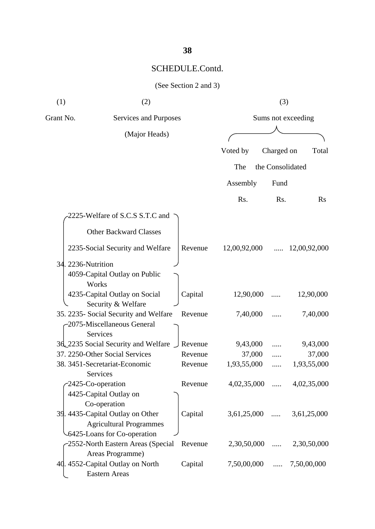| (See Section 2 and 3) |  |  |  |  |
|-----------------------|--|--|--|--|
|-----------------------|--|--|--|--|

| (1)       | (2)                                                                                                |         | (3)                |                  |                      |  |
|-----------|----------------------------------------------------------------------------------------------------|---------|--------------------|------------------|----------------------|--|
| Grant No. | Services and Purposes                                                                              |         | Sums not exceeding |                  |                      |  |
|           | (Major Heads)                                                                                      |         |                    |                  |                      |  |
|           |                                                                                                    |         | Voted by           | Charged on       | Total                |  |
|           |                                                                                                    |         | The                | the Consolidated |                      |  |
|           |                                                                                                    |         | Assembly           | Fund             |                      |  |
|           |                                                                                                    |         | Rs.                | Rs.              | $\rm Rs$             |  |
|           | 2225-Welfare of S.C.S S.T.C and                                                                    |         |                    |                  |                      |  |
|           | <b>Other Backward Classes</b>                                                                      |         |                    |                  |                      |  |
|           | 2235-Social Security and Welfare                                                                   | Revenue | 12,00,92,000       | .                | 12,00,92,000         |  |
|           | 34. 2236-Nutrition<br>4059-Capital Outlay on Public<br>Works                                       |         |                    |                  |                      |  |
|           | 4235-Capital Outlay on Social<br>Security & Welfare                                                | Capital | 12,90,000          |                  | 12,90,000            |  |
|           | 35. 2235- Social Security and Welfare<br>-2075-Miscellaneous General<br>Services                   | Revenue | 7,40,000           |                  | 7,40,000             |  |
|           | 3d 2235 Social Security and Welfare                                                                | Revenue | 9,43,000           |                  | 9,43,000             |  |
|           | 37. 2250-Other Social Services                                                                     | Revenue | 37,000             |                  | 37,000               |  |
|           | 38. 3451-Secretariat-Economic<br>Services                                                          | Revenue | 1,93,55,000        | .                | 1,93,55,000          |  |
|           | 2425-Co-operation<br>4425-Capital Outlay on<br>Co-operation                                        | Revenue | 4,02,35,000        |                  | $\dots$ 4,02,35,000  |  |
|           | 39. 4435-Capital Outlay on Other<br><b>Agricultural Programmes</b><br>-6425-Loans for Co-operation | Capital | 3,61,25,000        | $\cdots$         | 3,61,25,000          |  |
|           | -2552-North Eastern Areas (Special<br>Areas Programme)                                             | Revenue | 2,30,50,000        |                  | $\ldots$ 2,30,50,000 |  |
|           | 40. 4552-Capital Outlay on North<br><b>Eastern Areas</b>                                           | Capital | 7,50,00,000        | .                | 7,50,00,000          |  |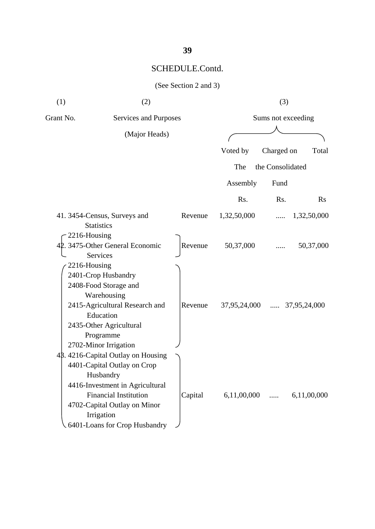(See Section 2 and 3)

| (1)          | (2)                                                                                                                                                                                                                             |         |                | (3)                |              |
|--------------|---------------------------------------------------------------------------------------------------------------------------------------------------------------------------------------------------------------------------------|---------|----------------|--------------------|--------------|
| Grant No.    | Services and Purposes                                                                                                                                                                                                           |         |                | Sums not exceeding |              |
|              | (Major Heads)                                                                                                                                                                                                                   |         |                |                    |              |
|              |                                                                                                                                                                                                                                 |         | Voted by       | Charged on         | Total        |
|              |                                                                                                                                                                                                                                 |         | The            | the Consolidated   |              |
|              |                                                                                                                                                                                                                                 |         | Assembly       | Fund               |              |
|              |                                                                                                                                                                                                                                 |         | Rs.            | Rs.                | <b>Rs</b>    |
|              | 41.3454-Census, Surveys and<br><b>Statistics</b>                                                                                                                                                                                | Revenue | 1,32,50,000    |                    | 1,32,50,000  |
| 2216-Housing | 42. 3475-Other General Economic<br>Services                                                                                                                                                                                     | Revenue | 50,37,000      |                    | 50,37,000    |
| 2216-Housing | 2401-Crop Husbandry<br>2408-Food Storage and<br>Warehousing<br>2415-Agricultural Research and<br>Education<br>2435-Other Agricultural<br>Programme<br>2702-Minor Irrigation                                                     | Revenue | $37,95,24,000$ |                    | 37,95,24,000 |
|              | 48.4216-Capital Outlay on Housing<br>4401-Capital Outlay on Crop<br>Husbandry<br>4416-Investment in Agricultural<br><b>Financial Institution</b><br>4702-Capital Outlay on Minor<br>Irrigation<br>6401-Loans for Crop Husbandry | Capital | 6,11,00,000    | $\cdots$           | 6,11,00,000  |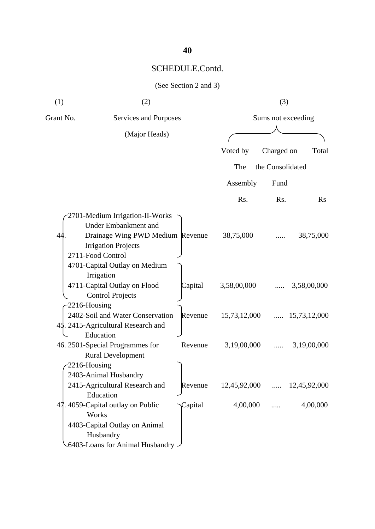## (See Section 2 and 3)

| (1)              | (2)                                                                                                                                                   |         |              | (3)                |              |
|------------------|-------------------------------------------------------------------------------------------------------------------------------------------------------|---------|--------------|--------------------|--------------|
| Grant No.        | Services and Purposes                                                                                                                                 |         |              | Sums not exceeding |              |
|                  | (Major Heads)                                                                                                                                         |         |              |                    |              |
|                  |                                                                                                                                                       |         | Voted by     | Charged on         | Total        |
|                  |                                                                                                                                                       |         | The          | the Consolidated   |              |
|                  |                                                                                                                                                       |         | Assembly     | Fund               |              |
|                  |                                                                                                                                                       |         | Rs.          | Rs.                | Rs           |
| 44               | 2701-Medium Irrigation-II-Works<br><b>Under Embankment and</b><br>Drainage Wing PWD Medium Revenue<br><b>Irrigation Projects</b><br>2711-Food Control |         | 38,75,000    |                    | 38,75,000    |
|                  | 4701-Capital Outlay on Medium<br>Irrigation<br>4711-Capital Outlay on Flood<br><b>Control Projects</b>                                                | Capital | 3,58,00,000  |                    | 3,58,00,000  |
| $-2216$ -Housing | 2402-Soil and Water Conservation<br>45. 2415-Agricultural Research and<br>Education                                                                   | Revenue | 15,73,12,000 |                    | 15,73,12,000 |
| 2216-Housing     | 46. 2501-Special Programmes for<br><b>Rural Development</b>                                                                                           | Revenue | 3,19,00,000  | .                  | 3,19,00,000  |
|                  | 2403-Animal Husbandry<br>2415-Agricultural Research and<br>Education                                                                                  | Revenue | 12,45,92,000 | $\cdots$           | 12,45,92,000 |
|                  | 47. 4059-Capital outlay on Public<br>Works<br>4403-Capital Outlay on Animal<br>Husbandry<br>6403-Loans for Animal Husbandry -                         | Capital | 4,00,000     |                    | 4,00,000     |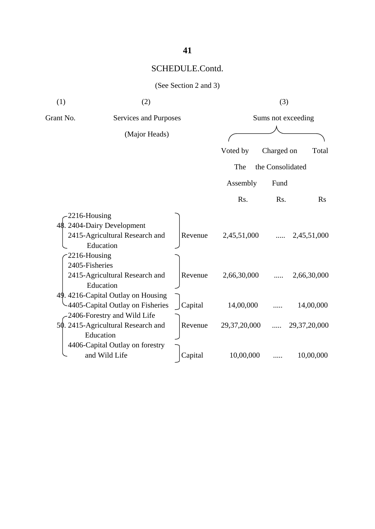|  | (See Section 2 and 3) |  |  |  |
|--|-----------------------|--|--|--|
|--|-----------------------|--|--|--|

| (1)       | (2)                                                                                                       |         |              | (3)                |              |
|-----------|-----------------------------------------------------------------------------------------------------------|---------|--------------|--------------------|--------------|
| Grant No. | Services and Purposes                                                                                     |         |              | Sums not exceeding |              |
|           | (Major Heads)                                                                                             |         |              |                    |              |
|           |                                                                                                           |         | Voted by     | Charged on         | Total        |
|           |                                                                                                           |         | The          | the Consolidated   |              |
|           |                                                                                                           |         | Assembly     | Fund               |              |
|           |                                                                                                           |         | Rs.          | R <sub>s</sub> .   | Rs           |
|           | 2216-Housing<br>48. 2404-Dairy Development<br>2415-Agricultural Research and<br>Education<br>2216-Housing | Revenue | 2,45,51,000  |                    | 2,45,51,000  |
|           | 2405-Fisheries<br>2415-Agricultural Research and<br>Education                                             | Revenue | 2,66,30,000  |                    | 2,66,30,000  |
|           | 49. 4216-Capital Outlay on Housing<br>4405-Capital Outlay on Fisheries<br>2406-Forestry and Wild Life     | Capital | 14,00,000    |                    | 14,00,000    |
|           | 50. 2415-Agricultural Research and<br>Education                                                           | Revenue | 29,37,20,000 | $\cdots$           | 29,37,20,000 |
|           | 4406-Capital Outlay on forestry<br>and Wild Life                                                          | Capital | 10,00,000    |                    | 10,00,000    |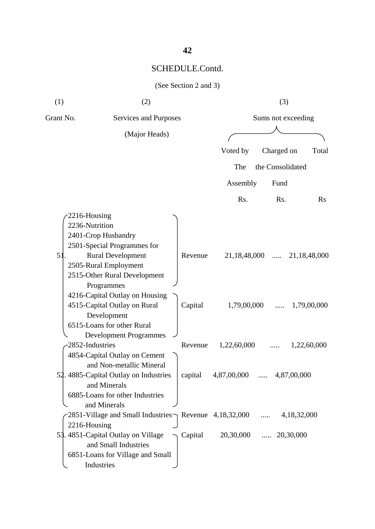|  | (See Section 2 and 3) |  |  |  |
|--|-----------------------|--|--|--|
|--|-----------------------|--|--|--|

| (1)                            | (2)                                                                                                                            |         | (3)              |                    |              |  |
|--------------------------------|--------------------------------------------------------------------------------------------------------------------------------|---------|------------------|--------------------|--------------|--|
| Grant No.                      | Services and Purposes                                                                                                          |         |                  | Sums not exceeding |              |  |
|                                | (Major Heads)                                                                                                                  |         |                  |                    |              |  |
|                                |                                                                                                                                |         | Voted by         | Charged on         | Total        |  |
|                                |                                                                                                                                |         | The              | the Consolidated   |              |  |
|                                |                                                                                                                                |         | Assembly         | Fund               |              |  |
|                                |                                                                                                                                |         | R <sub>s</sub> . | Rs.                | $\rm Rs$     |  |
| 2216-Housing<br>2236-Nutrition | 2401-Crop Husbandry                                                                                                            |         |                  |                    |              |  |
| 5                              | 2501-Special Programmes for<br><b>Rural Development</b><br>2505-Rural Employment<br>2515-Other Rural Development<br>Programmes | Revenue | 21,18,48,000     | $\cdots$           | 21,18,48,000 |  |
|                                | 4216-Capital Outlay on Housing<br>4515-Capital Outlay on Rural<br>Development<br>6515-Loans for other Rural                    | Capital | 1,79,00,000      |                    | 1,79,00,000  |  |
| 2852-Industries                | <b>Development Programmes</b><br>4854-Capital Outlay on Cement<br>and Non-metallic Mineral                                     | Revenue | 1,22,60,000      |                    | 1,22,60,000  |  |
|                                | 52. 4885-Capital Outlay on Industries<br>and Minerals<br>6885-Loans for other Industries<br>and Minerals                       | capital | 4,87,00,000      |                    | 4,87,00,000  |  |
|                                | 2851-Village and Small Industries Revenue $4,18,32,000$                                                                        |         |                  | $\cdots$           | 4,18,32,000  |  |
| 2216-Housing                   | 53.4851-Capital Outlay on Village<br>and Small Industries<br>6851-Loans for Village and Small<br>Industries                    | Capital | 20,30,000        | $\ldots$ 20,30,000 |              |  |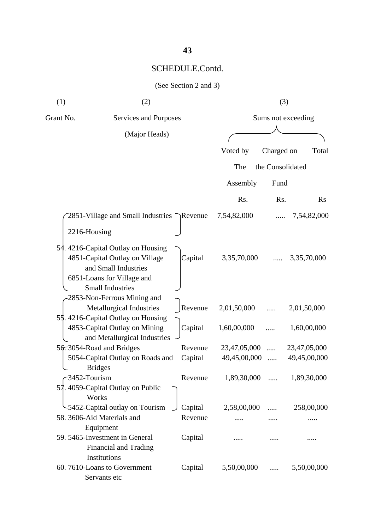(See Section 2 and 3)

| (1)              | (2)                                                                                                                                                   |         |              | (3)              |                    |
|------------------|-------------------------------------------------------------------------------------------------------------------------------------------------------|---------|--------------|------------------|--------------------|
| Grant No.        | Services and Purposes                                                                                                                                 |         |              |                  | Sums not exceeding |
|                  | (Major Heads)                                                                                                                                         |         |              |                  |                    |
|                  |                                                                                                                                                       |         | Voted by     | Charged on       | Total              |
|                  |                                                                                                                                                       |         | The          | the Consolidated |                    |
|                  |                                                                                                                                                       |         |              |                  |                    |
|                  |                                                                                                                                                       |         | Assembly     | Fund             |                    |
|                  |                                                                                                                                                       |         | Rs.          | Rs.              | <b>Rs</b>          |
|                  | 2851-Village and Small Industries $\bigcap$ Revenue                                                                                                   |         | 7,54,82,000  |                  | 7,54,82,000        |
| 2216-Housing     |                                                                                                                                                       |         |              |                  |                    |
|                  | 54. 4216-Capital Outlay on Housing<br>4851-Capital Outlay on Village<br>and Small Industries<br>6851-Loans for Village and<br><b>Small Industries</b> | Capital | 3,35,70,000  |                  | 3,35,70,000        |
|                  | 2853-Non-Ferrous Mining and<br>Metallurgical Industries<br>55.4216-Capital Outlay on Housing                                                          | Revenue | 2,01,50,000  |                  | 2,01,50,000        |
|                  | 4853-Capital Outlay on Mining<br>and Metallurgical Industries                                                                                         | Capital | 1,60,00,000  |                  | 1,60,00,000        |
|                  | 56.3054-Road and Bridges                                                                                                                              | Revenue | 23,47,05,000 | .                | 23,47,05,000       |
|                  | 5054-Capital Outlay on Roads and<br><b>Bridges</b>                                                                                                    | Capital | 49,45,00,000 |                  | 49,45,00,000       |
| $-3452$ -Tourism | 57. 4059-Capital Outlay on Public<br>Works                                                                                                            | Revenue | 1,89,30,000  |                  | 1,89,30,000        |
|                  | -5452-Capital outlay on Tourism                                                                                                                       | Capital | 2,58,00,000  | .                | 258,00,000         |
|                  | 58. 3606-Aid Materials and                                                                                                                            | Revenue |              |                  |                    |
|                  | Equipment<br>59. 5465-Investment in General<br>Financial and Trading<br>Institutions                                                                  | Capital |              |                  |                    |
|                  | 60.7610-Loans to Government<br>Servants etc                                                                                                           | Capital | 5,50,00,000  | .                | 5,50,00,000        |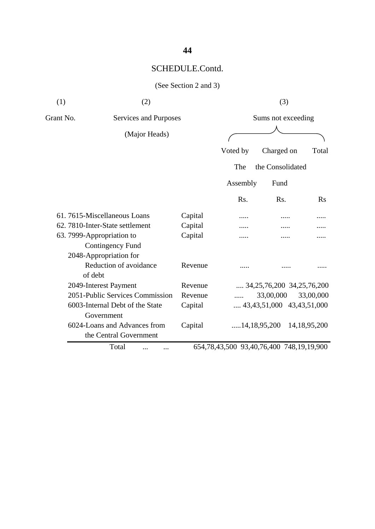## (See Section 2 and 3)

| (1)       | (2)                                                                            |         |          | (3)                                      |                 |
|-----------|--------------------------------------------------------------------------------|---------|----------|------------------------------------------|-----------------|
| Grant No. | Services and Purposes                                                          |         |          | Sums not exceeding                       |                 |
|           | (Major Heads)                                                                  |         |          |                                          |                 |
|           |                                                                                |         | Voted by | Charged on                               | Total           |
|           |                                                                                |         | The      | the Consolidated                         |                 |
|           |                                                                                |         | Assembly | Fund                                     |                 |
|           |                                                                                |         | Rs.      | Rs.                                      | <b>Rs</b>       |
|           | 61.7615-Miscellaneous Loans                                                    | Capital |          |                                          |                 |
|           | 62. 7810-Inter-State settlement                                                | Capital |          |                                          |                 |
|           | 63. 7999-Appropriation to<br><b>Contingency Fund</b><br>2048-Appropriation for | Capital |          |                                          |                 |
|           | Reduction of avoidance<br>of debt                                              | Revenue |          |                                          |                 |
|           | 2049-Interest Payment                                                          | Revenue |          | $\ldots$ 34,25,76,200 34,25,76,200       |                 |
|           | 2051-Public Services Commission                                                | Revenue |          | 33,00,000                                | 33,00,000       |
|           | 6003-Internal Debt of the State<br>Government                                  | Capital |          | $\dots$ 43,43,51,000 43,43,51,000        |                 |
|           | 6024-Loans and Advances from<br>the Central Government                         | Capital |          | 14,18,95,200                             | 14, 18, 95, 200 |
|           | Total                                                                          |         |          | 654,78,43,500 93,40,76,400 748,19,19,900 |                 |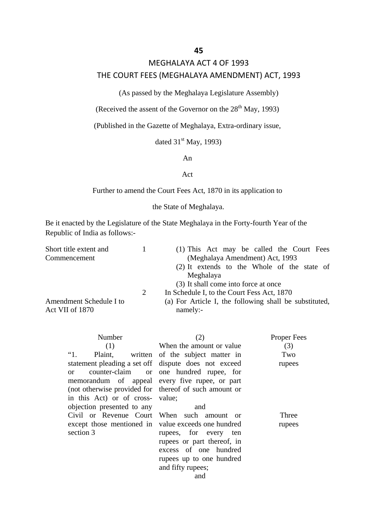### MEGHALAYA ACT 4 OF 1993

### THE COURT FEES (MEGHALAYA AMENDMENT) ACT, 1993

(As passed by the Meghalaya Legislature Assembly)

(Received the assent of the Governor on the  $28<sup>th</sup>$  May, 1993)

(Published in the Gazette of Meghalaya, Extra-ordinary issue,

dated  $31<sup>st</sup>$  May, 1993)

An

### Act

Further to amend the Court Fees Act, 1870 in its application to

the State of Meghalaya.

Be it enacted by the Legislature of the State Meghalaya in the Forty-fourth Year of the Republic of India as follows:-

| Short title extent and  |   | (1) This Act may be called the Court Fees              |  |  |
|-------------------------|---|--------------------------------------------------------|--|--|
| Commencement            |   | (Meghalaya Amendment) Act, 1993                        |  |  |
|                         |   | (2) It extends to the Whole of the state of            |  |  |
|                         |   | Meghalaya                                              |  |  |
|                         |   | (3) It shall come into force at once                   |  |  |
|                         | 2 | In Schedule I, to the Court Fess Act, 1870             |  |  |
| Amendment Schedule I to |   | (a) For Article I, the following shall be substituted, |  |  |
| Act VII of 1870         |   | namely:-                                               |  |  |

| Number<br>(1)<br>$\mathfrak{a}_1$ .<br>statement pleading a set off dispute does not exceed<br>$\alpha$<br>memorandum of appeal every five rupee, or part<br>(not otherwise provided for thereof of such amount or<br>in this Act) or of cross- value; | (2)<br>When the amount or value<br>Plaint, written of the subject matter in<br>counter-claim or one hundred rupee, for                      | Proper Fees<br>(3)<br>Two<br>rupees |
|--------------------------------------------------------------------------------------------------------------------------------------------------------------------------------------------------------------------------------------------------------|---------------------------------------------------------------------------------------------------------------------------------------------|-------------------------------------|
| objection presented to any<br>Civil or Revenue Court When such amount or<br>except those mentioned in value exceeds one hundred<br>section 3                                                                                                           | and<br>rupees, for every ten<br>rupees or part thereof, in<br>excess of one hundred<br>rupees up to one hundred<br>and fifty rupees;<br>and | Three<br>rupees                     |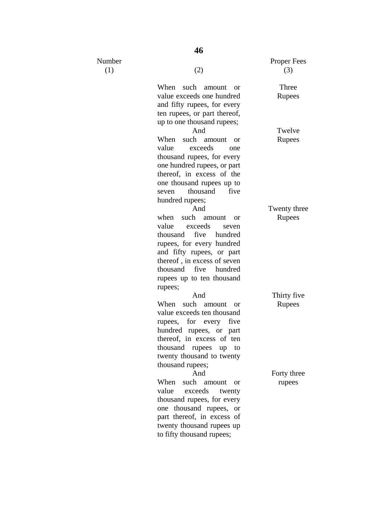Number

 $(1)$  (2)

When such amount or value exceeds one hundred and fifty rupees, for every ten rupees, or part thereof, up to one thousand rupees;

And When such amount or value exceeds one thousand rupees, for every one hundred rupees, or part thereof, in excess of the one thousand rupees up to seven thousand five hundred rupees; And

when such amount or value exceeds seven thousand five hundred rupees, for every hundred and fifty rupees, or part thereof , in excess of seven thousand five hundred rupees up to ten thousand rupees;

And

When such amount or value exceeds ten thousand rupees, for every five hundred rupees, or part thereof, in excess of ten thousand rupees up to twenty thousand to twenty thousand rupees;

And When such amount or value exceeds twenty thousand rupees, for every one thousand rupees, or part thereof, in excess of twenty thousand rupees up to fifty thousand rupees;

Proper Fees (3)

> Three Rupees

Twelve Rupees

Twenty three Rupees

Thirty five Rupees

Forty three rupees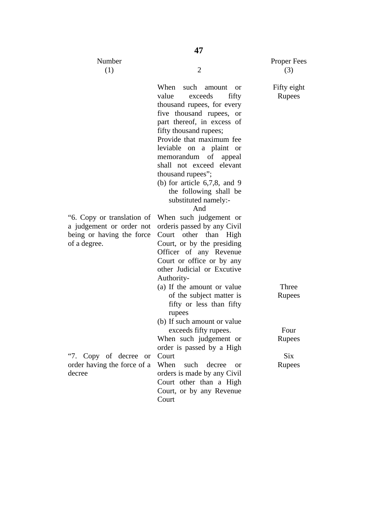$Nu$ 

| ımber<br>(1)                                       | $\overline{2}$                                                                                                                                                                                                                                                                                                                                                                                           | Proper F<br>(3)    |
|----------------------------------------------------|----------------------------------------------------------------------------------------------------------------------------------------------------------------------------------------------------------------------------------------------------------------------------------------------------------------------------------------------------------------------------------------------------------|--------------------|
|                                                    | When such amount<br><b>or</b><br>value<br>exceeds<br>fifty<br>thousand rupees, for every<br>five thousand rupees, or<br>part thereof, in excess of<br>fifty thousand rupees;<br>Provide that maximum fee<br>leviable on a plaint or<br>memorandum of appeal<br>shall not exceed elevant<br>thousand rupees";<br>(b) for article $6,7,8$ , and 9<br>the following shall be<br>substituted namely:-<br>And | Fifty eig<br>Rupee |
| translation of<br>t or order not<br>ving the force | When such judgement or<br>order is passed by any Civil<br>Court other than<br>High<br>Court, or by the presiding<br>Officer of any Revenue<br>Court or office or by any<br>other Judicial or Excutive<br>Authority-                                                                                                                                                                                      |                    |
|                                                    | (a) If the amount or value<br>of the subject matter is<br>fifty or less than fifty<br>rupees<br>(b) If such amount or value                                                                                                                                                                                                                                                                              | Three<br>Rupee     |
|                                                    | exceeds fifty rupees.<br>When such judgement or<br>order is passed by a High                                                                                                                                                                                                                                                                                                                             | Four<br>Rupee      |
| of decree or<br>g the force of a                   | Court<br>When<br>such<br>decree<br><sub>or</sub><br>orders is made by any Civil<br>Court other than a High<br>Court, or by any Revenue<br>Court                                                                                                                                                                                                                                                          | Six<br>Rupee       |

"6. Copy or translation of a judgement or order not being or having the force of a degree.

"7. Copy of decree or order having the force of a decree

Fees

### $ght$  $\overline{ES}$

Rupees

 $2S$ 

 $2S$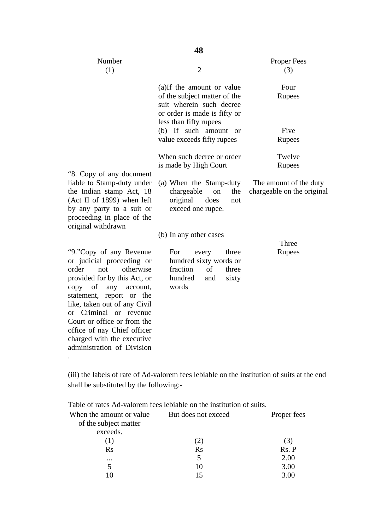|                                                                                                                                                                                                                                                                                                                                                                    | 48                                                                                                                                              |                                                      |
|--------------------------------------------------------------------------------------------------------------------------------------------------------------------------------------------------------------------------------------------------------------------------------------------------------------------------------------------------------------------|-------------------------------------------------------------------------------------------------------------------------------------------------|------------------------------------------------------|
| Number<br>(1)                                                                                                                                                                                                                                                                                                                                                      | $\overline{2}$                                                                                                                                  | <b>Proper Fees</b><br>(3)                            |
|                                                                                                                                                                                                                                                                                                                                                                    | (a)If the amount or value<br>of the subject matter of the<br>suit wherein such decree<br>or order is made is fifty or<br>less than fifty rupees | Four<br>Rupees                                       |
|                                                                                                                                                                                                                                                                                                                                                                    | (b) If such amount<br><sub>or</sub><br>value exceeds fifty rupees                                                                               | Five<br>Rupees                                       |
| "8. Copy of any document                                                                                                                                                                                                                                                                                                                                           | When such decree or order<br>is made by High Court                                                                                              | Twelve<br>Rupees                                     |
| liable to Stamp-duty under<br>the Indian stamp Act, 18<br>(Act II of 1899) when left<br>by any party to a suit or<br>proceeding in place of the<br>original withdrawn                                                                                                                                                                                              | (a) When the Stamp-duty<br>chargeable<br>on<br>the<br>original<br>does<br>not<br>exceed one rupee.                                              | The amount of the duty<br>chargeable on the original |
|                                                                                                                                                                                                                                                                                                                                                                    | (b) In any other cases                                                                                                                          |                                                      |
| "9."Copy of any Revenue<br>or judicial proceeding or<br>order<br>otherwise<br>not<br>provided for by this Act, or<br>of<br>any<br>copy<br>account,<br>statement, report or the<br>like, taken out of any Civil<br>or Criminal or revenue<br>Court or office or from the<br>office of nay Chief officer<br>charged with the executive<br>administration of Division | For<br>three<br>every<br>hundred sixty words or<br>fraction<br>of<br>three<br>hundred<br>and<br>sixty<br>words                                  | Three<br>Rupees                                      |

(iii) the labels of rate of Ad-valorem fees lebiable on the institution of suits at the end shall be substituted by the following:-

| When the amount or value | But does not exceed | Proper fees    |
|--------------------------|---------------------|----------------|
| of the subject matter    |                     |                |
| exceeds.                 |                     |                |
|                          |                     | $\mathfrak{z}$ |
| Rs                       | $\rm Rs$            | Rs. P          |
| $\cdot \cdot \cdot$      |                     | 2.00           |
|                          | 10                  | 3.00           |
|                          |                     | 3.00           |
|                          |                     |                |

Table of rates Ad-valorem fees lebiable on the institution of suits.

.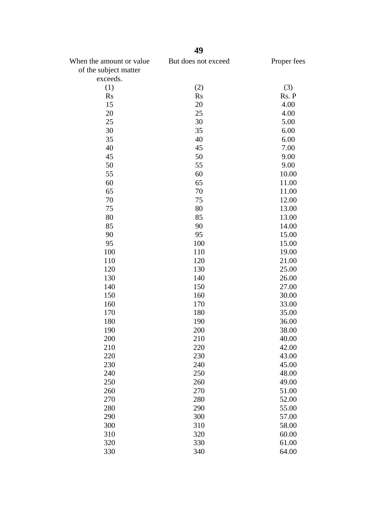| When the amount or value | But does not exceed | Proper fees |
|--------------------------|---------------------|-------------|
| of the subject matter    |                     |             |
| exceeds.                 |                     |             |
| (1)                      | (2)                 | (3)         |
| Rs                       | <b>Rs</b>           | Rs. P       |
| 15                       | 20                  | 4.00        |
| 20                       | 25                  | 4.00        |
| 25                       | 30                  | 5.00        |
| 30                       | 35                  | 6.00        |
| 35                       | 40                  | 6.00        |
| 40                       | 45                  | 7.00        |
| 45                       | 50                  | 9.00        |
| 50                       | 55                  | 9.00        |
| 55                       | 60                  | 10.00       |
| 60                       | 65                  | 11.00       |
| 65                       | 70                  | 11.00       |
| 70                       | 75                  | 12.00       |
| 75                       | 80                  | 13.00       |
| 80                       | 85                  | 13.00       |
| 85                       | 90                  | 14.00       |
| 90                       | 95                  | 15.00       |
| 95                       | 100                 | 15.00       |
| 100                      | 110                 | 19.00       |
| 110                      | 120                 | 21.00       |
| 120                      | 130                 | 25.00       |
| 130                      | 140                 | 26.00       |
| 140                      | 150                 | 27.00       |
| 150                      | 160                 | 30.00       |
| 160                      | 170                 | 33.00       |
| 170                      | 180                 | 35.00       |
| 180                      | 190                 | 36.00       |
| 190                      | 200                 | 38.00       |
| 200                      | 210                 | 40.00       |
| 210                      | 220                 | 42.00       |
| 220                      | 230                 | 43.00       |
| 230                      | 240                 | 45.00       |
| 240                      | 250                 | 48.00       |
| 250                      | 260                 | 49.00       |
| 260                      | 270                 | 51.00       |
| 270                      | 280                 | 52.00       |
| 280                      | 290                 | 55.00       |
| 290                      | 300                 | 57.00       |
| 300                      | 310                 | 58.00       |
| 310                      | 320                 | 60.00       |
| 320                      | 330                 | 61.00       |
| 330                      | 340                 | 64.00       |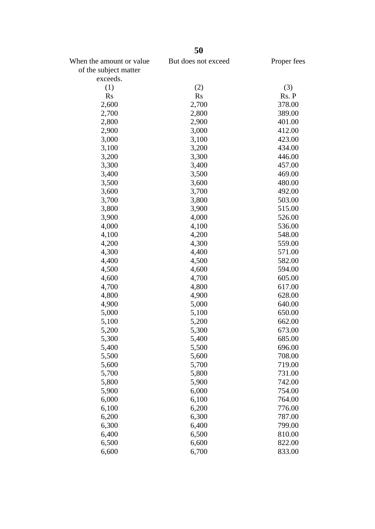|                                                   | 50                  |             |
|---------------------------------------------------|---------------------|-------------|
| When the amount or value<br>of the subject matter | But does not exceed | Proper fees |
| exceeds.                                          |                     |             |
| (1)                                               | (2)                 | (3)         |
| <b>Rs</b>                                         | <b>Rs</b>           | Rs. P       |
| 2,600                                             | 2,700               | 378.00      |
| 2,700                                             | 2,800               | 389.00      |
| 2,800                                             | 2,900               | 401.00      |
| 2,900                                             | 3,000               | 412.00      |
| 3,000                                             | 3,100               | 423.00      |
| 3,100                                             | 3,200               | 434.00      |
| 3,200                                             | 3,300               | 446.00      |
| 3,300                                             | 3,400               | 457.00      |
| 3,400                                             | 3,500               | 469.00      |
| 3,500                                             | 3,600               | 480.00      |
| 3,600                                             | 3,700               | 492.00      |
| 3,700                                             | 3,800               | 503.00      |
| 3,800                                             | 3,900               | 515.00      |
| 3,900                                             | 4,000               | 526.00      |
| 4,000                                             | 4,100               | 536.00      |
| 4,100                                             | 4,200               | 548.00      |
| 4,200                                             | 4,300               | 559.00      |
| 4,300                                             | 4,400               | 571.00      |
| 4,400                                             | 4,500               | 582.00      |
| 4,500                                             | 4,600               | 594.00      |
| 4,600                                             | 4,700               | 605.00      |
| 4,700                                             | 4,800               | 617.00      |
| 4,800                                             | 4,900               | 628.00      |
| 4,900                                             | 5,000               | 640.00      |
| 5,000                                             | 5,100               | 650.00      |
| 5,100                                             | 5,200               | 662.00      |
| 5,200                                             | 5,300               | 673.00      |
| 5,300                                             | 5,400               | 685.00      |
| 5,400                                             | 5,500               | 696.00      |
| 5,500                                             | 5,600               | 708.00      |
| 5,600                                             | 5,700               | 719.00      |
| 5,700                                             | 5,800               | 731.00      |
| 5,800                                             | 5,900               | 742.00      |
| 5,900                                             | 6,000               | 754.00      |
| 6,000                                             | 6,100               | 764.00      |
| 6,100                                             | 6,200               | 776.00      |
| 6,200                                             | 6,300               | 787.00      |
| 6,300                                             | 6,400               | 799.00      |
| 6,400                                             | 6,500               | 810.00      |
| 6,500                                             | 6,600               | 822.00      |
| 6,600                                             | 6,700               | 833.00      |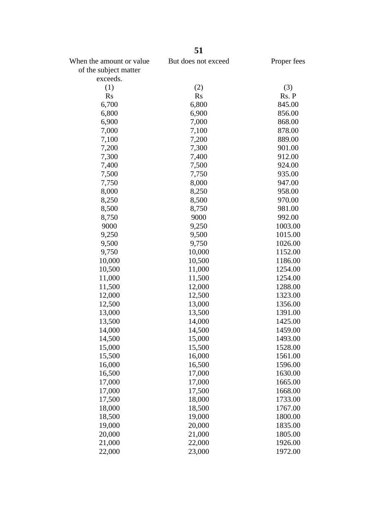| But does not exceed<br>Proper fees<br>of the subject matter<br>exceeds.<br>(1)<br>(2)<br>(3)<br>Rs. P<br><b>Rs</b><br><b>Rs</b><br>6,700<br>845.00<br>6,800<br>856.00<br>6,800<br>6,900<br>6,900<br>7,000<br>868.00<br>7,000<br>7,100<br>878.00<br>7,100<br>7,200<br>889.00<br>7,200<br>7,300<br>901.00<br>7,300<br>7,400<br>912.00<br>924.00<br>7,400<br>7,500<br>935.00<br>7,500<br>7,750<br>8,000<br>947.00<br>7,750<br>8,000<br>8,250<br>958.00<br>970.00<br>8,250<br>8,500<br>8,500<br>981.00<br>8,750<br>8,750<br>9000<br>992.00<br>9000<br>1003.00<br>9,250<br>9,250<br>1015.00<br>9,500<br>9,500<br>9,750<br>1026.00<br>9,750<br>10,000<br>1152.00<br>10,000<br>10,500<br>1186.00<br>10,500<br>11,000<br>1254.00<br>11,500<br>1254.00<br>11,000<br>1288.00<br>11,500<br>12,000<br>12,000<br>12,500<br>1323.00<br>12,500<br>13,000<br>1356.00<br>13,000<br>13,500<br>1391.00<br>13,500<br>14,000<br>1425.00<br>14,000<br>14,500<br>1459.00<br>14,500<br>15,000<br>1493.00<br>15,000<br>15,500<br>1528.00<br>15,500<br>16,000<br>1561.00<br>16,000<br>16,500<br>1596.00<br>16,500<br>17,000<br>1630.00<br>17,000<br>17,000<br>1665.00<br>17,000<br>17,500<br>1668.00<br>17,500<br>18,000<br>1733.00<br>18,000<br>18,500<br>1767.00<br>18,500<br>19,000<br>1800.00<br>19,000<br>20,000<br>1835.00<br>20,000<br>21,000<br>1805.00<br>21,000<br>22,000<br>1926.00<br>23,000<br>22,000<br>1972.00 |                          | 51 |  |
|-----------------------------------------------------------------------------------------------------------------------------------------------------------------------------------------------------------------------------------------------------------------------------------------------------------------------------------------------------------------------------------------------------------------------------------------------------------------------------------------------------------------------------------------------------------------------------------------------------------------------------------------------------------------------------------------------------------------------------------------------------------------------------------------------------------------------------------------------------------------------------------------------------------------------------------------------------------------------------------------------------------------------------------------------------------------------------------------------------------------------------------------------------------------------------------------------------------------------------------------------------------------------------------------------------------------------------------------------------------------------------------------------------|--------------------------|----|--|
|                                                                                                                                                                                                                                                                                                                                                                                                                                                                                                                                                                                                                                                                                                                                                                                                                                                                                                                                                                                                                                                                                                                                                                                                                                                                                                                                                                                                     | When the amount or value |    |  |
|                                                                                                                                                                                                                                                                                                                                                                                                                                                                                                                                                                                                                                                                                                                                                                                                                                                                                                                                                                                                                                                                                                                                                                                                                                                                                                                                                                                                     |                          |    |  |
|                                                                                                                                                                                                                                                                                                                                                                                                                                                                                                                                                                                                                                                                                                                                                                                                                                                                                                                                                                                                                                                                                                                                                                                                                                                                                                                                                                                                     |                          |    |  |
|                                                                                                                                                                                                                                                                                                                                                                                                                                                                                                                                                                                                                                                                                                                                                                                                                                                                                                                                                                                                                                                                                                                                                                                                                                                                                                                                                                                                     |                          |    |  |
|                                                                                                                                                                                                                                                                                                                                                                                                                                                                                                                                                                                                                                                                                                                                                                                                                                                                                                                                                                                                                                                                                                                                                                                                                                                                                                                                                                                                     |                          |    |  |
|                                                                                                                                                                                                                                                                                                                                                                                                                                                                                                                                                                                                                                                                                                                                                                                                                                                                                                                                                                                                                                                                                                                                                                                                                                                                                                                                                                                                     |                          |    |  |
|                                                                                                                                                                                                                                                                                                                                                                                                                                                                                                                                                                                                                                                                                                                                                                                                                                                                                                                                                                                                                                                                                                                                                                                                                                                                                                                                                                                                     |                          |    |  |
|                                                                                                                                                                                                                                                                                                                                                                                                                                                                                                                                                                                                                                                                                                                                                                                                                                                                                                                                                                                                                                                                                                                                                                                                                                                                                                                                                                                                     |                          |    |  |
|                                                                                                                                                                                                                                                                                                                                                                                                                                                                                                                                                                                                                                                                                                                                                                                                                                                                                                                                                                                                                                                                                                                                                                                                                                                                                                                                                                                                     |                          |    |  |
|                                                                                                                                                                                                                                                                                                                                                                                                                                                                                                                                                                                                                                                                                                                                                                                                                                                                                                                                                                                                                                                                                                                                                                                                                                                                                                                                                                                                     |                          |    |  |
|                                                                                                                                                                                                                                                                                                                                                                                                                                                                                                                                                                                                                                                                                                                                                                                                                                                                                                                                                                                                                                                                                                                                                                                                                                                                                                                                                                                                     |                          |    |  |
|                                                                                                                                                                                                                                                                                                                                                                                                                                                                                                                                                                                                                                                                                                                                                                                                                                                                                                                                                                                                                                                                                                                                                                                                                                                                                                                                                                                                     |                          |    |  |
|                                                                                                                                                                                                                                                                                                                                                                                                                                                                                                                                                                                                                                                                                                                                                                                                                                                                                                                                                                                                                                                                                                                                                                                                                                                                                                                                                                                                     |                          |    |  |
|                                                                                                                                                                                                                                                                                                                                                                                                                                                                                                                                                                                                                                                                                                                                                                                                                                                                                                                                                                                                                                                                                                                                                                                                                                                                                                                                                                                                     |                          |    |  |
|                                                                                                                                                                                                                                                                                                                                                                                                                                                                                                                                                                                                                                                                                                                                                                                                                                                                                                                                                                                                                                                                                                                                                                                                                                                                                                                                                                                                     |                          |    |  |
|                                                                                                                                                                                                                                                                                                                                                                                                                                                                                                                                                                                                                                                                                                                                                                                                                                                                                                                                                                                                                                                                                                                                                                                                                                                                                                                                                                                                     |                          |    |  |
|                                                                                                                                                                                                                                                                                                                                                                                                                                                                                                                                                                                                                                                                                                                                                                                                                                                                                                                                                                                                                                                                                                                                                                                                                                                                                                                                                                                                     |                          |    |  |
|                                                                                                                                                                                                                                                                                                                                                                                                                                                                                                                                                                                                                                                                                                                                                                                                                                                                                                                                                                                                                                                                                                                                                                                                                                                                                                                                                                                                     |                          |    |  |
|                                                                                                                                                                                                                                                                                                                                                                                                                                                                                                                                                                                                                                                                                                                                                                                                                                                                                                                                                                                                                                                                                                                                                                                                                                                                                                                                                                                                     |                          |    |  |
|                                                                                                                                                                                                                                                                                                                                                                                                                                                                                                                                                                                                                                                                                                                                                                                                                                                                                                                                                                                                                                                                                                                                                                                                                                                                                                                                                                                                     |                          |    |  |
|                                                                                                                                                                                                                                                                                                                                                                                                                                                                                                                                                                                                                                                                                                                                                                                                                                                                                                                                                                                                                                                                                                                                                                                                                                                                                                                                                                                                     |                          |    |  |
|                                                                                                                                                                                                                                                                                                                                                                                                                                                                                                                                                                                                                                                                                                                                                                                                                                                                                                                                                                                                                                                                                                                                                                                                                                                                                                                                                                                                     |                          |    |  |
|                                                                                                                                                                                                                                                                                                                                                                                                                                                                                                                                                                                                                                                                                                                                                                                                                                                                                                                                                                                                                                                                                                                                                                                                                                                                                                                                                                                                     |                          |    |  |
|                                                                                                                                                                                                                                                                                                                                                                                                                                                                                                                                                                                                                                                                                                                                                                                                                                                                                                                                                                                                                                                                                                                                                                                                                                                                                                                                                                                                     |                          |    |  |
|                                                                                                                                                                                                                                                                                                                                                                                                                                                                                                                                                                                                                                                                                                                                                                                                                                                                                                                                                                                                                                                                                                                                                                                                                                                                                                                                                                                                     |                          |    |  |
|                                                                                                                                                                                                                                                                                                                                                                                                                                                                                                                                                                                                                                                                                                                                                                                                                                                                                                                                                                                                                                                                                                                                                                                                                                                                                                                                                                                                     |                          |    |  |
|                                                                                                                                                                                                                                                                                                                                                                                                                                                                                                                                                                                                                                                                                                                                                                                                                                                                                                                                                                                                                                                                                                                                                                                                                                                                                                                                                                                                     |                          |    |  |
|                                                                                                                                                                                                                                                                                                                                                                                                                                                                                                                                                                                                                                                                                                                                                                                                                                                                                                                                                                                                                                                                                                                                                                                                                                                                                                                                                                                                     |                          |    |  |
|                                                                                                                                                                                                                                                                                                                                                                                                                                                                                                                                                                                                                                                                                                                                                                                                                                                                                                                                                                                                                                                                                                                                                                                                                                                                                                                                                                                                     |                          |    |  |
|                                                                                                                                                                                                                                                                                                                                                                                                                                                                                                                                                                                                                                                                                                                                                                                                                                                                                                                                                                                                                                                                                                                                                                                                                                                                                                                                                                                                     |                          |    |  |
|                                                                                                                                                                                                                                                                                                                                                                                                                                                                                                                                                                                                                                                                                                                                                                                                                                                                                                                                                                                                                                                                                                                                                                                                                                                                                                                                                                                                     |                          |    |  |
|                                                                                                                                                                                                                                                                                                                                                                                                                                                                                                                                                                                                                                                                                                                                                                                                                                                                                                                                                                                                                                                                                                                                                                                                                                                                                                                                                                                                     |                          |    |  |
|                                                                                                                                                                                                                                                                                                                                                                                                                                                                                                                                                                                                                                                                                                                                                                                                                                                                                                                                                                                                                                                                                                                                                                                                                                                                                                                                                                                                     |                          |    |  |
|                                                                                                                                                                                                                                                                                                                                                                                                                                                                                                                                                                                                                                                                                                                                                                                                                                                                                                                                                                                                                                                                                                                                                                                                                                                                                                                                                                                                     |                          |    |  |
|                                                                                                                                                                                                                                                                                                                                                                                                                                                                                                                                                                                                                                                                                                                                                                                                                                                                                                                                                                                                                                                                                                                                                                                                                                                                                                                                                                                                     |                          |    |  |
|                                                                                                                                                                                                                                                                                                                                                                                                                                                                                                                                                                                                                                                                                                                                                                                                                                                                                                                                                                                                                                                                                                                                                                                                                                                                                                                                                                                                     |                          |    |  |
|                                                                                                                                                                                                                                                                                                                                                                                                                                                                                                                                                                                                                                                                                                                                                                                                                                                                                                                                                                                                                                                                                                                                                                                                                                                                                                                                                                                                     |                          |    |  |
|                                                                                                                                                                                                                                                                                                                                                                                                                                                                                                                                                                                                                                                                                                                                                                                                                                                                                                                                                                                                                                                                                                                                                                                                                                                                                                                                                                                                     |                          |    |  |
|                                                                                                                                                                                                                                                                                                                                                                                                                                                                                                                                                                                                                                                                                                                                                                                                                                                                                                                                                                                                                                                                                                                                                                                                                                                                                                                                                                                                     |                          |    |  |
|                                                                                                                                                                                                                                                                                                                                                                                                                                                                                                                                                                                                                                                                                                                                                                                                                                                                                                                                                                                                                                                                                                                                                                                                                                                                                                                                                                                                     |                          |    |  |
|                                                                                                                                                                                                                                                                                                                                                                                                                                                                                                                                                                                                                                                                                                                                                                                                                                                                                                                                                                                                                                                                                                                                                                                                                                                                                                                                                                                                     |                          |    |  |
|                                                                                                                                                                                                                                                                                                                                                                                                                                                                                                                                                                                                                                                                                                                                                                                                                                                                                                                                                                                                                                                                                                                                                                                                                                                                                                                                                                                                     |                          |    |  |
|                                                                                                                                                                                                                                                                                                                                                                                                                                                                                                                                                                                                                                                                                                                                                                                                                                                                                                                                                                                                                                                                                                                                                                                                                                                                                                                                                                                                     |                          |    |  |
|                                                                                                                                                                                                                                                                                                                                                                                                                                                                                                                                                                                                                                                                                                                                                                                                                                                                                                                                                                                                                                                                                                                                                                                                                                                                                                                                                                                                     |                          |    |  |
|                                                                                                                                                                                                                                                                                                                                                                                                                                                                                                                                                                                                                                                                                                                                                                                                                                                                                                                                                                                                                                                                                                                                                                                                                                                                                                                                                                                                     |                          |    |  |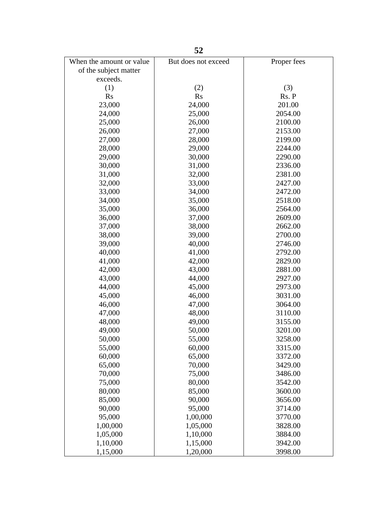|                          | 52                  |             |
|--------------------------|---------------------|-------------|
| When the amount or value | But does not exceed | Proper fees |
| of the subject matter    |                     |             |
| exceeds.                 |                     |             |
| (1)                      | (2)                 | (3)         |
| <b>Rs</b>                | Rs                  | Rs. P       |
| 23,000                   | 24,000              | 201.00      |
| 24,000                   | 25,000              | 2054.00     |
| 25,000                   | 26,000              | 2100.00     |
| 26,000                   | 27,000              | 2153.00     |
| 27,000                   | 28,000              | 2199.00     |
| 28,000                   | 29,000              | 2244.00     |
| 29,000                   | 30,000              | 2290.00     |
| 30,000                   | 31,000              | 2336.00     |
| 31,000                   | 32,000              | 2381.00     |
| 32,000                   | 33,000              | 2427.00     |
| 33,000                   | 34,000              | 2472.00     |
| 34,000                   | 35,000              | 2518.00     |
| 35,000                   | 36,000              | 2564.00     |
| 36,000                   | 37,000              | 2609.00     |
| 37,000                   | 38,000              | 2662.00     |
| 38,000                   | 39,000              | 2700.00     |
| 39,000                   | 40,000              | 2746.00     |
| 40,000                   | 41,000              | 2792.00     |
| 41,000                   | 42,000              | 2829.00     |
| 42,000                   | 43,000              | 2881.00     |
| 43,000                   | 44,000              | 2927.00     |
| 44,000                   | 45,000              | 2973.00     |
| 45,000                   | 46,000              | 3031.00     |
| 46,000                   | 47,000              | 3064.00     |
| 47,000                   | 48,000              | 3110.00     |
| 48,000                   | 49,000              | 3155.00     |
| 49,000                   | 50,000              | 3201.00     |
| 50,000                   | 55,000              | 3258.00     |
| 55,000                   | 60,000              | 3315.00     |
| 60,000                   | 65,000              | 3372.00     |
| 65,000                   | 70,000              | 3429.00     |
| 70,000                   | 75,000              | 3486.00     |
| 75,000                   | 80,000              | 3542.00     |
| 80,000                   | 85,000              | 3600.00     |
| 85,000                   | 90,000              | 3656.00     |
| 90,000                   | 95,000              | 3714.00     |
| 95,000                   | 1,00,000            | 3770.00     |
| 1,00,000                 | 1,05,000            | 3828.00     |
| 1,05,000                 | 1,10,000            | 3884.00     |
| 1,10,000                 | 1,15,000            | 3942.00     |
| 1,15,000                 | 1,20,000            | 3998.00     |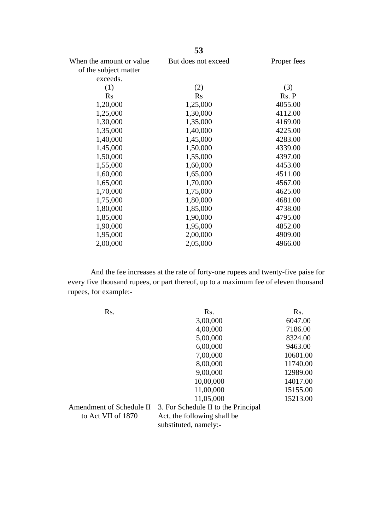| ັບ                  |             |
|---------------------|-------------|
| But does not exceed | Proper fees |
|                     |             |
|                     |             |
| (2)                 | (3)         |
| <b>Rs</b>           | Rs. P       |
| 1,25,000            | 4055.00     |
| 1,30,000            | 4112.00     |
| 1,35,000            | 4169.00     |
| 1,40,000            | 4225.00     |
| 1,45,000            | 4283.00     |
| 1,50,000            | 4339.00     |
| 1,55,000            | 4397.00     |
| 1,60,000            | 4453.00     |
| 1,65,000            | 4511.00     |
| 1,70,000            | 4567.00     |
| 1,75,000            | 4625.00     |
| 1,80,000            | 4681.00     |
| 1,85,000            | 4738.00     |
| 1,90,000            | 4795.00     |
| 1,95,000            | 4852.00     |
| 2,00,000            | 4909.00     |
| 2,05,000            | 4966.00     |
|                     |             |

And the fee increases at the rate of forty-one rupees and twenty-five paise for every five thousand rupees, or part thereof, up to a maximum fee of eleven thousand rupees, for example:-

| Rs.                      | Rs.                                 | Rs.      |  |
|--------------------------|-------------------------------------|----------|--|
|                          | 3,00,000                            | 6047.00  |  |
|                          | 4,00,000                            | 7186.00  |  |
|                          | 5,00,000                            | 8324.00  |  |
|                          | 6,00,000                            | 9463.00  |  |
|                          | 7,00,000                            | 10601.00 |  |
|                          | 8,00,000                            | 11740.00 |  |
|                          | 9,00,000                            | 12989.00 |  |
|                          | 10,00,000                           | 14017.00 |  |
|                          | 11,00,000                           | 15155.00 |  |
|                          | 11,05,000                           | 15213.00 |  |
| Amendment of Schedule II | 3. For Schedule II to the Principal |          |  |
| to Act VII of 1870       | Act, the following shall be         |          |  |
|                          | substituted, namely:-               |          |  |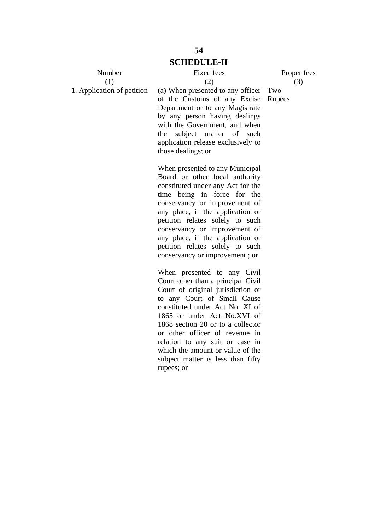Number (1) 1. Application of petition Fixed fees

Proper fees (3)

(2) (a) When presented to any officer Two of the Customs of any Excise RupeesDepartment or to any Magistrate by any person having dealings with the Government, and when the subject matter of such application release exclusively to those dealings; or

When presented to any Municipal Board or other local authority constituted under any Act for the time being in force for the conservancy or improvement of any place, if the application or petition relates solely to such conservancy or improvement of any place, if the application or petition relates solely to such conservancy or improvement ; or

When presented to any Civil Court other than a principal Civil Court of original jurisdiction or to any Court of Small Cause constituted under Act No. XI of 1865 or under Act No.XVI of 1868 section 20 or to a collector or other officer of revenue in relation to any suit or case in which the amount or value of the subject matter is less than fifty rupees; or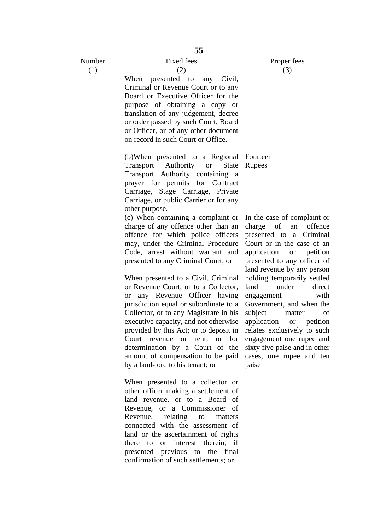Number (1)

Fixed fees (2)

When presented to any Civil, Criminal or Revenue Court or to any Board or Executive Officer for the purpose of obtaining a copy or translation of any judgement, decree or order passed by such Court, Board or Officer, or of any other document on record in such Court or Office.

(b)When presented to a Regional Fourteen Transport Authority or State Transport Authority containing a prayer for permits for Contract Carriage, Stage Carriage, Private Carriage, or public Carrier or for any other purpose.

(c) When containing a complaint or charge of any offence other than an offence for which police officers may, under the Criminal Procedure Code, arrest without warrant and presented to any Criminal Court; or

When presented to a Civil, Criminal or Revenue Court, or to a Collector, or any Revenue Officer having jurisdiction equal or subordinate to a Collector, or to any Magistrate in his executive capacity, and not otherwise provided by this Act; or to deposit in Court revenue or rent; or for determination by a Court of the amount of compensation to be paid by a land-lord to his tenant; or

When presented to a collector or other officer making a settlement of land revenue, or to a Board of Revenue, or a Commissioner of Revenue, relating to matters connected with the assessment of land or the ascertainment of rights there to or interest therein, if presented previous to the final confirmation of such settlements; or

Rupees

In the case of complaint or charge of an offence presented to a Criminal Court or in the case of an application or petition presented to any officer of land revenue by any person holding temporarily settled land under direct engagement with Government, and when the subject matter of application or petition relates exclusively to such engagement one rupee and sixty five paise and in other cases, one rupee and ten paise

Proper fees (3)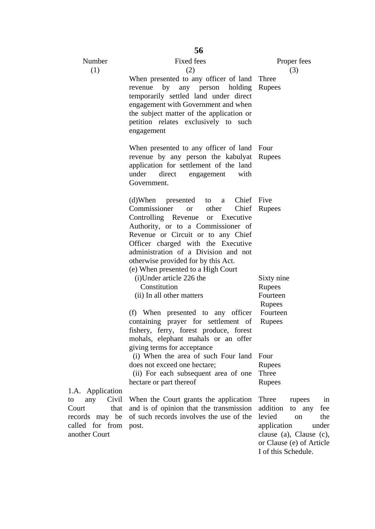|                                                                                                               | 56                                                                                                                                                                                                                                                                                                                                                                    |                                                                                                                                                                                            |  |  |  |
|---------------------------------------------------------------------------------------------------------------|-----------------------------------------------------------------------------------------------------------------------------------------------------------------------------------------------------------------------------------------------------------------------------------------------------------------------------------------------------------------------|--------------------------------------------------------------------------------------------------------------------------------------------------------------------------------------------|--|--|--|
| Number                                                                                                        | <b>Fixed fees</b>                                                                                                                                                                                                                                                                                                                                                     | Proper fees                                                                                                                                                                                |  |  |  |
| (1)                                                                                                           | (2)<br>When presented to any officer of land Three<br>revenue<br>by<br>any person holding<br>temporarily settled land under direct<br>engagement with Government and when<br>the subject matter of the application or<br>petition relates exclusively to such<br>engagement                                                                                           | (3)<br>Rupees                                                                                                                                                                              |  |  |  |
|                                                                                                               | When presented to any officer of land Four<br>revenue by any person the kabulyat Rupees<br>application for settlement of the land<br>under<br>with<br>direct<br>engagement<br>Government.                                                                                                                                                                             |                                                                                                                                                                                            |  |  |  |
|                                                                                                               | Chief Five<br>$(d)$ When<br>presented<br>to<br>a<br>Commissioner<br>other<br><sub>or</sub><br>Controlling Revenue or Executive<br>Authority, or to a Commissioner of<br>Revenue or Circuit or to any Chief<br>Officer charged with the Executive<br>administration of a Division and not<br>otherwise provided for by this Act.<br>(e) When presented to a High Court | Chief Rupees                                                                                                                                                                               |  |  |  |
|                                                                                                               | (i) Under article 226 the<br>Constitution<br>(ii) In all other matters                                                                                                                                                                                                                                                                                                | Sixty nine<br>Rupees<br>Fourteen                                                                                                                                                           |  |  |  |
|                                                                                                               |                                                                                                                                                                                                                                                                                                                                                                       | Rupees                                                                                                                                                                                     |  |  |  |
|                                                                                                               | (f) When presented to any officer<br>containing prayer for settlement of<br>fishery, ferry, forest produce, forest<br>mohals, elephant mahals or an offer<br>giving terms for acceptance                                                                                                                                                                              | Fourteen<br>Rupees                                                                                                                                                                         |  |  |  |
|                                                                                                               | (i) When the area of such Four land<br>does not exceed one hectare;<br>(ii) For each subsequent area of one                                                                                                                                                                                                                                                           | Four<br>Rupees<br>Three                                                                                                                                                                    |  |  |  |
|                                                                                                               | hectare or part thereof                                                                                                                                                                                                                                                                                                                                               | Rupees                                                                                                                                                                                     |  |  |  |
| 1.A. Application<br>Civil<br>any<br>to<br>Court<br>that<br>records may be<br>called for from<br>another Court | When the Court grants the application<br>and is of opinion that the transmission<br>of such records involves the use of the<br>post.                                                                                                                                                                                                                                  | Three<br>rupees<br>in<br>addition<br>to any<br>fee<br>levied<br>the<br><sub>on</sub><br>application<br>under<br>clause (a), Clause (c),<br>or Clause (e) of Article<br>I of this Schedule. |  |  |  |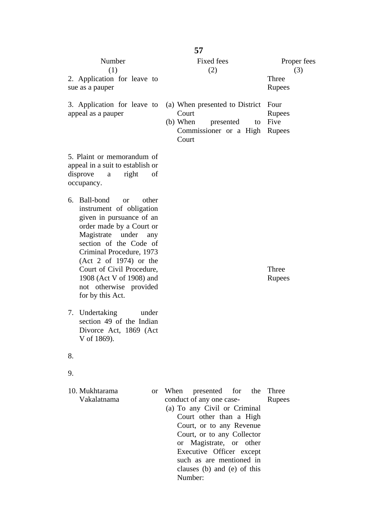|                                                                                                                                                                                                                                                                                                                                                      | 57                                                                                                                                                                                                                                                                                                                       |                                       |
|------------------------------------------------------------------------------------------------------------------------------------------------------------------------------------------------------------------------------------------------------------------------------------------------------------------------------------------------------|--------------------------------------------------------------------------------------------------------------------------------------------------------------------------------------------------------------------------------------------------------------------------------------------------------------------------|---------------------------------------|
| Number<br>(1)<br>2. Application for leave to<br>sue as a pauper                                                                                                                                                                                                                                                                                      | Fixed fees<br>(2)                                                                                                                                                                                                                                                                                                        | Proper fees<br>(3)<br>Three<br>Rupees |
| 3. Application for leave to<br>appeal as a pauper                                                                                                                                                                                                                                                                                                    | (a) When presented to District<br>Court<br>$(b)$ When<br>presented<br>to<br>Commissioner or a High<br>Court                                                                                                                                                                                                              | Four<br>Rupees<br>Five<br>Rupees      |
| 5. Plaint or memorandum of<br>appeal in a suit to establish or<br>disprove<br>right<br>of<br>a<br>occupancy.                                                                                                                                                                                                                                         |                                                                                                                                                                                                                                                                                                                          |                                       |
| Ball-bond<br>other<br>6.<br><sub>or</sub><br>instrument of obligation<br>given in pursuance of an<br>order made by a Court or<br>Magistrate<br>under<br>any<br>section of the Code of<br>Criminal Procedure, 1973<br>$(Act 2 of 1974)$ or the<br>Court of Civil Procedure,<br>1908 (Act V of 1908) and<br>not otherwise provided<br>for by this Act. |                                                                                                                                                                                                                                                                                                                          | Three<br>Rupees                       |
| Undertaking<br>under<br>7.<br>section 49 of the Indian<br>Divorce Act, 1869 (Act<br>V of 1869).                                                                                                                                                                                                                                                      |                                                                                                                                                                                                                                                                                                                          |                                       |
| 8.                                                                                                                                                                                                                                                                                                                                                   |                                                                                                                                                                                                                                                                                                                          |                                       |
| 9.                                                                                                                                                                                                                                                                                                                                                   |                                                                                                                                                                                                                                                                                                                          |                                       |
| 10. Mukhtarama<br><sub>or</sub><br>Vakalatnama                                                                                                                                                                                                                                                                                                       | presented<br>for the<br>When<br>conduct of any one case-<br>(a) To any Civil or Criminal<br>Court other than a High<br>Court, or to any Revenue<br>Court, or to any Collector<br>Magistrate, or other<br><sub>or</sub><br>Executive Officer except<br>such as are mentioned in<br>clauses (b) and (e) of this<br>Number: | Three<br>Rupees                       |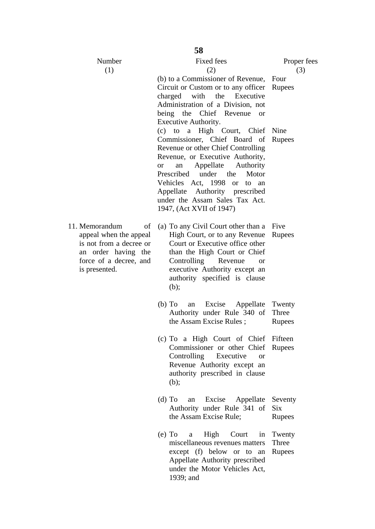| Number<br>(1)                                                                                                                               | <b>Fixed fees</b><br>(2)                                                                                                                                                                                                                                                                                                                                                    | Proper fees<br>(3)        |
|---------------------------------------------------------------------------------------------------------------------------------------------|-----------------------------------------------------------------------------------------------------------------------------------------------------------------------------------------------------------------------------------------------------------------------------------------------------------------------------------------------------------------------------|---------------------------|
|                                                                                                                                             | (b) to a Commissioner of Revenue, Four<br>Circuit or Custom or to any officer Rupees<br>charged with the Executive<br>Administration of a Division, not<br>being the Chief Revenue<br><b>or</b><br>Executive Authority.                                                                                                                                                     |                           |
|                                                                                                                                             | a High Court, Chief Nine<br>$(c)$ to<br>Commissioner, Chief Board of<br>Revenue or other Chief Controlling<br>Revenue, or Executive Authority,<br>Appellate<br>Authority<br>an<br><sub>or</sub><br>Prescribed<br>under the<br>Motor<br>Vehicles Act, 1998 or<br>to<br>an<br>Appellate<br>Authority prescribed<br>under the Assam Sales Tax Act.<br>1947, (Act XVII of 1947) | Rupees                    |
| 11. Memorandum<br>of<br>appeal when the appeal<br>is not from a decree or<br>an order having the<br>force of a decree, and<br>is presented. | (a) To any Civil Court other than a Five<br>High Court, or to any Revenue<br>Court or Executive office other<br>than the High Court or Chief<br>Controlling Revenue<br>or<br>executive Authority except an<br>authority specified is clause<br>(b);                                                                                                                         | Rupees                    |
|                                                                                                                                             | $(b)$ To<br>Excise<br>Appellate<br>an<br>Authority under Rule 340 of<br>the Assam Excise Rules;                                                                                                                                                                                                                                                                             | Twenty<br>Three<br>Rupees |
|                                                                                                                                             | (c) To a High Court of Chief<br>Commissioner or other Chief<br>Controlling<br>Executive<br><sub>or</sub><br>Revenue Authority except an<br>authority prescribed in clause<br>(b);                                                                                                                                                                                           | Fifteen<br>Rupees         |
|                                                                                                                                             | $(d)$ To<br>Excise<br>Appellate<br>an<br>Authority under Rule 341 of<br>the Assam Excise Rule;                                                                                                                                                                                                                                                                              | Seventy<br>Six<br>Rupees  |
|                                                                                                                                             | High<br>$(e)$ To<br>Court<br>in<br>a<br>miscellaneous revenues matters<br>except (f) below or to an<br>Appellate Authority prescribed<br>under the Motor Vehicles Act,<br>1939; and                                                                                                                                                                                         | Twenty<br>Three<br>Rupees |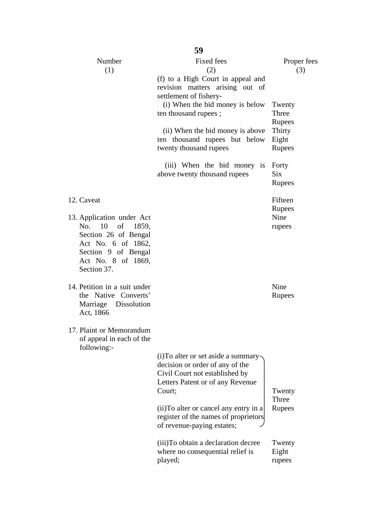| 59                                                                                                                                 |                                                                                                                                                                                                                                                                                                                                                     |                                                                                                               |  |  |  |  |  |
|------------------------------------------------------------------------------------------------------------------------------------|-----------------------------------------------------------------------------------------------------------------------------------------------------------------------------------------------------------------------------------------------------------------------------------------------------------------------------------------------------|---------------------------------------------------------------------------------------------------------------|--|--|--|--|--|
| Number<br>(1)                                                                                                                      | <b>Fixed fees</b><br>(2)<br>(f) to a High Court in appeal and<br>revision matters arising out of<br>settlement of fishery-<br>(i) When the bid money is below<br>ten thousand rupees;<br>(ii) When the bid money is above<br>ten thousand rupees but below<br>twenty thousand rupees<br>(iii) When the bid money is<br>above twenty thousand rupees | Proper fees<br>(3)<br>Twenty<br>Three<br>Rupees<br>Thirty<br>Eight<br>Rupees<br>Forty<br><b>Six</b><br>Rupees |  |  |  |  |  |
| 12. Caveat                                                                                                                         |                                                                                                                                                                                                                                                                                                                                                     | Fifteen                                                                                                       |  |  |  |  |  |
| 13. Application under Act                                                                                                          |                                                                                                                                                                                                                                                                                                                                                     | Rupees<br>Nine                                                                                                |  |  |  |  |  |
| 10<br>of<br>No.<br>1859,<br>Section 26 of Bengal<br>Act No. 6 of 1862,<br>Section 9 of Bengal<br>Act No. 8 of 1869,<br>Section 37. |                                                                                                                                                                                                                                                                                                                                                     | rupees                                                                                                        |  |  |  |  |  |
| 14. Petition in a suit under                                                                                                       |                                                                                                                                                                                                                                                                                                                                                     | Nine                                                                                                          |  |  |  |  |  |
| the Native Converts'<br>Marriage Dissolution<br>Act, 1866                                                                          |                                                                                                                                                                                                                                                                                                                                                     | Rupees                                                                                                        |  |  |  |  |  |
| 17. Plaint or Memorandum<br>of appeal in each of the<br>following:-                                                                |                                                                                                                                                                                                                                                                                                                                                     |                                                                                                               |  |  |  |  |  |
|                                                                                                                                    | (i) To alter or set aside a summary-<br>decision or order of any of the<br>Civil Court not established by<br>Letters Patent or of any Revenue<br>Court;                                                                                                                                                                                             | Twenty                                                                                                        |  |  |  |  |  |
|                                                                                                                                    | (ii) To alter or cancel any entry in a<br>register of the names of proprietors<br>of revenue-paying estates;                                                                                                                                                                                                                                        | Three<br>Rupees                                                                                               |  |  |  |  |  |
|                                                                                                                                    | (iii) To obtain a declaration decree<br>where no consequential relief is<br>played;                                                                                                                                                                                                                                                                 | Twenty<br>Eight<br>rupees                                                                                     |  |  |  |  |  |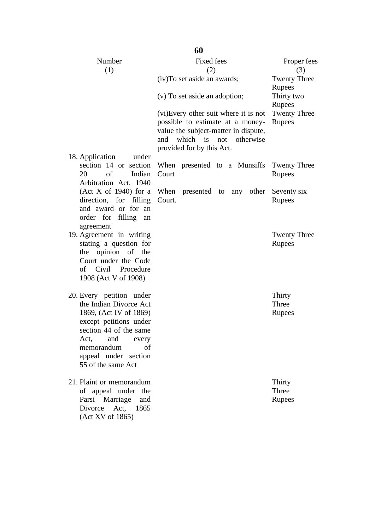| Number<br>(1)                                                                                                                                                                                                              | <b>Fixed fees</b><br>(2)                                                                                                                                                     | Proper fees<br>(3)               |
|----------------------------------------------------------------------------------------------------------------------------------------------------------------------------------------------------------------------------|------------------------------------------------------------------------------------------------------------------------------------------------------------------------------|----------------------------------|
|                                                                                                                                                                                                                            | (iv) To set aside an awards;                                                                                                                                                 | <b>Twenty Three</b><br>Rupees    |
|                                                                                                                                                                                                                            | (v) To set aside an adoption;                                                                                                                                                | Thirty two<br>Rupees             |
|                                                                                                                                                                                                                            | (vi) Every other suit where it is not<br>possible to estimate at a money-<br>value the subject-matter in dispute,<br>and which is not otherwise<br>provided for by this Act. | <b>Twenty Three</b><br>Rupees    |
| 18. Application<br>under<br>section 14 or section<br>20<br>of<br>Indian<br>Arbitration Act, 1940                                                                                                                           | When presented to a Munsiffs<br>Court                                                                                                                                        | <b>Twenty Three</b><br>Rupees    |
| (Act X of 1940) for a<br>direction, for filling<br>and award or for an<br>order for filling an<br>agreement                                                                                                                | When presented to any other<br>Court.                                                                                                                                        | Seventy six<br>Rupees            |
| 19. Agreement in writing<br>stating a question for<br>the opinion of the<br>Court under the Code<br>of Civil Procedure<br>1908 (Act V of 1908)                                                                             |                                                                                                                                                                              | <b>Twenty Three</b><br>Rupees    |
| 20. Every petition under<br>the Indian Divorce Act<br>1869, (Act IV of 1869)<br>except petitions under<br>section 44 of the same<br>Act,<br>and<br>every<br>memorandum<br>οf<br>appeal under section<br>55 of the same Act |                                                                                                                                                                              | Thirty<br>Three<br>Rupees        |
| 21. Plaint or memorandum<br>of appeal under the<br>Parsi Marriage<br>and<br>Divorce<br>Act, 1865<br>(Act XV of 1865)                                                                                                       |                                                                                                                                                                              | Thirty<br>Three<br><b>Rupees</b> |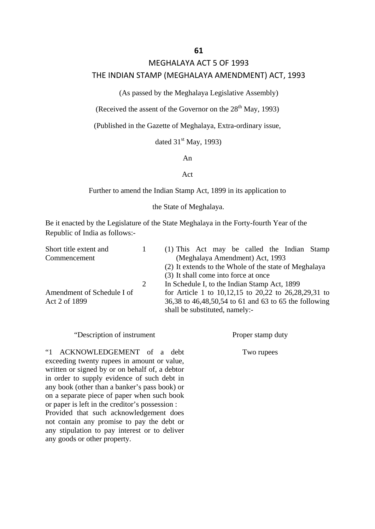### MEGHALAYA ACT 5 OF 1993

### THE INDIAN STAMP (MEGHALAYA AMENDMENT) ACT, 1993

(As passed by the Meghalaya Legislative Assembly)

(Received the assent of the Governor on the  $28<sup>th</sup>$  May, 1993)

(Published in the Gazette of Meghalaya, Extra-ordinary issue,

dated  $31<sup>st</sup>$  May, 1993)

An

### Act

Further to amend the Indian Stamp Act, 1899 in its application to

the State of Meghalaya.

Be it enacted by the Legislature of the State Meghalaya in the Forty-fourth Year of the Republic of India as follows:-

| Short title extent and                                                 |                | (1) This Act may be called the Indian Stamp                |  |  |  |                                 |  |  |
|------------------------------------------------------------------------|----------------|------------------------------------------------------------|--|--|--|---------------------------------|--|--|
| Commencement                                                           |                |                                                            |  |  |  | (Meghalaya Amendment) Act, 1993 |  |  |
|                                                                        |                | (2) It extends to the Whole of the state of Meghalaya      |  |  |  |                                 |  |  |
|                                                                        |                | (3) It shall come into force at once                       |  |  |  |                                 |  |  |
|                                                                        | $\overline{2}$ | In Schedule I, to the Indian Stamp Act, 1899               |  |  |  |                                 |  |  |
| Amendment of Schedule I of                                             |                | for Article 1 to $10,12,15$ to $20,22$ to $26,28,29,31$ to |  |  |  |                                 |  |  |
| 36,38 to 46,48,50,54 to 61 and 63 to 65 the following<br>Act 2 of 1899 |                |                                                            |  |  |  |                                 |  |  |
|                                                                        |                | shall be substituted, namely:-                             |  |  |  |                                 |  |  |

### "Description of instrument

"1 ACKNOWLEDGEMENT of a debt exceeding twenty rupees in amount or value, written or signed by or on behalf of, a debtor in order to supply evidence of such debt in any book (other than a banker's pass book) or on a separate piece of paper when such book or paper is left in the creditor's possession :

Provided that such acknowledgement does not contain any promise to pay the debt or any stipulation to pay interest or to deliver any goods or other property.

Proper stamp duty

Two rupees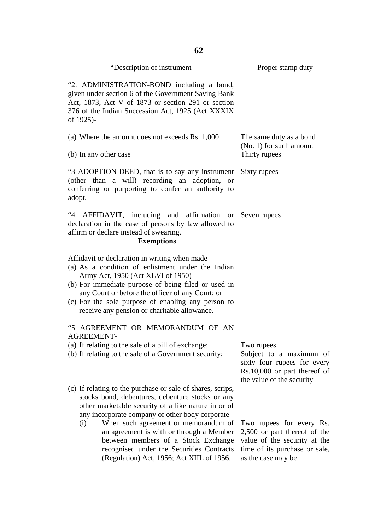| "Description of instrument                                                                                                                                                                                                                                                                                                                                                                                                                            | Proper stamp duty                                                                                                                               |
|-------------------------------------------------------------------------------------------------------------------------------------------------------------------------------------------------------------------------------------------------------------------------------------------------------------------------------------------------------------------------------------------------------------------------------------------------------|-------------------------------------------------------------------------------------------------------------------------------------------------|
| "2. ADMINISTRATION-BOND including a bond,<br>given under section 6 of the Government Saving Bank<br>Act, 1873, Act V of 1873 or section 291 or section<br>376 of the Indian Succession Act, 1925 (Act XXXIX<br>of 1925)-                                                                                                                                                                                                                              |                                                                                                                                                 |
| (a) Where the amount does not exceeds Rs. 1,000<br>(b) In any other case                                                                                                                                                                                                                                                                                                                                                                              | The same duty as a bond<br>(No. 1) for such amount<br>Thirty rupees                                                                             |
| "3 ADOPTION-DEED, that is to say any instrument Sixty rupees<br>(other than a will) recording an adoption, or<br>conferring or purporting to confer an authority to<br>adopt.                                                                                                                                                                                                                                                                         |                                                                                                                                                 |
| 44<br>AFFIDAVIT, including and affirmation or Seven rupees<br>declaration in the case of persons by law allowed to<br>affirm or declare instead of swearing.<br><b>Exemptions</b>                                                                                                                                                                                                                                                                     |                                                                                                                                                 |
| Affidavit or declaration in writing when made-<br>(a) As a condition of enlistment under the Indian<br>Army Act, 1950 (Act XLVI of 1950)<br>(b) For immediate purpose of being filed or used in<br>any Court or before the officer of any Court; or<br>(c) For the sole purpose of enabling any person to<br>receive any pension or charitable allowance.                                                                                             |                                                                                                                                                 |
| "5 AGREEMENT OR MEMORANDUM OF AN<br><b>AGREEMENT-</b>                                                                                                                                                                                                                                                                                                                                                                                                 |                                                                                                                                                 |
| (a) If relating to the sale of a bill of exchange;<br>(b) If relating to the sale of a Government security;                                                                                                                                                                                                                                                                                                                                           | Two rupees<br>Subject to a maximum of<br>sixty four rupees for every<br>Rs.10,000 or part thereof of<br>the value of the security               |
| (c) If relating to the purchase or sale of shares, scrips,<br>stocks bond, debentures, debenture stocks or any<br>other marketable security of a like nature in or of<br>any incorporate company of other body corporate-<br>When such agreement or memorandum of<br>(i)<br>an agreement is with or through a Member<br>between members of a Stock Exchange<br>recognised under the Securities Contracts<br>(Regulation) Act, 1956; Act XIIL of 1956. | Two rupees for every Rs.<br>2,500 or part thereof of the<br>value of the security at the<br>time of its purchase or sale,<br>as the case may be |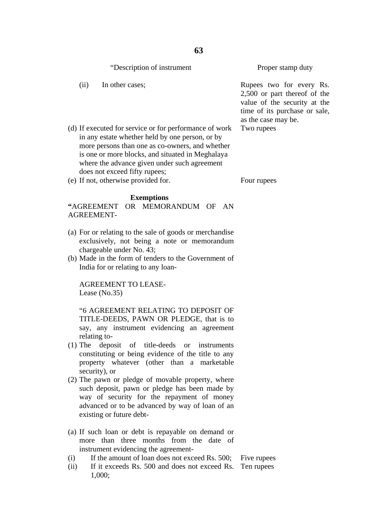|      | "Description of instrument"                                                                                                                                                                                                                                                                       | Proper stamp duty                                                                                                               |
|------|---------------------------------------------------------------------------------------------------------------------------------------------------------------------------------------------------------------------------------------------------------------------------------------------------|---------------------------------------------------------------------------------------------------------------------------------|
| (ii) | In other cases;                                                                                                                                                                                                                                                                                   | Rupees two for every<br>$2,500$ or part thereof or<br>value of the security a<br>time of its purchase or<br>as the case may be. |
|      | (d) If executed for service or for performance of work<br>in any estate whether held by one person, or by<br>more persons than one as co-owners, and whether<br>is one or more blocks, and situated in Meghalaya<br>where the advance given under such agreement<br>does not exceed fifty rupees; | Two rupees                                                                                                                      |

(e) If not, otherwise provided for.

#### **Exemptions**

**"**AGREEMENT OR MEMORANDUM OF AN AGREEMENT-

- (a) For or relating to the sale of goods or merchandise exclusively, not being a note or memorandum chargeable under No. 43;
- (b) Made in the form of tenders to the Government of India for or relating to any loan-

AGREEMENT TO LEASE-Lease (No.35)

"6 AGREEMENT RELATING TO DEPOSIT OF TITLE-DEEDS, PAWN OR PLEDGE, that is to say, any instrument evidencing an agreement relating to-

- (1) The deposit of title-deeds or instruments constituting or being evidence of the title to any property whatever (other than a marketable security), or
- (2) The pawn or pledge of movable property, where such deposit, pawn or pledge has been made by way of security for the repayment of money advanced or to be advanced by way of loan of an existing or future debt-
- (a) If such loan or debt is repayable on demand or more than three months from the date of instrument evidencing the agreement-
- (i) If the amount of loan does not exceed Rs. 500; Five rupees
- (ii) If it exceeds Rs. 500 and does not exceed Rs. Ten rupees 1,000;

v Rs.  $25$  the at the sale.

Four rupees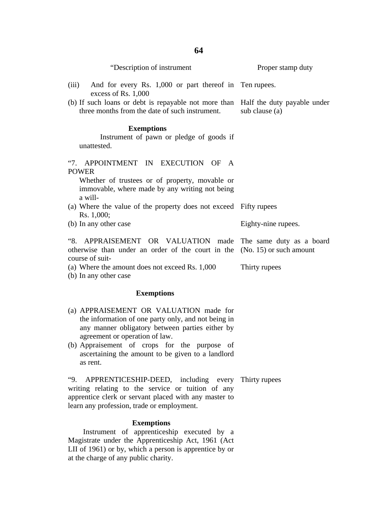| "Description of instrument"                                                                                                                                   | Proper stamp duty   |
|---------------------------------------------------------------------------------------------------------------------------------------------------------------|---------------------|
| And for every Rs. 1,000 or part thereof in Ten rupees.<br>(iii)<br>excess of Rs. 1,000                                                                        |                     |
| (b) If such loans or debt is repayable not more than Half the duty payable under<br>three months from the date of such instrument.                            | sub clause (a)      |
| <b>Exemptions</b><br>Instrument of pawn or pledge of goods if<br>unattested.                                                                                  |                     |
| "7. APPOINTMENT IN EXECUTION OF A<br><b>POWER</b><br>Whether of trustees or of property, movable or<br>immovable, where made by any writing not being         |                     |
| a will-<br>(a) Where the value of the property does not exceed Fifty rupees<br>Rs. 1,000;                                                                     |                     |
| (b) In any other case                                                                                                                                         | Eighty-nine rupees. |
| "8. APPRAISEMENT OR VALUATION made The same duty as a board<br>otherwise than under an order of the court in the $(No. 15)$ or such amount<br>course of suit- |                     |
| (a) Where the amount does not exceed Rs. 1,000                                                                                                                | Thirty rupees       |

(b) In any other case

### **Exemptions**

- (a) APPRAISEMENT OR VALUATION made for the information of one party only, and not being in any manner obligatory between parties either by agreement or operation of law.
- (b) Appraisement of crops for the purpose of ascertaining the amount to be given to a landlord as rent.

"9. APPRENTICESHIP-DEED, including every Thirty rupeeswriting relating to the service or tuition of any apprentice clerk or servant placed with any master to learn any profession, trade or employment.

### **Exemptions**

 Instrument of apprenticeship executed by a Magistrate under the Apprenticeship Act, 1961 (Act LII of 1961) or by, which a person is apprentice by or at the charge of any public charity.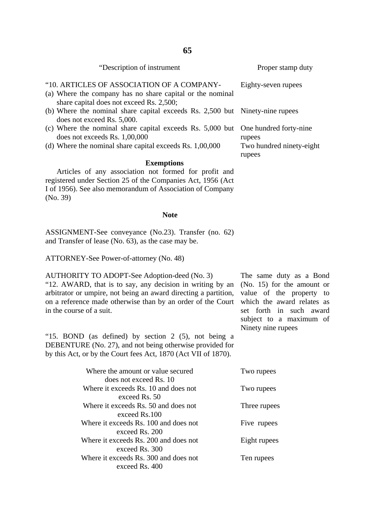| "Description of instrument"                                                                                                                         | Proper stamp duty                  |
|-----------------------------------------------------------------------------------------------------------------------------------------------------|------------------------------------|
| "10. ARTICLES OF ASSOCIATION OF A COMPANY-<br>(a) Where the company has no share capital or the nominal<br>share capital does not exceed Rs. 2,500; | Eighty-seven rupees                |
| (b) Where the nominal share capital exceeds Rs. 2,500 but Ninety-nine rupees<br>does not exceed Rs. 5,000.                                          |                                    |
| (c) Where the nominal share capital exceeds Rs. 5,000 but One hundred forty-nine<br>does not exceeds Rs. 1,00,000                                   | rupees                             |
| (d) Where the nominal share capital exceeds Rs. $1,00,000$                                                                                          | Two hundred ninety-eight<br>rupees |
|                                                                                                                                                     |                                    |

### **Exemptions**

 Articles of any association not formed for profit and registered under Section 25 of the Companies Act, 1956 (Act I of 1956). See also memorandum of Association of Company (No. 39)

#### **Note**

ASSIGNMENT-See conveyance (No.23). Transfer (no. 62) and Transfer of lease (No. 63), as the case may be.

ATTORNEY-See Power-of-attorney (No. 48)

AUTHORITY TO ADOPT-See Adoption-deed (No. 3) "12. AWARD, that is to say, any decision in writing by an arbitrator or umpire, not being an award directing a partition, on a reference made otherwise than by an order of the Court in the course of a suit.

"15. BOND (as defined) by section 2 (5), not being a DEBENTURE (No. 27), and not being otherwise provided for by this Act, or by the Court fees Act, 1870 (Act VII of 1870).

The same duty as a Bond (No. 15) for the amount or value of the property to which the award relates as set forth in such award subject to a maximum of Ninety nine rupees

| Where the amount or value secured     | Two rupees   |
|---------------------------------------|--------------|
| does not exceed Rs. 10                |              |
| Where it exceeds Rs. 10 and does not  | Two rupees   |
| exceed Rs. 50                         |              |
| Where it exceeds Rs. 50 and does not  | Three rupees |
| exceed Rs.100                         |              |
| Where it exceeds Rs. 100 and does not | Five rupees  |
| exceed Rs. 200                        |              |
| Where it exceeds Rs. 200 and does not | Eight rupees |
| exceed Rs. 300                        |              |
| Where it exceeds Rs. 300 and does not | Ten rupees   |
| exceed Rs. 400                        |              |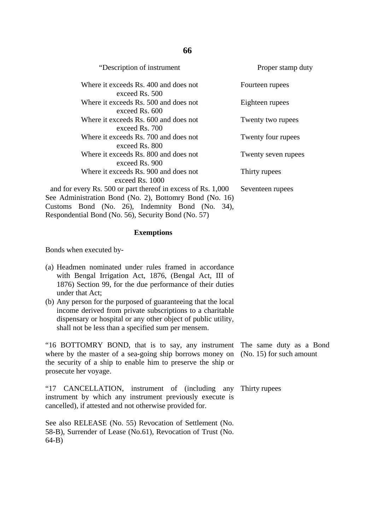| "Description of instrument"                                                                                             | Proper stamp duty   |
|-------------------------------------------------------------------------------------------------------------------------|---------------------|
| Where it exceeds Rs. 400 and does not<br>exceed Rs. 500                                                                 | Fourteen rupees     |
| Where it exceeds Rs. 500 and does not<br>exceed Rs. 600                                                                 | Eighteen rupees     |
| Where it exceeds Rs. 600 and does not<br>exceed Rs. 700                                                                 | Twenty two rupees   |
| Where it exceeds Rs. 700 and does not<br>exceed Rs. 800                                                                 | Twenty four rupees  |
| Where it exceeds Rs. 800 and does not<br>exceed Rs. 900                                                                 | Twenty seven rupees |
| Where it exceeds Rs. 900 and does not<br>exceed $\text{Rs}$ , 1000                                                      | Thirty rupees       |
| and for every Rs. 500 or part thereof in excess of Rs. 1,000<br>See Administration Bond (No. 2), Bottomry Bond (No. 16) | Seventeen rupees    |
| Customs Bond (No. 26), Indemnity Bond (No. 34),<br>Respondential Bond (No. 56), Security Bond (No. 57)                  |                     |

### **Exemptions**

Bonds when executed by-

- (a) Headmen nominated under rules framed in accordance with Bengal Irrigation Act, 1876, (Bengal Act, III of 1876) Section 99, for the due performance of their duties under that Act;
- (b) Any person for the purposed of guaranteeing that the local income derived from private subscriptions to a charitable dispensary or hospital or any other object of public utility, shall not be less than a specified sum per mensem.

"16 BOTTOMRY BOND, that is to say, any instrument where by the master of a sea-going ship borrows money on the security of a ship to enable him to preserve the ship or prosecute her voyage.

"17 CANCELLATION, instrument of (including any Thirty rupeesinstrument by which any instrument previously execute is cancelled), if attested and not otherwise provided for.

See also RELEASE (No. 55) Revocation of Settlement (No. 58-B), Surrender of Lease (No.61), Revocation of Trust (No. 64-B)

The same duty as a Bond (No. 15) for such amount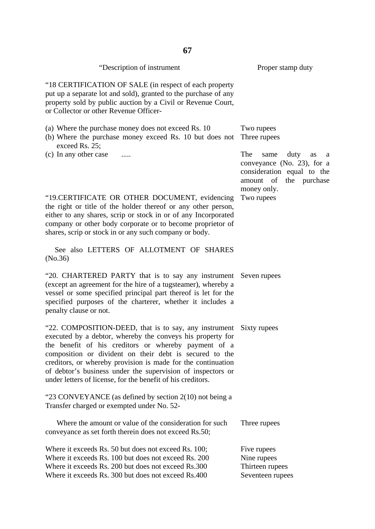| 67                                                                                                                                                                                                                                                                                                                                                                                                                                                |                                                                                                                                        |  |
|---------------------------------------------------------------------------------------------------------------------------------------------------------------------------------------------------------------------------------------------------------------------------------------------------------------------------------------------------------------------------------------------------------------------------------------------------|----------------------------------------------------------------------------------------------------------------------------------------|--|
| "Description of instrument                                                                                                                                                                                                                                                                                                                                                                                                                        | Proper stamp duty                                                                                                                      |  |
| "18 CERTIFICATION OF SALE (in respect of each property<br>put up a separate lot and sold), granted to the purchase of any<br>property sold by public auction by a Civil or Revenue Court,<br>or Collector or other Revenue Officer-                                                                                                                                                                                                               |                                                                                                                                        |  |
| (a) Where the purchase money does not exceed Rs. 10<br>(b) Where the purchase money exceed Rs. 10 but does not<br>exceed Rs. 25;                                                                                                                                                                                                                                                                                                                  | Two rupees<br>Three rupees                                                                                                             |  |
| (c) In any other case                                                                                                                                                                                                                                                                                                                                                                                                                             | The<br>duty<br>same<br>as<br>a<br>conveyance (No. 23), for a<br>consideration equal to the<br>the purchase<br>amount of<br>money only. |  |
| "19. CERTIFICATE OR OTHER DOCUMENT, evidencing<br>the right or title of the holder thereof or any other person,<br>either to any shares, scrip or stock in or of any Incorporated<br>company or other body corporate or to become proprietor of<br>shares, scrip or stock in or any such company or body.                                                                                                                                         | Two rupees                                                                                                                             |  |
| See also LETTERS OF ALLOTMENT OF SHARES<br>(No.36)                                                                                                                                                                                                                                                                                                                                                                                                |                                                                                                                                        |  |
| "20. CHARTERED PARTY that is to say any instrument Seven rupees<br>(except an agreement for the hire of a tugsteamer), whereby a<br>vessel or some specified principal part thereof is let for the<br>specified purposes of the charterer, whether it includes a<br>penalty clause or not.                                                                                                                                                        |                                                                                                                                        |  |
| "22. COMPOSITION-DEED, that is to say, any instrument Sixty rupees<br>executed by a debtor, whereby the conveys his property for<br>the benefit of his creditors or whereby payment of a<br>composition or divident on their debt is secured to the<br>creditors, or whereby provision is made for the continuation<br>of debtor's business under the supervision of inspectors or<br>under letters of license, for the benefit of his creditors. |                                                                                                                                        |  |
| "23 CONVEYANCE (as defined by section 2(10) not being a<br>Transfer charged or exempted under No. 52-                                                                                                                                                                                                                                                                                                                                             |                                                                                                                                        |  |
| Where the amount or value of the consideration for such<br>conveyance as set forth therein does not exceed Rs.50;                                                                                                                                                                                                                                                                                                                                 | Three rupees                                                                                                                           |  |
| Where it exceeds Rs. 50 but does not exceed Rs. 100;<br>Where it exceeds Rs. 100 but does not exceed Rs. 200<br>Where it exceeds Rs. 200 but does not exceed Rs.300<br>Where it exceeds Rs. 300 but does not exceed Rs.400                                                                                                                                                                                                                        | Five rupees<br>Nine rupees<br>Thirteen rupees<br>Seventeen rupees                                                                      |  |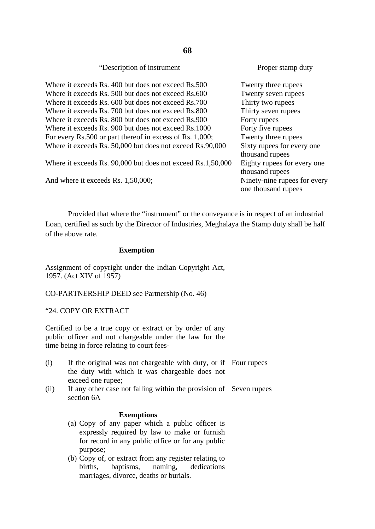| "Description of instrument"                                 | Proper stamp duty                                   |
|-------------------------------------------------------------|-----------------------------------------------------|
| Where it exceeds Rs. 400 but does not exceed Rs.500         | Twenty three rupees                                 |
| Where it exceeds Rs. 500 but does not exceed Rs.600         | Twenty seven rupees                                 |
| Where it exceeds Rs. 600 but does not exceed Rs.700         | Thirty two rupees                                   |
| Where it exceeds Rs. 700 but does not exceed Rs.800         | Thirty seven rupees                                 |
| Where it exceeds Rs. 800 but does not exceed Rs.900         | Forty rupees                                        |
| Where it exceeds Rs. 900 but does not exceed Rs.1000        | Forty five rupees                                   |
| For every Rs.500 or part thereof in excess of Rs. 1,000;    | Twenty three rupees                                 |
| Where it exceeds Rs. 50,000 but does not exceed Rs.90,000   | Sixty rupees for every one<br>thousand rupees       |
| Where it exceeds Rs. 90,000 but does not exceed Rs.1,50,000 | Eighty rupees for every one<br>thousand rupees      |
| And where it exceeds Rs. 1,50,000;                          | Ninety-nine rupees for every<br>one thousand rupees |

Provided that where the "instrument" or the conveyance is in respect of an industrial Loan, certified as such by the Director of Industries, Meghalaya the Stamp duty shall be half of the above rate.

### **Exemption**

Assignment of copyright under the Indian Copyright Act, 1957. (Act XIV of 1957)

CO-PARTNERSHIP DEED see Partnership (No. 46)

"24. COPY OR EXTRACT

Certified to be a true copy or extract or by order of any public officer and not chargeable under the law for the time being in force relating to court fees-

- (i) If the original was not chargeable with duty, or if Four rupees the duty with which it was chargeable does not exceed one rupee;
- (ii) If any other case not falling within the provision of Seven rupees section 6A

### **Exemptions**

- (a) Copy of any paper which a public officer is expressly required by law to make or furnish for record in any public office or for any public purpose;
- (b) Copy of, or extract from any register relating to births, baptisms, naming, dedications marriages, divorce, deaths or burials.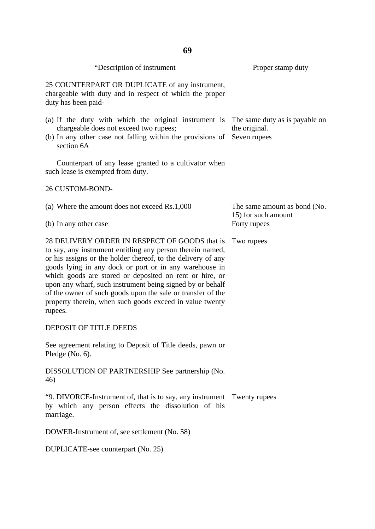| "Description of instrument                                                                                                                                                                                                                                                                                                                                                                                                                                                                          | Proper stamp duty                                               |
|-----------------------------------------------------------------------------------------------------------------------------------------------------------------------------------------------------------------------------------------------------------------------------------------------------------------------------------------------------------------------------------------------------------------------------------------------------------------------------------------------------|-----------------------------------------------------------------|
| 25 COUNTERPART OR DUPLICATE of any instrument,<br>chargeable with duty and in respect of which the proper<br>duty has been paid-                                                                                                                                                                                                                                                                                                                                                                    |                                                                 |
| (a) If the duty with which the original instrument is<br>chargeable does not exceed two rupees;<br>(b) In any other case not falling within the provisions of<br>section 6A                                                                                                                                                                                                                                                                                                                         | The same duty as is payable on<br>the original.<br>Seven rupees |
| Counterpart of any lease granted to a cultivator when<br>such lease is exempted from duty.                                                                                                                                                                                                                                                                                                                                                                                                          |                                                                 |
| <b>26 CUSTOM-BOND-</b>                                                                                                                                                                                                                                                                                                                                                                                                                                                                              |                                                                 |
| (a) Where the amount does not exceed Rs.1,000                                                                                                                                                                                                                                                                                                                                                                                                                                                       | The same amount as bond (No.<br>15) for such amount             |
| (b) In any other case                                                                                                                                                                                                                                                                                                                                                                                                                                                                               | Forty rupees                                                    |
| 28 DELIVERY ORDER IN RESPECT OF GOODS that is<br>to say, any instrument entitling any person therein named,<br>or his assigns or the holder thereof, to the delivery of any<br>goods lying in any dock or port or in any warehouse in<br>which goods are stored or deposited on rent or hire, or<br>upon any wharf, such instrument being signed by or behalf<br>of the owner of such goods upon the sale or transfer of the<br>property therein, when such goods exceed in value twenty<br>rupees. | Two rupees                                                      |
| <b>DEPOSIT OF TITLE DEEDS</b>                                                                                                                                                                                                                                                                                                                                                                                                                                                                       |                                                                 |
| See agreement relating to Deposit of Title deeds, pawn or<br>Pledge $(No. 6)$ .                                                                                                                                                                                                                                                                                                                                                                                                                     |                                                                 |
| DISSOLUTION OF PARTNERSHIP See partnership (No.<br>46)                                                                                                                                                                                                                                                                                                                                                                                                                                              |                                                                 |
| "9. DIVORCE-Instrument of, that is to say, any instrument Twenty rupees<br>by which any person effects the dissolution of his<br>marriage.                                                                                                                                                                                                                                                                                                                                                          |                                                                 |
| DOWER-Instrument of, see settlement (No. 58)                                                                                                                                                                                                                                                                                                                                                                                                                                                        |                                                                 |

DUPLICATE-see counterpart (No. 25)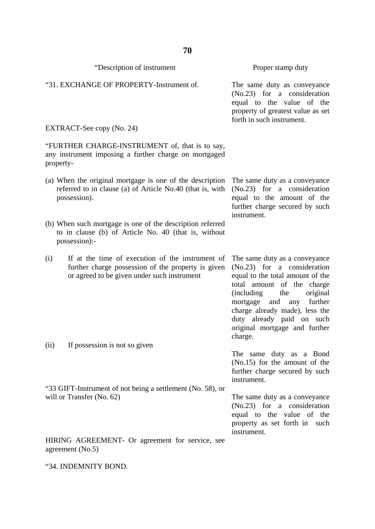| "Description of instrument                                                                                                                                   | Proper stamp duty                                                                                                                                                                                                                                                                                                  |
|--------------------------------------------------------------------------------------------------------------------------------------------------------------|--------------------------------------------------------------------------------------------------------------------------------------------------------------------------------------------------------------------------------------------------------------------------------------------------------------------|
| "31. EXCHANGE OF PROPERTY-Instrument of.                                                                                                                     | The same duty as conveyance<br>$(No.23)$ for a consideration<br>equal to the value of the<br>property of greatest value as set<br>forth in such instrument.                                                                                                                                                        |
| EXTRACT-See copy (No. 24)                                                                                                                                    |                                                                                                                                                                                                                                                                                                                    |
| "FURTHER CHARGE-INSTRUMENT of, that is to say,<br>any instrument imposing a further charge on mortgaged<br>property-                                         |                                                                                                                                                                                                                                                                                                                    |
| (a) When the original mortgage is one of the description<br>referred to in clause (a) of Article No.40 (that is, with<br>possession).                        | The same duty as a conveyance<br>$(No.23)$ for a consideration<br>equal to the amount of the<br>further charge secured by such<br>instrument.                                                                                                                                                                      |
| (b) When such mortgage is one of the description referred<br>to in clause (b) of Article No. 40 (that is, without<br>possession):-                           |                                                                                                                                                                                                                                                                                                                    |
| If at the time of execution of the instrument of<br>(i)<br>further charge possession of the property is given<br>or agreed to be given under such instrument | The same duty as a conveyance<br>$(No.23)$ for a consideration<br>equal to the total amount of the<br>total amount of the charge<br>(including)<br>original<br>the<br>further<br>mortgage<br>and<br>any<br>charge already made), less the<br>duty already paid on such<br>original mortgage and further<br>charge. |
| If possession is not so given<br>(ii)                                                                                                                        | The same duty as a Bond<br>$(No.15)$ for the amount of the<br>further charge secured by such<br>instrument.                                                                                                                                                                                                        |
| "33 GIFT-Instrument of not being a settlement (No. 58), or<br>will or Transfer (No. 62)                                                                      | The same duty as a conveyance<br>$(No.23)$ for a consideration<br>equal to the value of the<br>property as set forth in such<br>instrument.                                                                                                                                                                        |
| HIRING AGREEMENT- Or agreement for service, see<br>agreement (No.5)                                                                                          |                                                                                                                                                                                                                                                                                                                    |

"34. INDEMNITY BOND.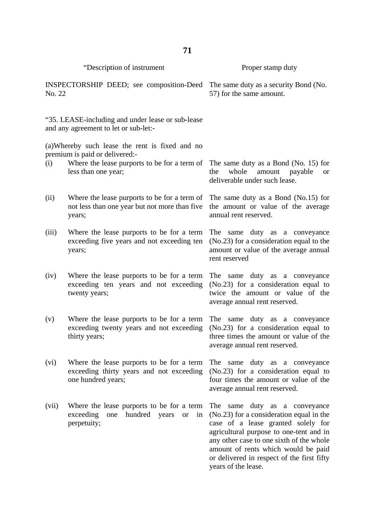|        | "Description of instrument                                                                                                                                                                    | Proper stamp duty                                                                                                                                                                                                                                                                                                          |  |  |
|--------|-----------------------------------------------------------------------------------------------------------------------------------------------------------------------------------------------|----------------------------------------------------------------------------------------------------------------------------------------------------------------------------------------------------------------------------------------------------------------------------------------------------------------------------|--|--|
| No. 22 | INSPECTORSHIP DEED; see composition-Deed                                                                                                                                                      | The same duty as a security Bond (No.<br>57) for the same amount.                                                                                                                                                                                                                                                          |  |  |
|        | "35. LEASE-including and under lease or sub-lease<br>and any agreement to let or sub-let:-                                                                                                    |                                                                                                                                                                                                                                                                                                                            |  |  |
| (i)    | (a) Whereby such lease the rent is fixed and no<br>premium is paid or delivered:-<br>Where the lease purports to be for a term of The same duty as a Bond (No. 15) for<br>less than one year; | whole<br>amount<br>the<br>payable<br><b>or</b><br>deliverable under such lease.                                                                                                                                                                                                                                            |  |  |
| (ii)   | Where the lease purports to be for a term of<br>not less than one year but not more than five<br>years;                                                                                       | The same duty as a Bond (No.15) for<br>the amount or value of the average<br>annual rent reserved.                                                                                                                                                                                                                         |  |  |
| (iii)  | Where the lease purports to be for a term<br>exceeding five years and not exceeding ten<br>years;                                                                                             | The same duty as a conveyance<br>(No.23) for a consideration equal to the<br>amount or value of the average annual<br>rent reserved                                                                                                                                                                                        |  |  |
| (iv)   | Where the lease purports to be for a term<br>exceeding ten years and not exceeding<br>twenty years;                                                                                           | The same duty as a conveyance<br>$(No.23)$ for a consideration equal to<br>twice the amount or value of the<br>average annual rent reserved.                                                                                                                                                                               |  |  |
| (v)    | Where the lease purports to be for a term<br>exceeding twenty years and not exceeding<br>thirty years;                                                                                        | duty as a conveyance<br>The same<br>$(No.23)$ for a consideration equal to<br>three times the amount or value of the<br>average annual rent reserved.                                                                                                                                                                      |  |  |
| (vi)   | Where the lease purports to be for a term<br>exceeding thirty years and not exceeding<br>one hundred years;                                                                                   | The same duty as a conveyance<br>(No.23) for a consideration equal to<br>four times the amount or value of the<br>average annual rent reserved.                                                                                                                                                                            |  |  |
| (vii)  | Where the lease purports to be for a term<br>hundred<br>exceeding<br>one<br>years<br><b>or</b><br>in<br>perpetuity;                                                                           | duty as a conveyance<br>same<br>The<br>$(No.23)$ for a consideration equal in the<br>case of a lease granted solely for<br>agricultural purpose to one-tent and in<br>any other case to one sixth of the whole<br>amount of rents which would be paid<br>or delivered in respect of the first fifty<br>years of the lease. |  |  |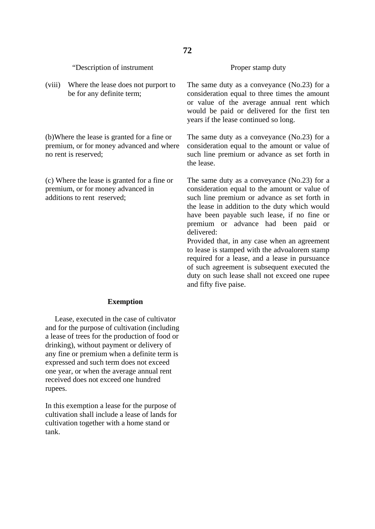| be for any definite term;                                                                                        | consideration equal to three times the amount<br>or value of the average annual rent which<br>would be paid or delivered for the first ten<br>years if the lease continued so long.                                                                                                                                                               |
|------------------------------------------------------------------------------------------------------------------|---------------------------------------------------------------------------------------------------------------------------------------------------------------------------------------------------------------------------------------------------------------------------------------------------------------------------------------------------|
| (b) Where the lease is granted for a fine or<br>premium, or for money advanced and where<br>no rent is reserved; | The same duty as a conveyance (No.23) for a<br>consideration equal to the amount or value of<br>such line premium or advance as set forth in<br>the lease.                                                                                                                                                                                        |
| (c) Where the lease is granted for a fine or<br>premium, or for money advanced in<br>additions to rent reserved; | The same duty as a conveyance (No.23) for a<br>consideration equal to the amount or value of<br>such line premium or advance as set forth in<br>the lease in addition to the duty which would<br>have been payable such lease, if no fine or<br>premium or advance had been paid or<br>delivered:<br>Provided that, in any case when an agreement |

to lease is stamped with the advoalorem stamp required for a lease, and a lease in pursuance of such agreement is subsequent executed the duty on such lease shall not exceed one rupee and fifty five paise.

 Lease, executed in the case of cultivator and for the purpose of cultivation (including a lease of trees for the production of food or drinking), without payment or delivery of any fine or premium when a definite term is expressed and such term does not exceed one year, or when the average annual rent received does not exceed one hundred rupees.

In this exemption a lease for the purpose of cultivation shall include a lease of lands for cultivation together with a home stand or tank.

#### Proper stamp duty

The same duty as a conveyance (No.23) for a consideration equal to three times the amount or value of the average annual rent which would be paid or delivered for the first ten

"Description of instrument

(viii) Where the lease does not purport to

## **Exemption**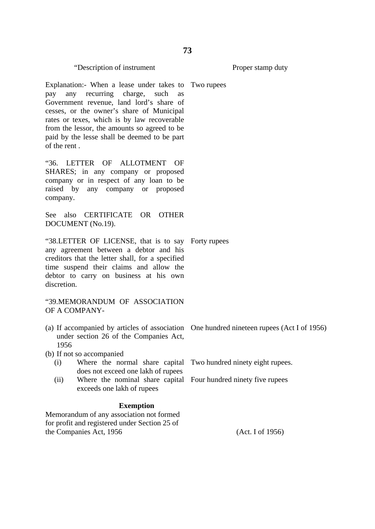| Explanation:- When a lease under takes to Two rupees<br>any recurring charge, such<br>pay<br>as<br>Government revenue, land lord's share of<br>cesses, or the owner's share of Municipal<br>rates or texes, which is by law recoverable<br>from the lessor, the amounts so agreed to be<br>paid by the lesse shall be deemed to be part<br>of the rent. |  |
|---------------------------------------------------------------------------------------------------------------------------------------------------------------------------------------------------------------------------------------------------------------------------------------------------------------------------------------------------------|--|
| LETTER OF ALLOTMENT OF<br>"36.<br>SHARES; in any company or proposed<br>company or in respect of any loan to be<br>raised by any company or proposed<br>company.                                                                                                                                                                                        |  |
| See also CERTIFICATE OR OTHER<br>DOCUMENT (No.19).                                                                                                                                                                                                                                                                                                      |  |
| "38.LETTER OF LICENSE, that is to say Forty rupees<br>any agreement between a debtor and his<br>creditors that the letter shall, for a specified<br>time suspend their claims and allow the<br>debtor to carry on business at his own<br>discretion.                                                                                                    |  |
| "39.MEMORANDUM OF ASSOCIATION<br>OF A COMPANY-                                                                                                                                                                                                                                                                                                          |  |
| (a) If accompanied by articles of association One hundred nineteen rupees (Act I of 1956)<br>under section 26 of the Companies Act,<br>1956                                                                                                                                                                                                             |  |
| $(h)$ If not an accompanied                                                                                                                                                                                                                                                                                                                             |  |

- (b) If not so accompanied
	- (i) Where the normal share capital Two hundred ninety eight rupees. does not exceed one lakh of rupees (ii) Where the nominal share capital Four hundred ninety five rupees
	- exceeds one lakh of rupees

## **Exemption**

Memorandum of any association not formed for profit and registered under Section 25 of the Companies Act, 1956

"Description of instrument

(Act. I of 1956)

Proper stamp duty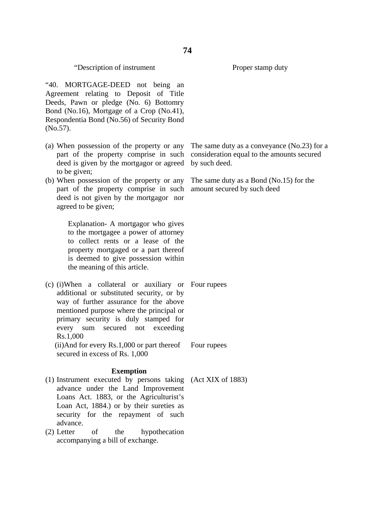Proper stamp duty

"40. MORTGAGE-DEED not being an Agreement relating to Deposit of Title Deeds, Pawn or pledge (No. 6) Bottomry Bond (No.16), Mortgage of a Crop (No.41), Respondentia Bond (No.56) of Security Bond (No.57).

- (a) When possession of the property or any part of the property comprise in such deed is given by the mortgagor or agreed to be given;
- (b) When possession of the property or any part of the property comprise in such deed is not given by the mortgagor nor agreed to be given;

Explanation- A mortgagor who gives to the mortgagee a power of attorney to collect rents or a lease of the property mortgaged or a part thereof is deemed to give possession within the meaning of this article.

(c) (i)When a collateral or auxiliary or Four rupees additional or substituted security, or by way of further assurance for the above mentioned purpose where the principal or primary security is duly stamped for every sum secured not exceeding Rs.1,000 (ii)And for every Rs.1,000 or part thereof secured in excess of Rs. 1,000 Four rupees

## **Exemption**

- (1) Instrument executed by persons taking (Act XIX of 1883)advance under the Land Improvement Loans Act. 1883, or the Agriculturist's Loan Act, 1884.) or by their sureties as security for the repayment of such advance.
- (2) Letter of the hypothecation accompanying a bill of exchange.

The same duty as a conveyance (No.23) for a consideration equal to the amounts secured by such deed.

The same duty as a Bond (No.15) for the amount secured by such deed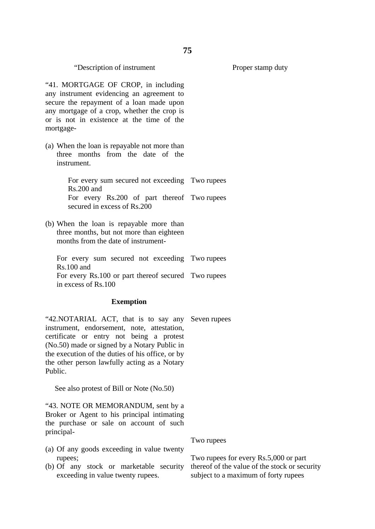"41. MORTGAGE OF CROP, in including any instrument evidencing an agreement to secure the repayment of a loan made upon any mortgage of a crop, whether the crop is or is not in existence at the time of the mortgage-

(a) When the loan is repayable not more than three months from the date of the instrument.

> For every sum secured not exceeding Two rupees Rs.200 and For every Rs.200 of part thereof Two rupees secured in excess of Rs.200

(b) When the loan is repayable more than three months, but not more than eighteen months from the date of instrument-

For every sum secured not exceeding Two rupees Rs.100 and For every Rs.100 or part thereof secured Two rupees in excess of Rs.100

#### **Exemption**

"42.NOTARIAL ACT, that is to say any Seven rupees instrument, endorsement, note, attestation, certificate or entry not being a protest (No.50) made or signed by a Notary Public in the execution of the duties of his office, or by the other person lawfully acting as a Notary Public.

See also protest of Bill or Note (No.50)

"43. NOTE OR MEMORANDUM, sent by a Broker or Agent to his principal intimating the purchase or sale on account of such principal-

- (a) Of any goods exceeding in value twenty rupees;
- (b) Of any stock or marketable security exceeding in value twenty rupees.

Two rupees for every Rs.5,000 or part thereof of the value of the stock or security subject to a maximum of forty rupees

Two rupees

Proper stamp duty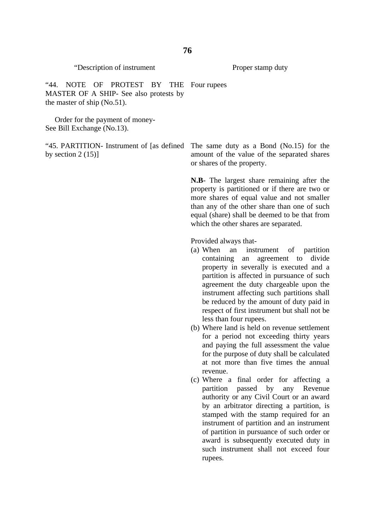Proper stamp duty

"44. NOTE OF PROTEST BY THE Four rupees MASTER OF A SHIP- See also protests by the master of ship (No.51).

 Order for the payment of money-See Bill Exchange (No.13).

by section  $2(15)$ ]

"45. PARTITION- Instrument of [as defined The same duty as a Bond (No.15) for the amount of the value of the separated shares or shares of the property.

> **N.B**- The largest share remaining after the property is partitioned or if there are two or more shares of equal value and not smaller than any of the other share than one of such equal (share) shall be deemed to be that from which the other shares are separated.

Provided always that-

- (a) When an instrument of partition containing an agreement to divide property in severally is executed and a partition is affected in pursuance of such agreement the duty chargeable upon the instrument affecting such partitions shall be reduced by the amount of duty paid in respect of first instrument but shall not be less than four rupees.
- (b) Where land is held on revenue settlement for a period not exceeding thirty years and paying the full assessment the value for the purpose of duty shall be calculated at not more than five times the annual revenue.
- (c) Where a final order for affecting a partition passed by any Revenue authority or any Civil Court or an award by an arbitrator directing a partition, is stamped with the stamp required for an instrument of partition and an instrument of partition in pursuance of such order or award is subsequently executed duty in such instrument shall not exceed four rupees.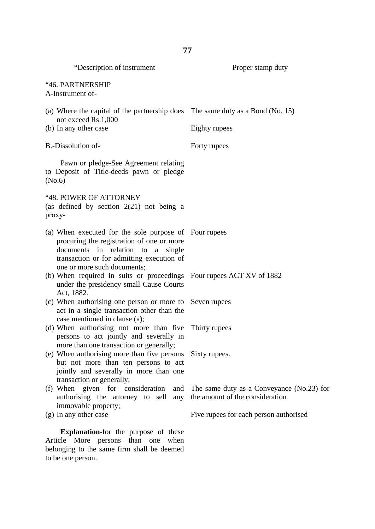| "Description of instrument                                                                                                                                                                                          | Proper stamp duty                                                            |  |  |  |
|---------------------------------------------------------------------------------------------------------------------------------------------------------------------------------------------------------------------|------------------------------------------------------------------------------|--|--|--|
| "46. PARTNERSHIP<br>A-Instrument of-                                                                                                                                                                                |                                                                              |  |  |  |
| (a) Where the capital of the partnership does The same duty as a Bond (No. 15)<br>not exceed Rs.1,000                                                                                                               |                                                                              |  |  |  |
| (b) In any other case                                                                                                                                                                                               | Eighty rupees                                                                |  |  |  |
| B.-Dissolution of-                                                                                                                                                                                                  | Forty rupees                                                                 |  |  |  |
| Pawn or pledge-See Agreement relating<br>to Deposit of Title-deeds pawn or pledge<br>(No.6)                                                                                                                         |                                                                              |  |  |  |
| "48. POWER OF ATTORNEY<br>(as defined by section $2(21)$ not being a<br>proxy-                                                                                                                                      |                                                                              |  |  |  |
| (a) When executed for the sole purpose of Four rupees<br>procuring the registration of one or more<br>documents in relation to a single<br>transaction or for admitting execution of<br>one or more such documents; |                                                                              |  |  |  |
| (b) When required in suits or proceedings Four rupees ACT XV of 1882<br>under the presidency small Cause Courts<br>Act, 1882.                                                                                       |                                                                              |  |  |  |
| (c) When authorising one person or more to<br>act in a single transaction other than the<br>case mentioned in clause (a);                                                                                           | Seven rupees                                                                 |  |  |  |
| (d) When authorising not more than five<br>persons to act jointly and severally in<br>more than one transaction or generally;                                                                                       | Thirty rupees                                                                |  |  |  |
| (e) When authorising more than five persons<br>but not more than ten persons to act<br>jointly and severally in more than one<br>transaction or generally;                                                          | Sixty rupees.                                                                |  |  |  |
| (f) When given for consideration<br>and<br>authorising the attorney to sell<br>any<br>immovable property;                                                                                                           | The same duty as a Conveyance (No.23) for<br>the amount of the consideration |  |  |  |
| (g) In any other case                                                                                                                                                                                               | Five rupees for each person authorised                                       |  |  |  |
| Evalenction for the number<br>$\alpha$ f thos                                                                                                                                                                       |                                                                              |  |  |  |

**Explanation**-for the purpose of these Article More persons than one when belonging to the same firm shall be deemed to be one person.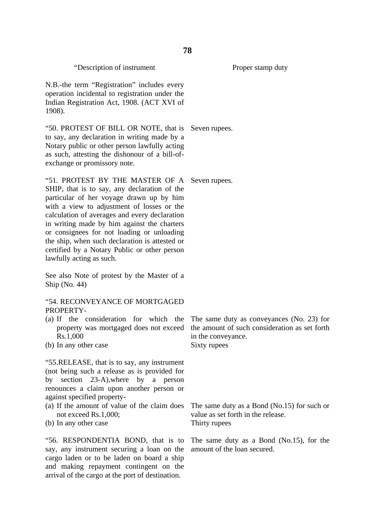N.B.-the term "Registration" includes every operation incidental to registration under the Indian Registration Act, 1908. (ACT XVI of 1908).

"50. PROTEST OF BILL OR NOTE, that is Seven rupees. to say, any declaration in writing made by a Notary public or other person lawfully acting as such, attesting the dishonour of a bill-ofexchange or promissory note.

"51. PROTEST BY THE MASTER OF A Seven rupees. SHIP, that is to say, any declaration of the particular of her voyage drawn up by him with a view to adjustment of losses or the calculation of averages and every declaration in writing made by him against the charters or consignees for not loading or unloading the ship, when such declaration is attested or certified by a Notary Public or other person lawfully acting as such.

See also Note of protest by the Master of a Ship (No. 44)

## "54. RECONVEYANCE OF MORTGAGED PROPERTY-

- (a) If the consideration for which the property was mortgaged does not exceed Rs.1,000
- (b) In any other case

"55.RELEASE, that is to say, any instrument (not being such a release as is provided for by section 23-A),where by a person renounces a claim upon another person or against specified property-

- (a) If the amount of value of the claim does not exceed Rs.1,000;
- (b) In any other case

"56. RESPONDENTIA BOND, that is to say, any instrument securing a loan on the cargo laden or to be laden on board a ship and making repayment contingent on the arrival of the cargo at the port of destination.

The same duty as conveyances (No. 23) for the amount of such consideration as set forth in the conveyance. Sixty rupees

The same duty as a Bond (No.15) for such or value as set forth in the release. Thirty rupees

The same duty as a Bond (No.15), for the amount of the loan secured.

Proper stamp duty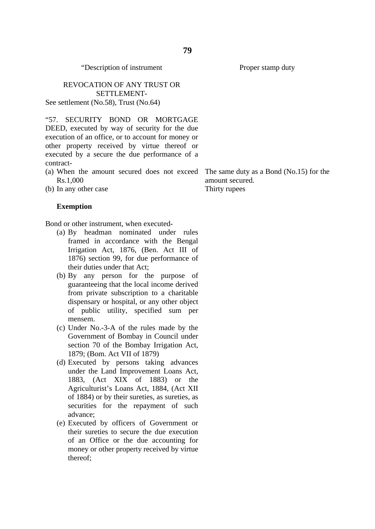#### REVOCATION OF ANY TRUST OR SETTLEMENT-See settlement (No.58), Trust (No.64)

"57. SECURITY BOND OR MORTGAGE DEED, executed by way of security for the due execution of an office, or to account for money or other property received by virtue thereof or executed by a secure the due performance of a contract-

(a) When the amount secured does not exceed The same duty as a Bond (No.15) for the Rs.1,000

amount secured. Thirty rupees

(b) In any other case

#### **Exemption**

Bond or other instrument, when executed-

- (a) By headman nominated under rules framed in accordance with the Bengal Irrigation Act, 1876, (Ben. Act III of 1876) section 99, for due performance of their duties under that Act;
- (b) By any person for the purpose of guaranteeing that the local income derived from private subscription to a charitable dispensary or hospital, or any other object of public utility, specified sum per mensem.
- (c) Under No.-3-A of the rules made by the Government of Bombay in Council under section 70 of the Bombay Irrigation Act, 1879; (Bom. Act VII of 1879)
- (d) Executed by persons taking advances under the Land Improvement Loans Act, 1883, (Act XIX of 1883) or the Agriculturist's Loans Act, 1884, (Act XII of 1884) or by their sureties, as sureties, as securities for the repayment of such advance;
- (e) Executed by officers of Government or their sureties to secure the due execution of an Office or the due accounting for money or other property received by virtue thereof;

Proper stamp duty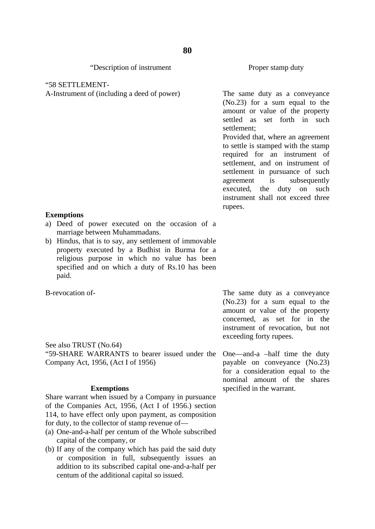#### "58 SETTLEMENT-

A-Instrument of (including a deed of power)

#### **Exemptions**

- a) Deed of power executed on the occasion of a marriage between Muhammadans.
- b) Hindus, that is to say, any settlement of immovable property executed by a Budhist in Burma for a religious purpose in which no value has been specified and on which a duty of Rs.10 has been paid.

B-revocation of-

See also TRUST (No.64)

"59-SHARE WARRANTS to bearer issued under the One—and-a –half time the duty Company Act, 1956, (Act I of 1956)

## **Exemptions**

Share warrant when issued by a Company in pursuance of the Companies Act, 1956, (Act I of 1956.) section 114, to have effect only upon payment, as composition for duty, to the collector of stamp revenue of—

- (a) One-and-a-half per centum of the Whole subscribed capital of the company, or
- (b) If any of the company which has paid the said duty or composition in full, subsequently issues an addition to its subscribed capital one-and-a-half per centum of the additional capital so issued.

Proper stamp duty

The same duty as a conveyance (No.23) for a sum equal to the amount or value of the property settled as set forth in such settlement;

Provided that, where an agreement to settle is stamped with the stamp required for an instrument of settlement, and on instrument of settlement in pursuance of such agreement is subsequently executed, the duty on such instrument shall not exceed three rupees.

The same duty as a conveyance (No.23) for a sum equal to the amount or value of the property concerned, as set for in the instrument of revocation, but not exceeding forty rupees.

payable on conveyance (No.23) for a consideration equal to the nominal amount of the shares specified in the warrant.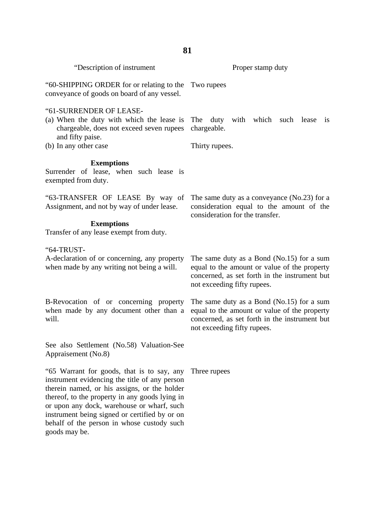| 81                                                                                                                                                                                                                                                                                                                                                          |                                                                                                                                                                             |  |  |  |  |  |  |
|-------------------------------------------------------------------------------------------------------------------------------------------------------------------------------------------------------------------------------------------------------------------------------------------------------------------------------------------------------------|-----------------------------------------------------------------------------------------------------------------------------------------------------------------------------|--|--|--|--|--|--|
| "Description of instrument                                                                                                                                                                                                                                                                                                                                  | Proper stamp duty                                                                                                                                                           |  |  |  |  |  |  |
| "60-SHIPPING ORDER for or relating to the<br>conveyance of goods on board of any vessel.                                                                                                                                                                                                                                                                    | Two rupees                                                                                                                                                                  |  |  |  |  |  |  |
| "61-SURRENDER OF LEASE-<br>(a) When the duty with which the lease is<br>chargeable, does not exceed seven rupees<br>and fifty paise.<br>(b) In any other case                                                                                                                                                                                               | The duty with which<br>such<br>lease<br><b>1S</b><br>chargeable.<br>Thirty rupees.                                                                                          |  |  |  |  |  |  |
| <b>Exemptions</b><br>Surrender of lease, when such lease is<br>exempted from duty.                                                                                                                                                                                                                                                                          |                                                                                                                                                                             |  |  |  |  |  |  |
| "63-TRANSFER OF LEASE By way of<br>Assignment, and not by way of under lease.                                                                                                                                                                                                                                                                               | The same duty as a conveyance (No.23) for a<br>consideration equal to the amount of the<br>consideration for the transfer.                                                  |  |  |  |  |  |  |
| <b>Exemptions</b><br>Transfer of any lease exempt from duty.                                                                                                                                                                                                                                                                                                |                                                                                                                                                                             |  |  |  |  |  |  |
| "64-TRUST-<br>A-declaration of or concerning, any property<br>when made by any writing not being a will.                                                                                                                                                                                                                                                    | The same duty as a Bond (No.15) for a sum<br>equal to the amount or value of the property<br>concerned, as set forth in the instrument but<br>not exceeding fifty rupees.   |  |  |  |  |  |  |
| B-Revocation of or concerning property<br>when made by any document other than a<br>will.                                                                                                                                                                                                                                                                   | The same duty as a Bond $(No.15)$ for a sum<br>equal to the amount or value of the property<br>concerned, as set forth in the instrument but<br>not exceeding fifty rupees. |  |  |  |  |  |  |
| See also Settlement (No.58) Valuation-See<br>Appraisement (No.8)                                                                                                                                                                                                                                                                                            |                                                                                                                                                                             |  |  |  |  |  |  |
| "65 Warrant for goods, that is to say, any<br>instrument evidencing the title of any person<br>therein named, or his assigns, or the holder<br>thereof, to the property in any goods lying in<br>or upon any dock, warehouse or wharf, such<br>instrument being signed or certified by or on<br>behalf of the person in whose custody such<br>goods may be. | Three rupees                                                                                                                                                                |  |  |  |  |  |  |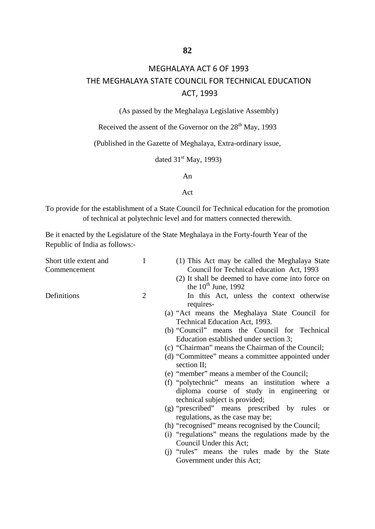# MEGHALAYA ACT 6 OF 1993 THE MEGHALAYA STATE COUNCIL FOR TECHNICAL EDUCATION ACT, 1993

(As passed by the Meghalaya Legislative Assembly)

Received the assent of the Governor on the  $28<sup>th</sup>$  May, 1993

(Published in the Gazette of Meghalaya, Extra-ordinary issue,

dated  $31<sup>st</sup>$  May, 1993)

An

#### Act

To provide for the establishment of a State Council for Technical education for the promotion of technical at polytechnic level and for matters connected therewith.

Be it enacted by the Legislature of the State Meghalaya in the Forty-fourth Year of the Republic of India as follows:-

| Short title extent and | 1              | (1) This Act may be called the Meghalaya State      |
|------------------------|----------------|-----------------------------------------------------|
| Commencement           |                | Council for Technical education Act, 1993           |
|                        |                | (2) It shall be deemed to have come into force on   |
|                        |                | the $10th$ June, 1992                               |
| Definitions            | $\overline{2}$ | In this Act, unless the context otherwise           |
|                        |                | requires-                                           |
|                        |                | (a) "Act means the Meghalaya State Council for      |
|                        |                | Technical Education Act, 1993.                      |
|                        |                | (b) "Council" means the Council for Technical       |
|                        |                | Education established under section 3;              |
|                        |                | (c) "Chairman" means the Chairman of the Council;   |
|                        |                | (d) "Committee" means a committee appointed under   |
|                        |                | section II;                                         |
|                        |                | (e) "member" means a member of the Council;         |
|                        |                | (f) "polytechnic" means an institution where a      |
|                        |                | diploma course of study in engineering or           |
|                        |                | technical subject is provided;                      |
|                        |                | (g) "prescribed" means prescribed by rules or       |
|                        |                | regulations, as the case may be;                    |
|                        |                | (h) "recognised" means recognised by the Council;   |
|                        |                | (i) "regulations" means the regulations made by the |
|                        |                | Council Under this Act;                             |
|                        |                | (i) "rules" means the rules made by the State       |
|                        |                | Government under this Act;                          |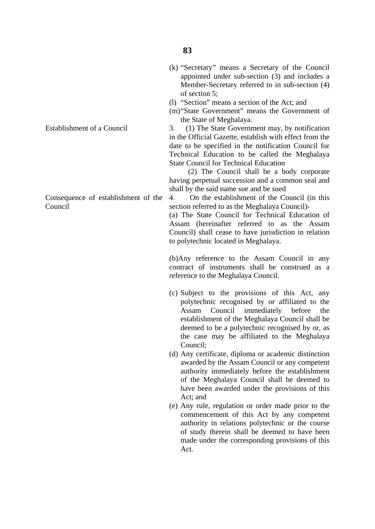- (k) "Secretary" means a Secretary of the Council appointed under sub-section (3) and includes a Member-Secretary referred to in sub-section (4) of section 5;
- (l) "Section" means a section of the Act; and
- (m)"State Government" means the Government of the State of Meghalaya.

3. (1) The State Government may, by notification in the Official Gazette, establish with effect from the date to be specified in the notification Council for Technical Education to be called the Meghalaya State Council for Technical Education

 (2) The Council shall be a body corporate having perpetual succession and a common seal and shall by the said name sue and be sued

4. On the establishment of the Council (in this section referred to as the Meghalaya Council)-

(a) The State Council for Technical Education of Assam (hereinafter referred to as the Assam Council) shall cease to have jurisdiction in relation to polytechnic located in Meghalaya.

(b)Any reference to the Assam Council in any contract of instruments shall be construed as a reference to the Meghalaya Council.

- (c) Subject to the provisions of this Act, any polytechnic recognised by or affiliated to the Assam Council immediately before the establishment of the Meghalaya Council shall be deemed to be a polytechnic recognised by or, as the case may be affiliated to the Meghalaya Council;
- (d) Any certificate, diploma or academic distinction awarded by the Assam Council or any competent authority immediately before the establishment of the Meghalaya Council shall be deemed to have been awarded under the provisions of this Act; and
- (e) Any rule, regulation or order made prior to the commencement of this Act by any competent authority in relations polytechnic or the course of study therein shall be deemed to have been made under the corresponding provisions of this Act.

Establishment of a Council

Consequence of establishment of the Council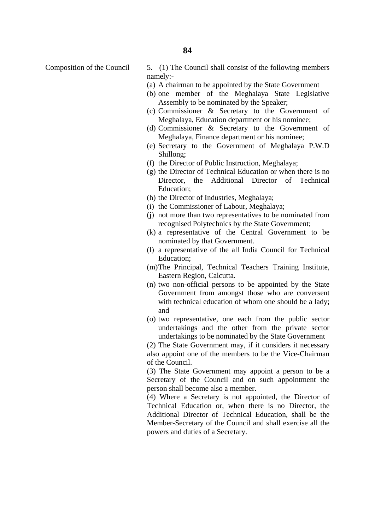Composition of the Council 5. (1) The Council shall consist of the following members namely:-

- (a) A chairman to be appointed by the State Government
- (b) one member of the Meghalaya State Legislative Assembly to be nominated by the Speaker;
- (c) Commissioner & Secretary to the Government of Meghalaya, Education department or his nominee;
- (d) Commissioner & Secretary to the Government of Meghalaya, Finance department or his nominee;
- (e) Secretary to the Government of Meghalaya P.W.D Shillong;
- (f) the Director of Public Instruction, Meghalaya;
- (g) the Director of Technical Education or when there is no Director, the Additional Director of Technical Education;
- (h) the Director of Industries, Meghalaya;
- (i) the Commissioner of Labour, Meghalaya;
- (j) not more than two representatives to be nominated from recognised Polytechnics by the State Government;
- (k) a representative of the Central Government to be nominated by that Government.
- (l) a representative of the all India Council for Technical Education;
- (m)The Principal, Technical Teachers Training Institute, Eastern Region, Calcutta.
- (n) two non-official persons to be appointed by the State Government from amongst those who are conversent with technical education of whom one should be a lady: and
- (o) two representative, one each from the public sector undertakings and the other from the private sector undertakings to be nominated by the State Government

(2) The State Government may, if it considers it necessary also appoint one of the members to be the Vice-Chairman of the Council.

(3) The State Government may appoint a person to be a Secretary of the Council and on such appointment the person shall become also a member.

(4) Where a Secretary is not appointed, the Director of Technical Education or, when there is no Director, the Additional Director of Technical Education, shall be the Member-Secretary of the Council and shall exercise all the powers and duties of a Secretary.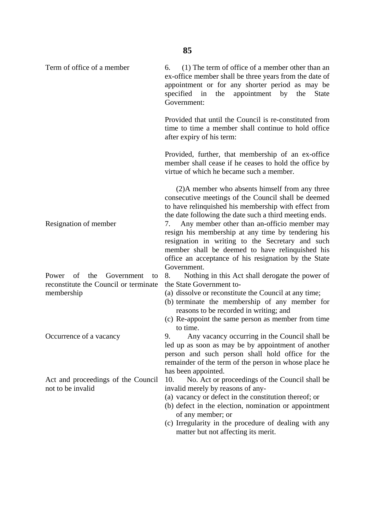Term of office of a member Resignation of member Power of the Government to reconstitute the Council or terminate membership Occurrence of a vacancy Act and proceedings of the Council 6. (1) The term of office of a member other than an ex-office member shall be three years from the date of appointment or for any shorter period as may be specified in the appointment by the State Government: Provided that until the Council is re-constituted from time to time a member shall continue to hold office after expiry of his term: Provided, further, that membership of an ex-office member shall cease if he ceases to hold the office by virtue of which he became such a member. (2)A member who absents himself from any three consecutive meetings of the Council shall be deemed to have relinquished his membership with effect from the date following the date such a third meeting ends. 7. Any member other than an-officio member may resign his membership at any time by tendering his resignation in writing to the Secretary and such member shall be deemed to have relinquished his office an acceptance of his resignation by the State Government. 8. Nothing in this Act shall derogate the power of the State Government to- (a) dissolve or reconstitute the Council at any time; (b) terminate the membership of any member for reasons to be recorded in writing; and (c) Re-appoint the same person as member from time to time. 9. Any vacancy occurring in the Council shall be led up as soon as may be by appointment of another person and such person shall hold office for the remainder of the term of the person in whose place he has been appointed. 10. No. Act or proceedings of the Council shall be invalid merely by reasons of any-

- (a) vacancy or defect in the constitution thereof; or
- (b) defect in the election, nomination or appointment of any member; or
- (c) Irregularity in the procedure of dealing with any matter but not affecting its merit.

not to be invalid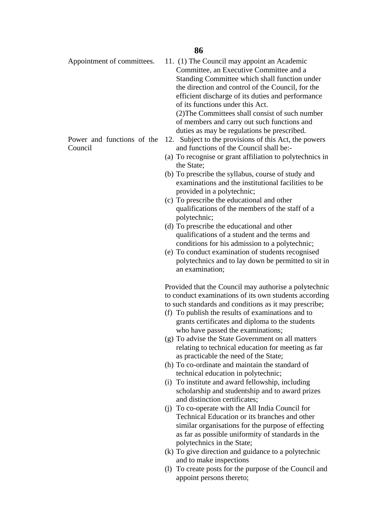Appointment of committees.

Power and functions of the Council

11. (1) The Council may appoint an Academic Committee, an Executive Committee and a Standing Committee which shall function under

the direction and control of the Council, for the efficient discharge of its duties and performance of its functions under this Act.

(2)The Committees shall consist of such number of members and carry out such functions and duties as may be regulations be prescribed.

- 12. Subject to the provisions of this Act, the powers and functions of the Council shall be:-
- (a) To recognise or grant affiliation to polytechnics in the State;
- (b) To prescribe the syllabus, course of study and examinations and the institutional facilities to be provided in a polytechnic;
- (c) To prescribe the educational and other qualifications of the members of the staff of a polytechnic;
- (d) To prescribe the educational and other qualifications of a student and the terms and conditions for his admission to a polytechnic;
- (e) To conduct examination of students recognised polytechnics and to lay down be permitted to sit in an examination;

Provided that the Council may authorise a polytechnic to conduct examinations of its own students according to such standards and conditions as it may prescribe;

- (f) To publish the results of examinations and to grants certificates and diploma to the students who have passed the examinations;
- (g) To advise the State Government on all matters relating to technical education for meeting as far as practicable the need of the State;
- (h) To co-ordinate and maintain the standard of technical education in polytechnic;
- (i) To institute and award fellowship, including scholarship and studentship and to award prizes and distinction certificates;
- (j) To co-operate with the All India Council for Technical Education or its branches and other similar organisations for the purpose of effecting as far as possible uniformity of standards in the polytechnics in the State;
- (k) To give direction and guidance to a polytechnic and to make inspections
- (l) To create posts for the purpose of the Council and appoint persons thereto;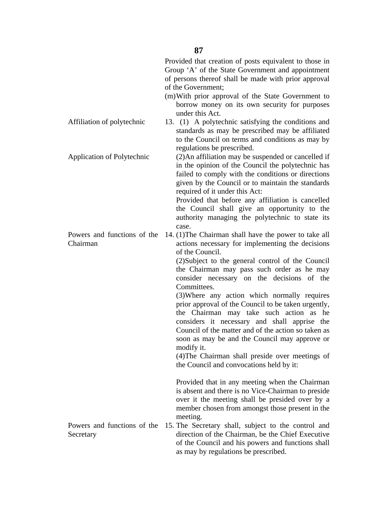|                                          | Provided that creation of posts equivalent to those in<br>Group 'A' of the State Government and appointment<br>of persons thereof shall be made with prior approval<br>of the Government;<br>(m) With prior approval of the State Government to<br>borrow money on its own security for purposes                                                                                                                                                                                                                                                                                                                                                                                                                       |
|------------------------------------------|------------------------------------------------------------------------------------------------------------------------------------------------------------------------------------------------------------------------------------------------------------------------------------------------------------------------------------------------------------------------------------------------------------------------------------------------------------------------------------------------------------------------------------------------------------------------------------------------------------------------------------------------------------------------------------------------------------------------|
| Affiliation of polytechnic               | under this Act.<br>13. (1) A polytechnic satisfying the conditions and<br>standards as may be prescribed may be affiliated<br>to the Council on terms and conditions as may by<br>regulations be prescribed.                                                                                                                                                                                                                                                                                                                                                                                                                                                                                                           |
| <b>Application of Polytechnic</b>        | (2) An affiliation may be suspended or cancelled if<br>in the opinion of the Council the polytechnic has<br>failed to comply with the conditions or directions<br>given by the Council or to maintain the standards<br>required of it under this Act:<br>Provided that before any affiliation is cancelled<br>the Council shall give an opportunity to the<br>authority managing the polytechnic to state its<br>case.                                                                                                                                                                                                                                                                                                 |
| Powers and functions of the<br>Chairman  | 14. (1) The Chairman shall have the power to take all<br>actions necessary for implementing the decisions<br>of the Council.<br>(2) Subject to the general control of the Council<br>the Chairman may pass such order as he may<br>consider necessary on the decisions of the<br>Committees.<br>(3) Where any action which normally requires<br>prior approval of the Council to be taken urgently,<br>the Chairman may take such action as<br>he<br>considers it necessary and shall apprise the<br>Council of the matter and of the action so taken as<br>soon as may be and the Council may approve or<br>modify it.<br>(4) The Chairman shall preside over meetings of<br>the Council and convocations held by it: |
| Powers and functions of the<br>Secretary | Provided that in any meeting when the Chairman<br>is absent and there is no Vice-Chairman to preside<br>over it the meeting shall be presided over by a<br>member chosen from amongst those present in the<br>meeting.<br>15. The Secretary shall, subject to the control and<br>direction of the Chairman, be the Chief Executive<br>of the Council and his powers and functions shall<br>as may by regulations be prescribed.                                                                                                                                                                                                                                                                                        |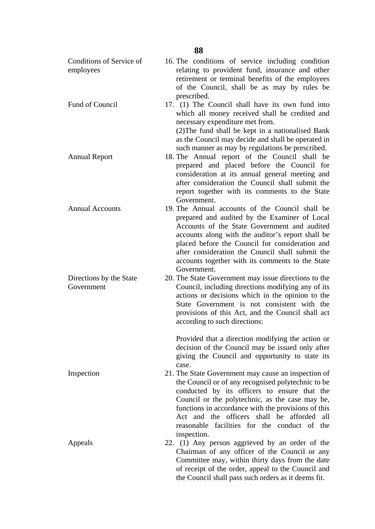| 88                                    |                                                                                                                                                                                                                                                                                                                                                                                 |  |  |  |
|---------------------------------------|---------------------------------------------------------------------------------------------------------------------------------------------------------------------------------------------------------------------------------------------------------------------------------------------------------------------------------------------------------------------------------|--|--|--|
| Conditions of Service of<br>employees | 16. The conditions of service including condition<br>relating to provident fund, insurance and other<br>retirement or terminal benefits of the employees<br>of the Council, shall be as may by rules be<br>prescribed.                                                                                                                                                          |  |  |  |
| Fund of Council                       | 17. (1) The Council shall have its own fund into<br>which all money received shall be credited and<br>necessary expenditure met from.<br>(2) The fund shall be kept in a nationalised Bank<br>as the Council may decide and shall be operated in                                                                                                                                |  |  |  |
| <b>Annual Report</b>                  | such manner as may by regulations be prescribed.<br>18. The Annual report of the Council shall be<br>prepared and placed before the Council for<br>consideration at its annual general meeting and<br>after consideration the Council shall submit the<br>report together with its comments to the State<br>Government.                                                         |  |  |  |
| <b>Annual Accounts</b>                | 19. The Annual accounts of the Council shall be<br>prepared and audited by the Examiner of Local<br>Accounts of the State Government and audited<br>accounts along with the auditor's report shall be<br>placed before the Council for consideration and<br>after consideration the Council shall submit the<br>accounts together with its comments to the State<br>Government. |  |  |  |
| Directions by the State<br>Government | 20. The State Government may issue directions to the<br>Council, including directions modifying any of its<br>actions or decisions which in the opinion to the<br>State Government is not consistent with the<br>provisions of this Act, and the Council shall act<br>according to such directions:                                                                             |  |  |  |
| Inspection                            | Provided that a direction modifying the action or<br>decision of the Council may be issued only after<br>giving the Council and opportunity to state its<br>case.<br>21. The State Government may cause an inspection of                                                                                                                                                        |  |  |  |
|                                       | the Council or of any recognised polytechnic to be<br>conducted by its officers to ensure that the<br>Council or the polytechnic, as the case may be,<br>functions in accordance with the provisions of this<br>Act and the officers shall be afforded<br>all<br>reasonable facilities for the conduct of the<br>inspection.                                                    |  |  |  |
| Appeals                               | 22. (1) Any person aggrieved by an order of the<br>Chairman of any officer of the Council or any<br>Committee may, within thirty days from the date<br>of receipt of the order, appeal to the Council and<br>the Council shall pass such orders as it deems fit.                                                                                                                |  |  |  |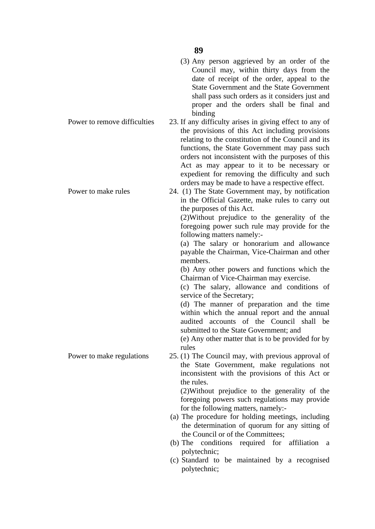|                              | (3) Any person aggrieved by an order of the<br>Council may, within thirty days from the<br>date of receipt of the order, appeal to the<br>State Government and the State Government<br>shall pass such orders as it considers just and<br>proper and the orders shall be final and<br>binding                                                                                                                                                                                                                                                                                                                                                                                                                                                                                                                                                          |
|------------------------------|--------------------------------------------------------------------------------------------------------------------------------------------------------------------------------------------------------------------------------------------------------------------------------------------------------------------------------------------------------------------------------------------------------------------------------------------------------------------------------------------------------------------------------------------------------------------------------------------------------------------------------------------------------------------------------------------------------------------------------------------------------------------------------------------------------------------------------------------------------|
| Power to remove difficulties | 23. If any difficulty arises in giving effect to any of<br>the provisions of this Act including provisions<br>relating to the constitution of the Council and its<br>functions, the State Government may pass such<br>orders not inconsistent with the purposes of this<br>Act as may appear to it to be necessary or<br>expedient for removing the difficulty and such                                                                                                                                                                                                                                                                                                                                                                                                                                                                                |
| Power to make rules          | orders may be made to have a respective effect.<br>24. (1) The State Government may, by notification<br>in the Official Gazette, make rules to carry out<br>the purposes of this Act.<br>(2) Without prejudice to the generality of the<br>foregoing power such rule may provide for the<br>following matters namely:-<br>(a) The salary or honorarium and allowance<br>payable the Chairman, Vice-Chairman and other<br>members.<br>(b) Any other powers and functions which the<br>Chairman of Vice-Chairman may exercise.<br>(c) The salary, allowance and conditions of<br>service of the Secretary;<br>(d) The manner of preparation and the time<br>within which the annual report and the annual<br>audited accounts of the Council shall<br>be<br>submitted to the State Government; and<br>(e) Any other matter that is to be provided for by |
| Power to make regulations    | rules<br>25. (1) The Council may, with previous approval of<br>the State Government, make regulations not<br>inconsistent with the provisions of this Act or<br>the rules.<br>(2) Without prejudice to the generality of the<br>foregoing powers such regulations may provide<br>for the following matters, namely:-<br>(a) The procedure for holding meetings, including<br>the determination of quorum for any sitting of<br>the Council or of the Committees;<br>(b) The conditions required for affiliation a<br>polytechnic;<br>(c) Standard to be maintained by a recognised<br>polytechnic;                                                                                                                                                                                                                                                     |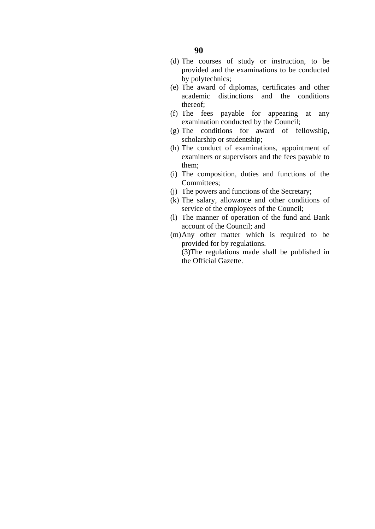- (d) The courses of study or instruction, to be provided and the examinations to be conducted by polytechnics;
- (e) The award of diplomas, certificates and other academic distinctions and the conditions thereof;
- (f) The fees payable for appearing at any examination conducted by the Council;
- (g) The conditions for award of fellowship, scholarship or studentship;
- (h) The conduct of examinations, appointment of examiners or supervisors and the fees payable to them;
- (i) The composition, duties and functions of the Committees;
- (j) The powers and functions of the Secretary;
- (k) The salary, allowance and other conditions of service of the employees of the Council;
- (l) The manner of operation of the fund and Bank account of the Council; and
- (m)Any other matter which is required to be provided for by regulations.
	- (3)The regulations made shall be published in the Official Gazette.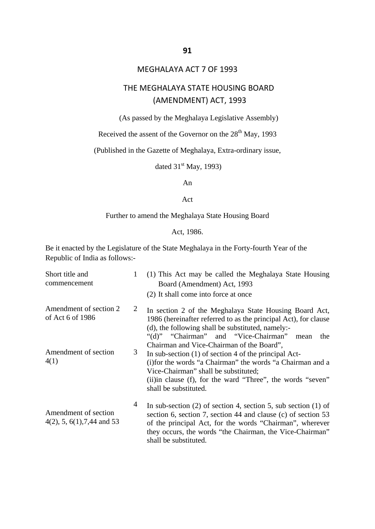## MEGHALAYA ACT 7 OF 1993

# THE MEGHALAYA STATE HOUSING BOARD (AMENDMENT) ACT, 1993

(As passed by the Meghalaya Legislative Assembly)

Received the assent of the Governor on the  $28<sup>th</sup>$  May, 1993

(Published in the Gazette of Meghalaya, Extra-ordinary issue,

dated  $31<sup>st</sup>$  May, 1993)

An

#### Act

## Further to amend the Meghalaya State Housing Board

Act, 1986.

Be it enacted by the Legislature of the State Meghalaya in the Forty-fourth Year of the Republic of India as follows:-

| Short title and<br>commencement                        | $\mathbf{1}$   | (1) This Act may be called the Meghalaya State Housing<br>Board (Amendment) Act, 1993<br>(2) It shall come into force at once                                                                                                                                                                     |
|--------------------------------------------------------|----------------|---------------------------------------------------------------------------------------------------------------------------------------------------------------------------------------------------------------------------------------------------------------------------------------------------|
| Amendment of section 2<br>of Act 6 of 1986             | $\overline{2}$ | In section 2 of the Meghalaya State Housing Board Act,<br>1986 (hereinafter referred to as the principal Act), for clause<br>(d), the following shall be substituted, namely:-<br>"(d)" "Chairman" and "Vice-Chairman"<br>the<br>mean                                                             |
| Amendment of section<br>4(1)                           | 3              | Chairman and Vice-Chairman of the Board",<br>In sub-section $(1)$ of section 4 of the principal Act-<br>(i) for the words "a Chairman" the words "a Chairman and a<br>Vice-Chairman" shall be substituted;<br>(ii)in clause (f), for the ward "Three", the words "seven"<br>shall be substituted. |
| Amendment of section<br>$4(2)$ , 5, 6(1), 7, 44 and 53 | $\overline{4}$ | In sub-section $(2)$ of section 4, section 5, sub section $(1)$ of<br>section 6, section 7, section 44 and clause (c) of section 53<br>of the principal Act, for the words "Chairman", wherever<br>they occurs, the words "the Chairman, the Vice-Chairman"<br>shall be substituted.              |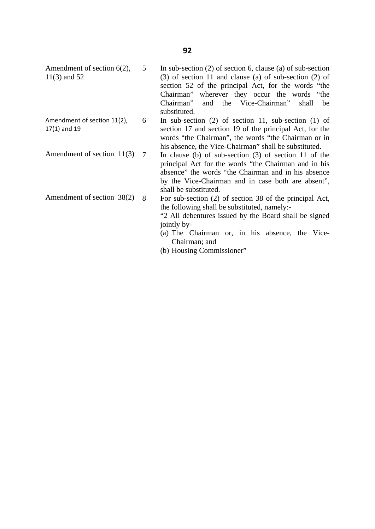- Amendment of section 6(2), 11(3) and 52 5
- Amendment of section 11(2), 17(1) and 19 6
- Amendment of section 11(3) 7
- Amendment of section 38(2) 8
- In sub-section (2) of section 6, clause (a) of sub-section (3) of section 11 and clause (a) of sub-section (2) of section 52 of the principal Act, for the words "the Chairman" wherever they occur the words "the Chairman" and the Vice-Chairman" shall be substituted.
- In sub-section (2) of section 11, sub-section (1) of section 17 and section 19 of the principal Act, for the words "the Chairman", the words "the Chairman or in his absence, the Vice-Chairman" shall be substituted.
	- In clause (b) of sub-section (3) of section 11 of the principal Act for the words "the Chairman and in his absence" the words "the Chairman and in his absence by the Vice-Chairman and in case both are absent", shall be substituted.
	- For sub-section (2) of section 38 of the principal Act, the following shall be substituted, namely:-

"2 All debentures issued by the Board shall be signed jointly by-

- (a) The Chairman or, in his absence, the Vice-Chairman; and
- (b) Housing Commissioner"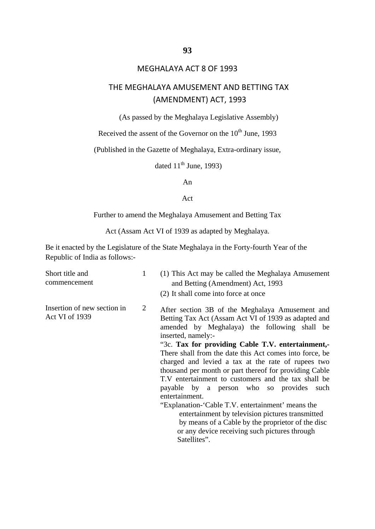## MEGHALAYA ACT 8 OF 1993

# THE MEGHALAYA AMUSEMENT AND BETTING TAX (AMENDMENT) ACT, 1993

(As passed by the Meghalaya Legislative Assembly)

Received the assent of the Governor on the 10<sup>th</sup> June, 1993

(Published in the Gazette of Meghalaya, Extra-ordinary issue,

dated  $11<sup>th</sup>$  June, 1993)

An

#### Act

#### Further to amend the Meghalaya Amusement and Betting Tax

Act (Assam Act VI of 1939 as adapted by Meghalaya.

Be it enacted by the Legislature of the State Meghalaya in the Forty-fourth Year of the Republic of India as follows:-

| Short title and<br>commencement               | 1 | (1) This Act may be called the Meghalaya Amusement<br>and Betting (Amendment) Act, 1993<br>(2) It shall come into force at once                                                                                                                                                                                                                                                                                                                                                                                                                                                                                                                                                                                                                                   |
|-----------------------------------------------|---|-------------------------------------------------------------------------------------------------------------------------------------------------------------------------------------------------------------------------------------------------------------------------------------------------------------------------------------------------------------------------------------------------------------------------------------------------------------------------------------------------------------------------------------------------------------------------------------------------------------------------------------------------------------------------------------------------------------------------------------------------------------------|
| Insertion of new section in<br>Act VI of 1939 | 2 | After section 3B of the Meghalaya Amusement and<br>Betting Tax Act (Assam Act VI of 1939 as adapted and<br>amended by Meghalaya) the following shall be<br>inserted, namely:-<br>"3c. Tax for providing Cable T.V. entertainment,-<br>There shall from the date this Act comes into force, be<br>charged and levied a tax at the rate of rupees two<br>thousand per month or part thereof for providing Cable<br>T.V entertainment to customers and the tax shall be<br>payable by a person who so provides such<br>entertainment.<br>"Explanation- Cable T.V. entertainment' means the<br>entertainment by television pictures transmitted<br>by means of a Cable by the proprietor of the disc<br>or any device receiving such pictures through<br>Satellites". |
|                                               |   |                                                                                                                                                                                                                                                                                                                                                                                                                                                                                                                                                                                                                                                                                                                                                                   |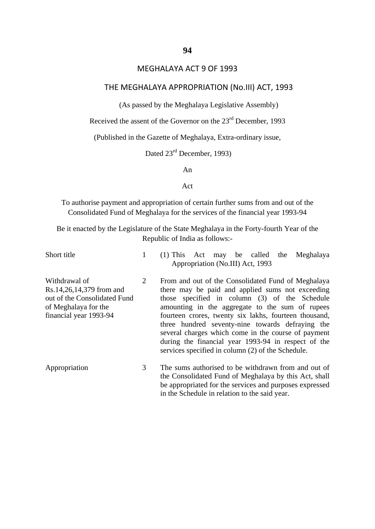## MEGHALAYA ACT 9 OF 1993

## THE MEGHALAYA APPROPRIATION (No.III) ACT, 1993

(As passed by the Meghalaya Legislative Assembly)

Received the assent of the Governor on the 23<sup>rd</sup> December, 1993

(Published in the Gazette of Meghalaya, Extra-ordinary issue,

Dated  $23^{\text{rd}}$  December, 1993)

An

#### Act

To authorise payment and appropriation of certain further sums from and out of the Consolidated Fund of Meghalaya for the services of the financial year 1993-94

Be it enacted by the Legislature of the State Meghalaya in the Forty-fourth Year of the Republic of India as follows:-

Short title Withdrawal of Rs.14,26,14,379 from and out of the Consolidated Fund of Meghalaya for the financial year 1993-94 Appropriation 1 2 3 (1) This Act may be called the Meghalaya Appropriation (No.III) Act, 1993 From and out of the Consolidated Fund of Meghalaya there may be paid and applied sums not exceeding those specified in column (3) of the Schedule amounting in the aggregate to the sum of rupees fourteen crores, twenty six lakhs, fourteen thousand, three hundred seventy-nine towards defraying the several charges which come in the course of payment during the financial year 1993-94 in respect of the services specified in column (2) of the Schedule. The sums authorised to be withdrawn from and out of the Consolidated Fund of Meghalaya by this Act, shall be appropriated for the services and purposes expressed

in the Schedule in relation to the said year.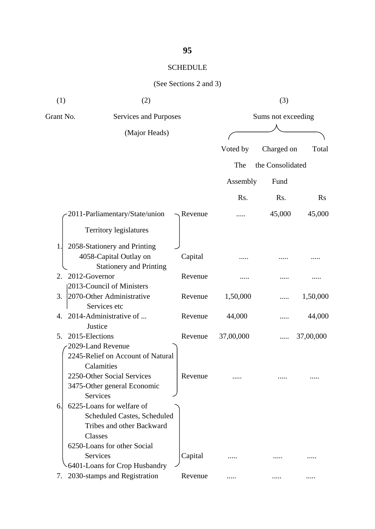# SCHEDULE

| (1)                  | (2)                                                      |         |           | (3)                |           |  |
|----------------------|----------------------------------------------------------|---------|-----------|--------------------|-----------|--|
| Grant No.            | Services and Purposes                                    |         |           | Sums not exceeding |           |  |
|                      | (Major Heads)                                            |         |           |                    |           |  |
|                      |                                                          |         | Voted by  | Charged on         | Total     |  |
|                      |                                                          |         | The       | the Consolidated   |           |  |
|                      |                                                          |         | Assembly  | Fund               |           |  |
|                      |                                                          |         | Rs.       | Rs.                | $\rm Rs$  |  |
|                      | 2011-Parliamentary/State/union                           | Revenue |           | 45,000             | 45,000    |  |
|                      | Territory legislatures                                   |         |           |                    |           |  |
| 1.                   | 2058-Stationery and Printing                             |         |           |                    |           |  |
|                      | 4058-Capital Outlay on<br><b>Stationery and Printing</b> | Capital |           |                    |           |  |
| 2012-Governor<br>2.  |                                                          | Revenue |           |                    |           |  |
|                      | 2013-Council of Ministers                                |         |           |                    |           |  |
| 3.                   | 2070-Other Administrative<br>Services etc                | Revenue | 1,50,000  |                    | 1,50,000  |  |
| 4.                   | 2014-Administrative of                                   | Revenue | 44,000    |                    | 44,000    |  |
|                      | Justice                                                  |         |           |                    |           |  |
| 2015-Elections<br>5. |                                                          | Revenue | 37,00,000 |                    | 37,00,000 |  |
|                      | 2029-Land Revenue                                        |         |           |                    |           |  |
|                      | 2245-Relief on Account of Natural                        |         |           |                    |           |  |
|                      | Calamities                                               |         |           |                    |           |  |
|                      | 2250-Other Social Services                               | Revenue |           |                    |           |  |
|                      | 3475-Other general Economic                              |         |           |                    |           |  |
|                      | Services                                                 |         |           |                    |           |  |
| 6.                   | 6225-Loans for welfare of                                |         |           |                    |           |  |
|                      | <b>Scheduled Castes, Scheduled</b>                       |         |           |                    |           |  |
|                      | Tribes and other Backward                                |         |           |                    |           |  |
|                      | Classes                                                  |         |           |                    |           |  |
|                      | 6250-Loans for other Social                              |         |           |                    |           |  |
|                      | <b>Services</b>                                          | Capital |           |                    |           |  |
|                      | 6401-Loans for Crop Husbandry                            |         |           |                    |           |  |
| 7.                   | 2030-stamps and Registration                             | Revenue |           |                    |           |  |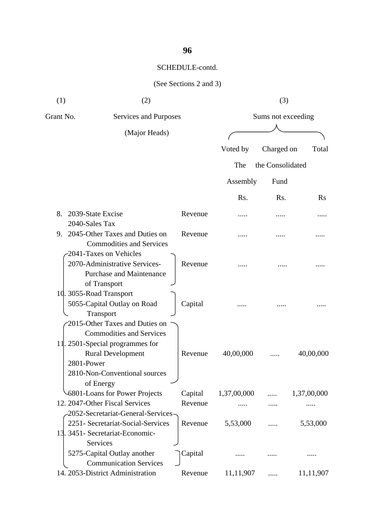| (1)       | (2)                                                                                                                                                                                          |         |             | (3)                |             |
|-----------|----------------------------------------------------------------------------------------------------------------------------------------------------------------------------------------------|---------|-------------|--------------------|-------------|
| Grant No. | Services and Purposes                                                                                                                                                                        |         |             | Sums not exceeding |             |
|           | (Major Heads)                                                                                                                                                                                |         |             |                    |             |
|           |                                                                                                                                                                                              |         | Voted by    | Charged on         | Total       |
|           |                                                                                                                                                                                              |         | The         | the Consolidated   |             |
|           |                                                                                                                                                                                              |         | Assembly    | Fund               |             |
|           |                                                                                                                                                                                              |         | Rs.         | Rs.                | $\rm Rs$    |
| 8.        | 2039-State Excise<br>2040-Sales Tax                                                                                                                                                          | Revenue |             |                    |             |
| 9.        | 2045-Other Taxes and Duties on<br><b>Commodities and Services</b>                                                                                                                            | Revenue |             |                    |             |
|           | 2041-Taxes on Vehicles<br>2070-Administrative Services-<br><b>Purchase and Maintenance</b><br>of Transport                                                                                   | Revenue |             |                    |             |
|           | 10. 3055-Road Transport<br>5055-Capital Outlay on Road<br>Transport                                                                                                                          | Capital |             |                    |             |
|           | 2015-Other Taxes and Duties on<br><b>Commodities and Services</b><br>11. 2501-Special programmes for<br><b>Rural Development</b><br>2801-Power<br>2810-Non-Conventional sources<br>of Energy | Revenue | 40,00,000   |                    | 40,00,000   |
|           | 6801-Loans for Power Projects                                                                                                                                                                | Capital | 1,37,00,000 |                    | 1,37,00,000 |
|           | 12. 2047-Other Fiscal Services                                                                                                                                                               | Revenue |             |                    |             |
|           | -2052-Secretariat-General-Services-<br>2251- Secretariat-Social-Services<br>13. 3451- Secretariat-Economic-<br>Services                                                                      | Revenue | 5,53,000    |                    | 5,53,000    |
|           | 5275-Capital Outlay another<br><b>Communication Services</b>                                                                                                                                 | Capital |             |                    |             |
|           | 14. 2053-District Administration                                                                                                                                                             | Revenue | 11,11,907   |                    | 11,11,907   |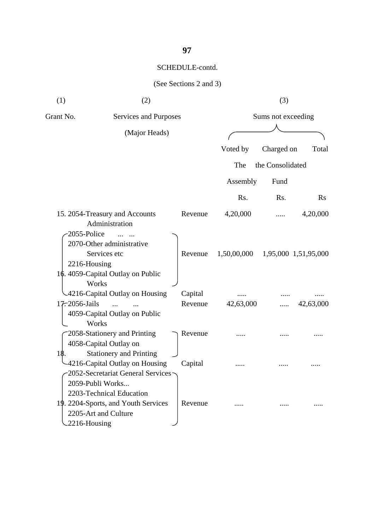**97**

| (1)           | (2)                                                                                                                        |                    |             | (3)                |                      |
|---------------|----------------------------------------------------------------------------------------------------------------------------|--------------------|-------------|--------------------|----------------------|
| Grant No.     | Services and Purposes                                                                                                      |                    |             | Sums not exceeding |                      |
|               | (Major Heads)                                                                                                              |                    |             |                    |                      |
|               |                                                                                                                            |                    | Voted by    | Charged on         | Total                |
|               |                                                                                                                            |                    | The         | the Consolidated   |                      |
|               |                                                                                                                            |                    | Assembly    | Fund               |                      |
|               |                                                                                                                            |                    | Rs.         | Rs.                | $\rm Rs$             |
| 2055-Police   | 15. 2054-Treasury and Accounts<br>Administration                                                                           | Revenue            | 4,20,000    |                    | 4,20,000             |
| 2216-Housing  | 2070-Other administrative<br>Services etc<br>16. 4059-Capital Outlay on Public                                             | Revenue            | 1,50,00,000 |                    | 1,95,000 1,51,95,000 |
| 17.2056-Jails | Works<br>4216-Capital Outlay on Housing<br>$\dddotsc$<br>4059-Capital Outlay on Public                                     | Capital<br>Revenue | 42,63,000   |                    | 42,63,000            |
|               | Works<br>2058-Stationery and Printing<br>4058-Capital Outlay on                                                            | Revenue            |             |                    |                      |
| 18.           | <b>Stationery and Printing</b><br>4216-Capital Outlay on Housing<br>-2052-Secretariat General Services<br>2059-Publi Works | Capital            |             |                    |                      |
| 2216-Housing  | 2203-Technical Education<br>19. 2204-Sports, and Youth Services<br>2205-Art and Culture                                    | Revenue            |             |                    |                      |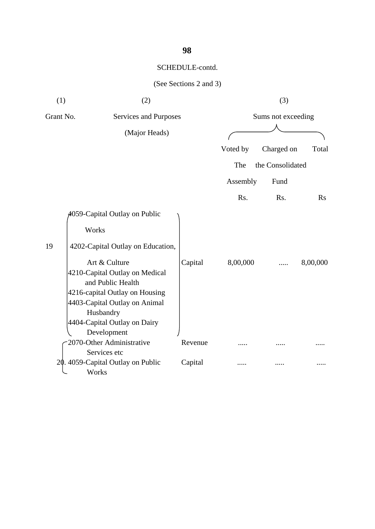| (1)       | (2)                                                                                                                                     |         |                    | (3)              |          |  |
|-----------|-----------------------------------------------------------------------------------------------------------------------------------------|---------|--------------------|------------------|----------|--|
| Grant No. | Services and Purposes                                                                                                                   |         | Sums not exceeding |                  |          |  |
|           | (Major Heads)                                                                                                                           |         |                    |                  |          |  |
|           |                                                                                                                                         |         | Voted by           | Charged on       | Total    |  |
|           |                                                                                                                                         |         | The                | the Consolidated |          |  |
|           |                                                                                                                                         |         | Assembly           | Fund             |          |  |
|           |                                                                                                                                         |         | Rs.                | Rs.              | Rs       |  |
|           | 4059-Capital Outlay on Public                                                                                                           |         |                    |                  |          |  |
|           | Works                                                                                                                                   |         |                    |                  |          |  |
| 19        | 4202-Capital Outlay on Education,                                                                                                       |         |                    |                  |          |  |
|           | Art & Culture<br>4210-Capital Outlay on Medical<br>and Public Health<br>4216-capital Outlay on Housing<br>4403-Capital Outlay on Animal | Capital | 8,00,000           |                  | 8,00,000 |  |
|           | Husbandry<br>4404-Capital Outlay on Dairy<br>Development                                                                                |         |                    |                  |          |  |
|           | 2070-Other Administrative                                                                                                               | Revenue |                    |                  |          |  |
|           | Services etc<br>20. 4059-Capital Outlay on Public<br>Works                                                                              | Capital |                    |                  |          |  |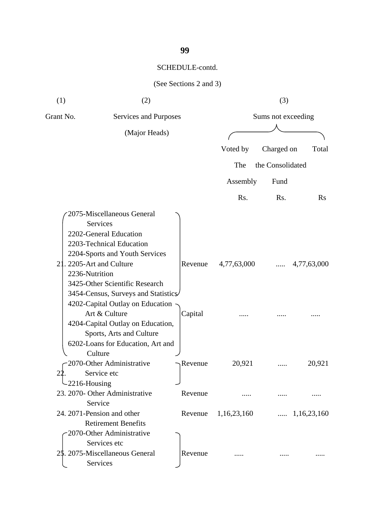| (1)                   | (2)                                                                                                                                                                                                                                                                                                                                                                                                   |                    |                    | (3)              |                     |  |
|-----------------------|-------------------------------------------------------------------------------------------------------------------------------------------------------------------------------------------------------------------------------------------------------------------------------------------------------------------------------------------------------------------------------------------------------|--------------------|--------------------|------------------|---------------------|--|
| Grant No.             | Services and Purposes                                                                                                                                                                                                                                                                                                                                                                                 |                    | Sums not exceeding |                  |                     |  |
|                       | (Major Heads)                                                                                                                                                                                                                                                                                                                                                                                         |                    |                    |                  |                     |  |
|                       |                                                                                                                                                                                                                                                                                                                                                                                                       |                    | Voted by           | Charged on       | Total               |  |
|                       |                                                                                                                                                                                                                                                                                                                                                                                                       |                    | The                | the Consolidated |                     |  |
|                       |                                                                                                                                                                                                                                                                                                                                                                                                       |                    | Assembly           | Fund             |                     |  |
|                       |                                                                                                                                                                                                                                                                                                                                                                                                       |                    | Rs.                | Rs.              | $\rm Rs$            |  |
| 21.<br>2236-Nutrition | 2075-Miscellaneous General<br>Services<br>2202-General Education<br>2203-Technical Education<br>2204-Sports and Youth Services<br>2205-Art and Culture<br>3425-Other Scientific Research<br>3454-Census, Surveys and Statistics<br>4202-Capital Outlay on Education<br>Art & Culture<br>4204-Capital Outlay on Education,<br>Sports, Arts and Culture<br>6202-Loans for Education, Art and<br>Culture | Revenue<br>Capital | 4,77,63,000        | .                | 4,77,63,000         |  |
| -2216-Housing         | 2070-Other Administrative<br>Service etc                                                                                                                                                                                                                                                                                                                                                              | Revenue            | 20,921             |                  | 20,921              |  |
|                       | 23. 2070- Other Administrative                                                                                                                                                                                                                                                                                                                                                                        | Revenue            |                    |                  |                     |  |
|                       | Service<br>24. 2071-Pension and other<br><b>Retirement Benefits</b>                                                                                                                                                                                                                                                                                                                                   | Revenue            | 1,16,23,160        |                  | $\dots$ 1,16,23,160 |  |
|                       | 2070-Other Administrative<br>Services etc<br>25. 2075-Miscellaneous General<br>Services                                                                                                                                                                                                                                                                                                               | Revenue            |                    |                  |                     |  |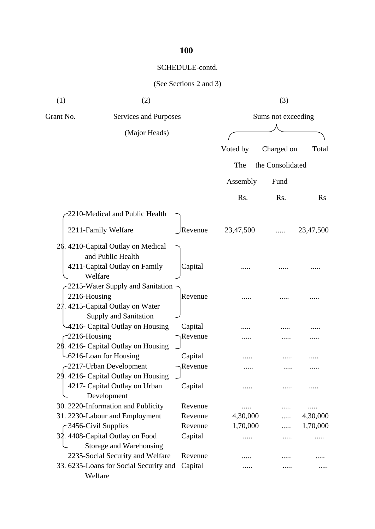## SCHEDULE-contd.

| (1)              | (2)                                                                                                 |                    |                    | (3)              |               |
|------------------|-----------------------------------------------------------------------------------------------------|--------------------|--------------------|------------------|---------------|
| Grant No.        | Services and Purposes                                                                               |                    | Sums not exceeding |                  |               |
|                  | (Major Heads)                                                                                       |                    |                    |                  |               |
|                  |                                                                                                     |                    | Voted by           | Charged on       | Total         |
|                  |                                                                                                     |                    | The                | the Consolidated |               |
|                  |                                                                                                     |                    | Assembly           | Fund             |               |
|                  |                                                                                                     |                    | Rs.                | Rs.              | $\rm Rs$      |
|                  | 2210-Medical and Public Health                                                                      |                    |                    |                  |               |
|                  | 2211-Family Welfare                                                                                 | Revenue            | 23,47,500          |                  | 23,47,500     |
|                  | 26. 4210-Capital Outlay on Medical<br>and Public Health<br>4211-Capital Outlay on Family<br>Welfare | Capital            |                    |                  |               |
|                  | 2215-Water Supply and Sanitation<br>2216-Housing<br>27. 4215-Capital Outlay on Water                | Revenue            |                    |                  |               |
| $-2216$ -Housing | Supply and Sanitation<br>4216- Capital Outlay on Housing                                            | Capital<br>Revenue |                    |                  |               |
|                  | 28. 4216- Capital Outlay on Housing<br>-6216-Loan for Housing<br>-2217-Urban Development            | Capital<br>Revenue |                    |                  |               |
| 29.              | 4216- Capital Outlay on Housing<br>4217- Capital Outlay on Urban<br>Development                     | Capital            |                    |                  |               |
|                  | 30. 2220-Information and Publicity                                                                  | Revenue            | .                  |                  |               |
|                  | 31. 2230-Labour and Employment                                                                      | Revenue            | 4,30,000           |                  | 4,30,000      |
| 32.              | -3456-Civil Supplies<br>4408-Capital Outlay on Food<br>Storage and Warehousing                      | Revenue<br>Capital | 1,70,000           |                  | 1,70,000<br>. |
|                  | 2235-Social Security and Welfare                                                                    | Revenue            |                    |                  |               |
|                  | 33. 6235-Loans for Social Security and<br>Welfare                                                   | Capital            |                    |                  |               |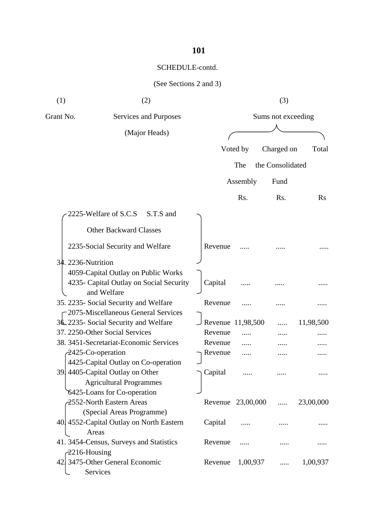| (See Sections 2 and 3) |  |
|------------------------|--|
|                        |  |

| (1)                | (2)                                                    |                   |                   | (3)                |           |
|--------------------|--------------------------------------------------------|-------------------|-------------------|--------------------|-----------|
| Grant No.          | Services and Purposes                                  |                   |                   | Sums not exceeding |           |
|                    | (Major Heads)                                          |                   |                   |                    |           |
|                    |                                                        |                   | Voted by          | Charged on         | Total     |
|                    |                                                        |                   | The               | the Consolidated   |           |
|                    |                                                        |                   |                   |                    |           |
|                    |                                                        |                   | Assembly          | Fund               |           |
|                    |                                                        |                   | Rs.               | Rs.                | $\rm Rs$  |
|                    | 2225-Welfare of S.C.S<br>S.T.S and                     |                   |                   |                    |           |
|                    | <b>Other Backward Classes</b>                          |                   |                   |                    |           |
|                    | 2235-Social Security and Welfare                       | Revenue           |                   |                    |           |
| 34. 2236-Nutrition |                                                        |                   |                   |                    |           |
|                    | 4059-Capital Outlay on Public Works                    |                   |                   |                    |           |
|                    | 4235- Capital Outlay on Social Security<br>and Welfare | Capital           |                   |                    |           |
|                    | 35. 2235- Social Security and Welfare                  | Revenue           |                   |                    |           |
|                    | -2075-Miscellaneous General Services                   |                   |                   |                    |           |
|                    | 36.2235- Social Security and Welfare                   | Revenue 11,98,500 |                   |                    | 11,98,500 |
|                    | 37. 2250-Other Social Services                         | Revenue           |                   |                    |           |
|                    | 38. 3451-Secretariat-Economic Services                 | Revenue           |                   |                    |           |
| 2425-Co-operation  |                                                        | Revenue           |                   |                    |           |
|                    | 4425-Capital Outlay on Co-operation                    |                   |                   |                    |           |
|                    | 39 4405-Capital Outlay on Other                        | Capital           |                   |                    |           |
|                    | <b>Agricultural Programmes</b>                         |                   |                   |                    |           |
|                    | 6425-Loans for Co-operation                            |                   |                   |                    |           |
|                    | 2552-North Eastern Areas                               |                   | Revenue 23,00,000 | $\cdots$           | 23,00,000 |
|                    | (Special Areas Programme)                              |                   |                   |                    |           |
|                    | 40 4552-Capital Outlay on North Eastern                | Capital           | .                 |                    |           |
| Areas              |                                                        |                   |                   |                    |           |
|                    | 41. 3454-Census, Surveys and Statistics                | Revenue           |                   |                    |           |
| $-2216$ -Housing   |                                                        |                   |                   |                    |           |
| 42.                | 3475-Other General Economic<br>Services                | Revenue           | 1,00,937          | .                  | 1,00,937  |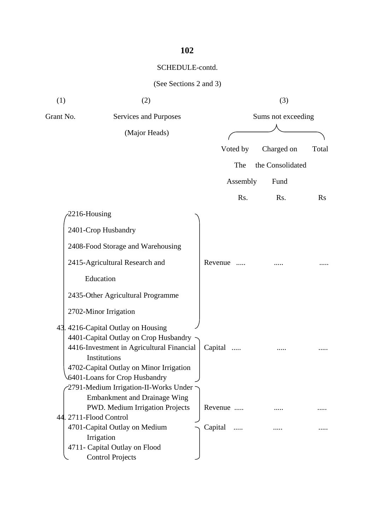# SCHEDULE-contd.

| (1)       | (2)                                                       |                     | (3)                |       |
|-----------|-----------------------------------------------------------|---------------------|--------------------|-------|
| Grant No. | Services and Purposes                                     |                     | Sums not exceeding |       |
|           | (Major Heads)                                             |                     |                    |       |
|           |                                                           | Voted by            | Charged on         | Total |
|           |                                                           | The                 | the Consolidated   |       |
|           |                                                           | Assembly            | Fund               |       |
|           |                                                           | Rs.                 | Rs.                | Rs    |
|           | 2216-Housing                                              |                     |                    |       |
|           | 2401-Crop Husbandry                                       |                     |                    |       |
|           | 2408-Food Storage and Warehousing                         |                     |                    |       |
|           | 2415-Agricultural Research and                            | Revenue             |                    |       |
|           | Education                                                 |                     |                    |       |
|           | 2435-Other Agricultural Programme                         |                     |                    |       |
|           | 2702-Minor Irrigation                                     |                     |                    |       |
|           | 43. 4216-Capital Outlay on Housing                        |                     |                    |       |
|           | 4401-Capital Outlay on Crop Husbandry                     |                     |                    |       |
|           | 4416-Investment in Agricultural Financial<br>Institutions | Capital             |                    |       |
|           | 4702-Capital Outlay on Minor Irrigation                   |                     |                    |       |
|           | 6401-Loans for Crop Husbandry                             |                     |                    |       |
|           | 2791-Medium Irrigation-II-Works Under                     |                     |                    |       |
|           | <b>Embankment and Drainage Wing</b>                       |                     |                    |       |
|           | PWD. Medium Irrigation Projects                           | Revenue             |                    |       |
|           | 44. 2711-Flood Control                                    |                     |                    |       |
|           | 4701-Capital Outlay on Medium                             | Capital<br>$\cdots$ |                    |       |
|           | Irrigation                                                |                     |                    |       |
|           | 4711- Capital Outlay on Flood                             |                     |                    |       |
|           | <b>Control Projects</b>                                   |                     |                    |       |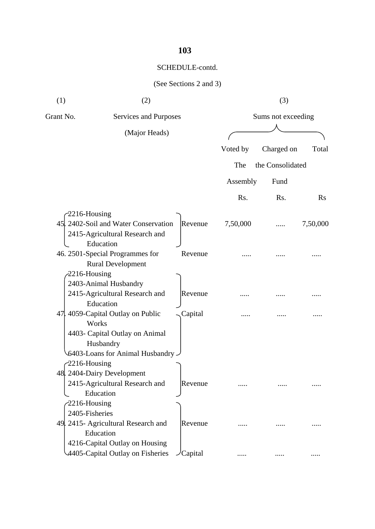# SCHEDULE-contd.

| (1)              | (2)                                                                                 |                  |          | (3)                |          |
|------------------|-------------------------------------------------------------------------------------|------------------|----------|--------------------|----------|
| Grant No.        | Services and Purposes                                                               |                  |          | Sums not exceeding |          |
|                  | (Major Heads)                                                                       |                  |          |                    |          |
|                  |                                                                                     |                  | Voted by | Charged on         | Total    |
|                  |                                                                                     |                  | The      | the Consolidated   |          |
|                  |                                                                                     |                  | Assembly | Fund               |          |
|                  |                                                                                     |                  | Rs.      | Rs.                | Rs       |
| $-2216$ -Housing |                                                                                     |                  |          |                    |          |
|                  | 45. 2402-Soil and Water Conservation<br>2415-Agricultural Research and<br>Education | Revenue          | 7,50,000 |                    | 7,50,000 |
|                  | 46. 2501-Special Programmes for<br><b>Rural Development</b>                         | Revenue          |          |                    |          |
| $-2216$ -Housing |                                                                                     |                  |          |                    |          |
|                  | 2403-Animal Husbandry<br>2415-Agricultural Research and<br>Education                | Revenue          |          |                    |          |
|                  | 47. 4059-Capital Outlay on Public<br>Works                                          | Capital          |          |                    |          |
|                  | 4403- Capital Outlay on Animal<br>Husbandry<br>G403-Loans for Animal Husbandry -    |                  |          |                    |          |
| $-2216$ -Housing |                                                                                     |                  |          |                    |          |
|                  | 48. 2404-Dairy Development                                                          |                  |          |                    |          |
|                  | 2415-Agricultural Research and<br>Education                                         | Revenue          |          |                    |          |
| $-2216$ -Housing |                                                                                     |                  |          |                    |          |
| 2405-Fisheries   |                                                                                     |                  |          |                    |          |
|                  | 49. 2415- Agricultural Research and<br>Education                                    | Revenue          |          |                    |          |
|                  | 4216-Capital Outlay on Housing<br>4405-Capital Outlay on Fisheries                  | $\angle$ Capital | .        | .                  |          |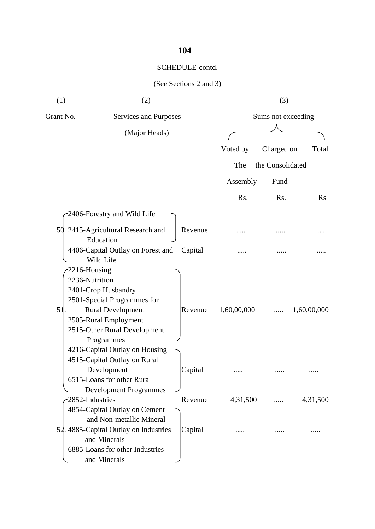# SCHEDULE-contd.

| (1)                                      | (2)                                                                                                                                                                   |         |             | (3)                |             |
|------------------------------------------|-----------------------------------------------------------------------------------------------------------------------------------------------------------------------|---------|-------------|--------------------|-------------|
| Grant No.                                | Services and Purposes                                                                                                                                                 |         |             | Sums not exceeding |             |
|                                          | (Major Heads)                                                                                                                                                         |         |             |                    |             |
|                                          |                                                                                                                                                                       |         | Voted by    | Charged on         | Total       |
|                                          |                                                                                                                                                                       |         | The         | the Consolidated   |             |
|                                          |                                                                                                                                                                       |         | Assembly    | Fund               |             |
|                                          |                                                                                                                                                                       |         | Rs.         | Rs.                | $\rm Rs$    |
|                                          | 2406-Forestry and Wild Life                                                                                                                                           |         |             |                    |             |
|                                          | 50. 2415-Agricultural Research and<br>Education                                                                                                                       | Revenue |             |                    |             |
|                                          | 4406-Capital Outlay on Forest and<br>Wild Life                                                                                                                        | Capital |             |                    |             |
| $-2216$ -Housing<br>2236-Nutrition<br>51 | 2401-Crop Husbandry<br>2501-Special Programmes for<br><b>Rural Development</b><br>2505-Rural Employment<br>2515-Other Rural Development<br>Programmes                 | Revenue | 1,60,00,000 |                    | 1,60,00,000 |
|                                          | 4216-Capital Outlay on Housing<br>4515-Capital Outlay on Rural<br>Development<br>6515-Loans for other Rural<br><b>Development Programmes</b>                          | Capital |             |                    |             |
| 2852-Industries                          |                                                                                                                                                                       | Revenue | 4,31,500    |                    | 4,31,500    |
|                                          | 4854-Capital Outlay on Cement<br>and Non-metallic Mineral<br>52. 4885-Capital Outlay on Industries<br>and Minerals<br>6885-Loans for other Industries<br>and Minerals | Capital |             |                    |             |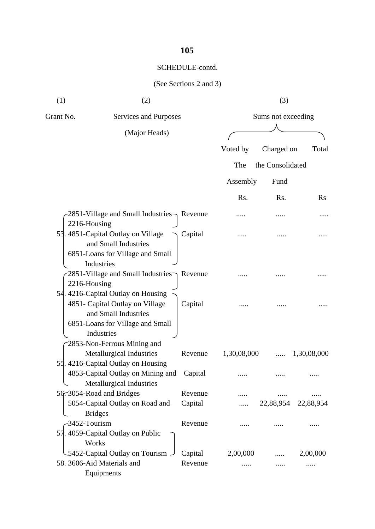# SCHEDULE-contd.

| (1)       | (2)                                                                                                          |         |             | (3)                |                     |
|-----------|--------------------------------------------------------------------------------------------------------------|---------|-------------|--------------------|---------------------|
| Grant No. | Services and Purposes                                                                                        |         |             | Sums not exceeding |                     |
|           | (Major Heads)                                                                                                |         |             |                    |                     |
|           |                                                                                                              |         | Voted by    | Charged on         | Total               |
|           |                                                                                                              |         | The         | the Consolidated   |                     |
|           |                                                                                                              |         | Assembly    | Fund               |                     |
|           |                                                                                                              |         | Rs.         | Rs.                | $\rm Rs$            |
|           | $-2851$ -Village and Small Industries $\gamma$ Revenue<br>2216-Housing                                       |         |             |                    |                     |
|           | 53. 4851-Capital Outlay on Village<br>and Small Industries<br>6851-Loans for Village and Small<br>Industries | Capital |             |                    |                     |
|           | 2851-Village and Small Industries Revenue<br>2216-Housing<br>54. 4216-Capital Outlay on Housing              |         |             |                    |                     |
|           | 4851- Capital Outlay on Village<br>and Small Industries<br>6851-Loans for Village and Small<br>Industries    | Capital |             |                    |                     |
|           | 2853-Non-Ferrous Mining and<br>Metallurgical Industries<br>55.4216-Capital Outlay on Housing                 | Revenue | 1,30,08,000 |                    | 1,30,08,000         |
|           | 4853-Capital Outlay on Mining and<br>Metallurgical Industries                                                | Capital |             |                    |                     |
|           | 56. 3054-Road and Bridges                                                                                    | Revenue |             |                    |                     |
|           | 5054-Capital Outlay on Road and<br><b>Bridges</b>                                                            | Capital |             |                    | 22,88,954 22,88,954 |
|           | -3452-Tourism                                                                                                | Revenue |             |                    |                     |
|           | 57. 4059-Capital Outlay on Public<br>Works                                                                   |         |             |                    |                     |
|           | 5452-Capital Outlay on Tourism -                                                                             | Capital | 2,00,000    |                    | 2,00,000            |
|           | 58. 3606-Aid Materials and<br>Equipments                                                                     | Revenue |             |                    |                     |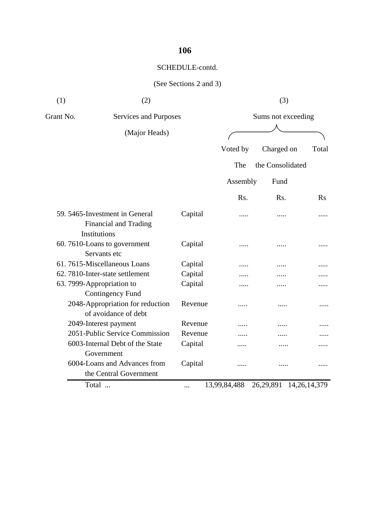# SCHEDULE-contd.

| (1)       | (2)                                                                     |         |              | (3)                         |       |
|-----------|-------------------------------------------------------------------------|---------|--------------|-----------------------------|-------|
| Grant No. | Services and Purposes                                                   |         |              | Sums not exceeding          |       |
|           | (Major Heads)                                                           |         |              |                             |       |
|           |                                                                         |         | Voted by     | Charged on                  | Total |
|           |                                                                         |         | The          | the Consolidated            |       |
|           |                                                                         |         | Assembly     | Fund                        |       |
|           |                                                                         |         | Rs.          | Rs.                         | Rs    |
|           | 59. 5465-Investment in General<br>Financial and Trading<br>Institutions | Capital | .            |                             |       |
|           | 60.7610-Loans to government<br>Servants etc                             | Capital | .            |                             |       |
|           | 61.7615-Miscellaneous Loans                                             | Capital |              |                             |       |
|           | 62.7810-Inter-state settlement                                          | Capital |              |                             |       |
|           | 63. 7999-Appropriation to<br><b>Contingency Fund</b>                    | Capital |              |                             |       |
|           | 2048-Appropriation for reduction<br>of avoidance of debt                | Revenue | .            | .                           | .     |
|           | 2049-Interest payment                                                   | Revenue |              |                             |       |
|           | 2051-Public Service Commission                                          | Revenue |              |                             |       |
|           | 6003-Internal Debt of the State<br>Government                           | Capital |              |                             |       |
|           | 6004-Loans and Advances from<br>the Central Government                  | Capital | .            |                             | .     |
|           | Total                                                                   | .       | 13,99,84,488 | 26, 29, 891 14, 26, 14, 379 |       |